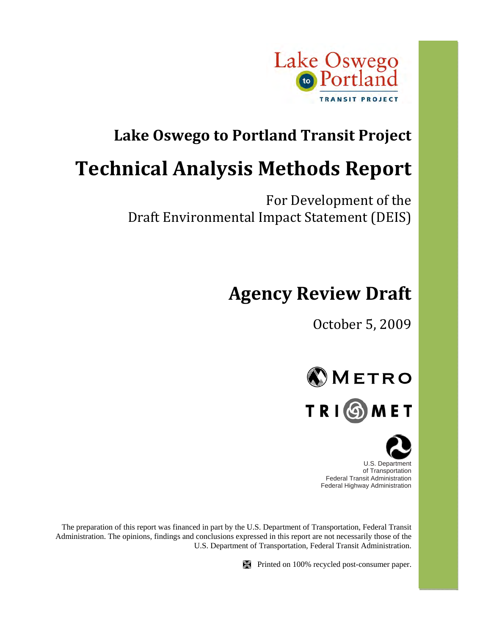

# **Lake Oswego to Portland Transit Project**

# **Technical Analysis Methods Report**

For Development of the Draft Environmental Impact Statement (DEIS)

# **Agency Review Draft**

October 5, 2009







U.S. Department of Transportation Federal Transit Administration Federal Highway Administration

The preparation of this report was financed in part by the U.S. Department of Transportation, Federal Transit Administration. The opinions, findings and conclusions expressed in this report are not necessarily those of the U.S. Department of Transportation, Federal Transit Administration.

Printed on 100% recycled post-consumer paper.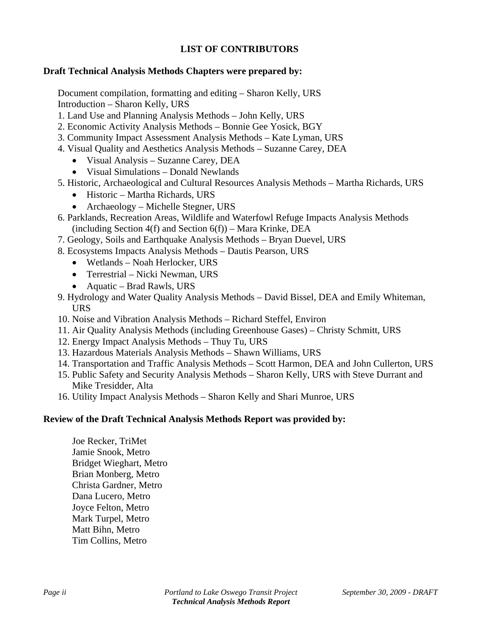# **LIST OF CONTRIBUTORS**

#### **Draft Technical Analysis Methods Chapters were prepared by:**

Document compilation, formatting and editing – Sharon Kelly, URS Introduction – Sharon Kelly, URS

- 1. Land Use and Planning Analysis Methods John Kelly, URS
- 2. Economic Activity Analysis Methods Bonnie Gee Yosick, BGY
- 3. Community Impact Assessment Analysis Methods Kate Lyman, URS
- 4. Visual Quality and Aesthetics Analysis Methods Suzanne Carey, DEA
	- Visual Analysis Suzanne Carey, DEA
	- Visual Simulations Donald Newlands
- 5. Historic, Archaeological and Cultural Resources Analysis Methods Martha Richards, URS
	- Historic Martha Richards, URS
	- Archaeology Michelle Stegner, URS
- 6. Parklands, Recreation Areas, Wildlife and Waterfowl Refuge Impacts Analysis Methods (including Section 4(f) and Section 6(f)) – Mara Krinke, DEA
- 7. Geology, Soils and Earthquake Analysis Methods Bryan Duevel, URS
- 8. Ecosystems Impacts Analysis Methods Dautis Pearson, URS
	- Wetlands Noah Herlocker, URS
	- Terrestrial Nicki Newman, URS
	- Aquatic Brad Rawls, URS
- 9. Hydrology and Water Quality Analysis Methods David Bissel, DEA and Emily Whiteman, URS
- 10. Noise and Vibration Analysis Methods Richard Steffel, Environ
- 11. Air Quality Analysis Methods (including Greenhouse Gases) Christy Schmitt, URS
- 12. Energy Impact Analysis Methods Thuy Tu, URS
- 13. Hazardous Materials Analysis Methods Shawn Williams, URS
- 14. Transportation and Traffic Analysis Methods Scott Harmon, DEA and John Cullerton, URS
- 15. Public Safety and Security Analysis Methods Sharon Kelly, URS with Steve Durrant and Mike Tresidder, Alta
- 16. Utility Impact Analysis Methods Sharon Kelly and Shari Munroe, URS

## **Review of the Draft Technical Analysis Methods Report was provided by:**

Joe Recker, TriMet Jamie Snook, Metro Bridget Wieghart, Metro Brian Monberg, Metro Christa Gardner, Metro Dana Lucero, Metro Joyce Felton, Metro Mark Turpel, Metro Matt Bihn, Metro Tim Collins, Metro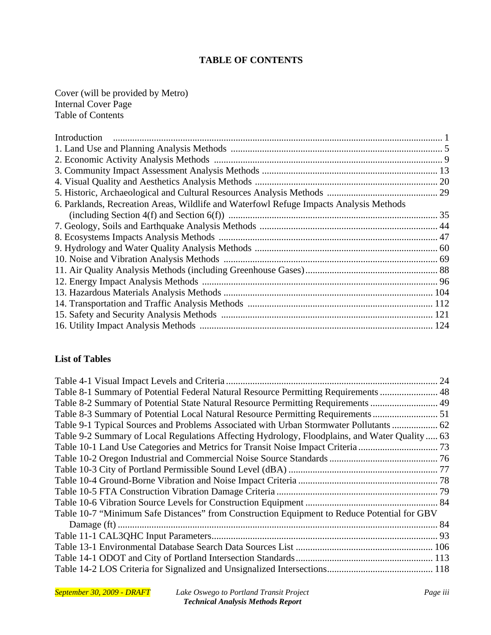# **TABLE OF CONTENTS**

Cover (will be provided by Metro) Internal Cover Page Table of Contents

| Introduction                                                                           |     |
|----------------------------------------------------------------------------------------|-----|
|                                                                                        |     |
|                                                                                        |     |
|                                                                                        |     |
|                                                                                        |     |
|                                                                                        |     |
| 6. Parklands, Recreation Areas, Wildlife and Waterfowl Refuge Impacts Analysis Methods |     |
|                                                                                        |     |
|                                                                                        |     |
|                                                                                        |     |
|                                                                                        |     |
|                                                                                        |     |
|                                                                                        |     |
|                                                                                        |     |
|                                                                                        |     |
|                                                                                        |     |
|                                                                                        |     |
|                                                                                        | 124 |

# **List of Tables**

|                                                                                                | 24 |
|------------------------------------------------------------------------------------------------|----|
| Table 8-1 Summary of Potential Federal Natural Resource Permitting Requirements  48            |    |
| Table 8-2 Summary of Potential State Natural Resource Permitting Requirements  49              |    |
|                                                                                                |    |
|                                                                                                |    |
| Table 9-2 Summary of Local Regulations Affecting Hydrology, Floodplains, and Water Quality  63 |    |
|                                                                                                |    |
|                                                                                                |    |
|                                                                                                |    |
|                                                                                                |    |
|                                                                                                |    |
|                                                                                                |    |
| Table 10-7 "Minimum Safe Distances" from Construction Equipment to Reduce Potential for GBV    |    |
|                                                                                                |    |
|                                                                                                |    |
|                                                                                                |    |
|                                                                                                |    |
|                                                                                                |    |

*September 30, 2009 - DRAFT Lake Oswego to Portland Transit Project Page iii Technical Analysis Methods Report*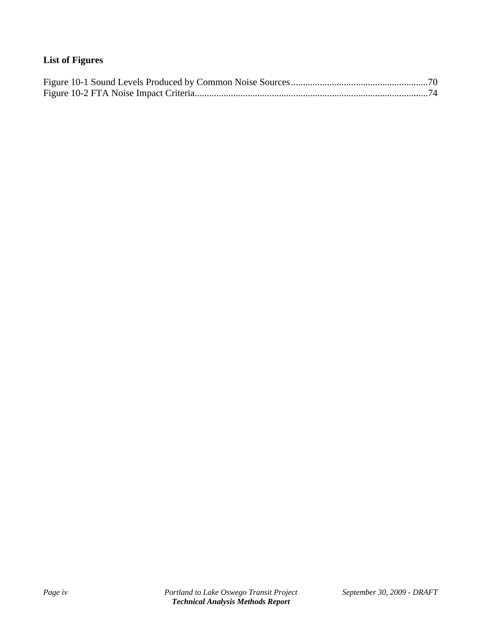# **List of Figures**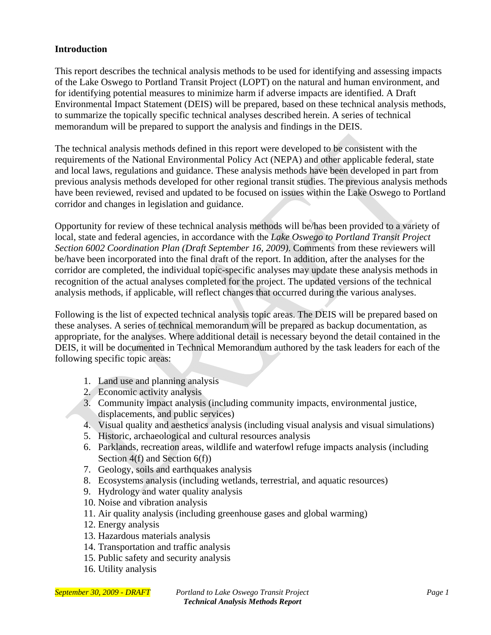# **Introduction**

This report describes the technical analysis methods to be used for identifying and assessing impacts of the Lake Oswego to Portland Transit Project (LOPT) on the natural and human environment, and for identifying potential measures to minimize harm if adverse impacts are identified. A Draft Environmental Impact Statement (DEIS) will be prepared, based on these technical analysis methods, to summarize the topically specific technical analyses described herein. A series of technical memorandum will be prepared to support the analysis and findings in the DEIS.

The technical analysis methods defined in this report were developed to be consistent with the requirements of the National Environmental Policy Act (NEPA) and other applicable federal, state and local laws, regulations and guidance. These analysis methods have been developed in part from previous analysis methods developed for other regional transit studies. The previous analysis methods have been reviewed, revised and updated to be focused on issues within the Lake Oswego to Portland corridor and changes in legislation and guidance.

Opportunity for review of these technical analysis methods will be/has been provided to a variety of local, state and federal agencies, in accordance with the *Lake Oswego to Portland Transit Project Section 6002 Coordination Plan (Draft September 16, 2009)*. Comments from these reviewers will be/have been incorporated into the final draft of the report. In addition, after the analyses for the corridor are completed, the individual topic-specific analyses may update these analysis methods in recognition of the actual analyses completed for the project. The updated versions of the technical analysis methods, if applicable, will reflect changes that occurred during the various analyses.

Following is the list of expected technical analysis topic areas. The DEIS will be prepared based on these analyses. A series of technical memorandum will be prepared as backup documentation, as appropriate, for the analyses. Where additional detail is necessary beyond the detail contained in the DEIS, it will be documented in Technical Memorandum authored by the task leaders for each of the following specific topic areas:

- 1. Land use and planning analysis
- 2. Economic activity analysis
- 3. Community impact analysis (including community impacts, environmental justice, displacements, and public services)
- 4. Visual quality and aesthetics analysis (including visual analysis and visual simulations)
- 5. Historic, archaeological and cultural resources analysis
- 6. Parklands, recreation areas, wildlife and waterfowl refuge impacts analysis (including Section 4(f) and Section 6(f))
- 7. Geology, soils and earthquakes analysis
- 8. Ecosystems analysis (including wetlands, terrestrial, and aquatic resources)
- 9. Hydrology and water quality analysis
- 10. Noise and vibration analysis
- 11. Air quality analysis (including greenhouse gases and global warming)
- 12. Energy analysis
- 13. Hazardous materials analysis
- 14. Transportation and traffic analysis
- 15. Public safety and security analysis
- 16. Utility analysis

*September 30, 2009 - DRAFT Portland to Lake Oswego Transit Project Page 1 Technical Analysis Methods Report*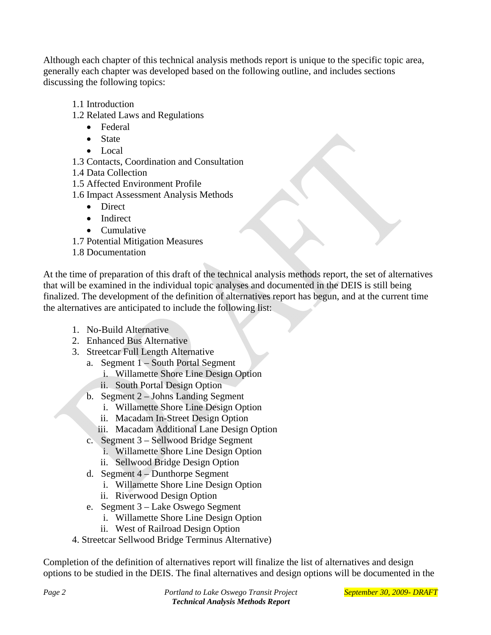Although each chapter of this technical analysis methods report is unique to the specific topic area, generally each chapter was developed based on the following outline, and includes sections discussing the following topics:

- 1.1 Introduction
- 1.2 Related Laws and Regulations
	- Federal
	- State
	- Local
- 1.3 Contacts, Coordination and Consultation
- 1.4 Data Collection
- 1.5 Affected Environment Profile
- 1.6 Impact Assessment Analysis Methods
	- Direct
	- Indirect
	- Cumulative
- 1.7 Potential Mitigation Measures
- 1.8 Documentation

At the time of preparation of this draft of the technical analysis methods report, the set of alternatives that will be examined in the individual topic analyses and documented in the DEIS is still being finalized. The development of the definition of alternatives report has begun, and at the current time the alternatives are anticipated to include the following list:

- 1. No-Build Alternative
- 2. Enhanced Bus Alternative
- 3. Streetcar Full Length Alternative
	- a. Segment 1 South Portal Segment
		- i. Willamette Shore Line Design Option
		- ii. South Portal Design Option
	- b. Segment 2 Johns Landing Segment
		- i. Willamette Shore Line Design Option
		- ii. Macadam In-Street Design Option
		- iii. Macadam Additional Lane Design Option
	- c. Segment 3 Sellwood Bridge Segment
		- i. Willamette Shore Line Design Option
		- ii. Sellwood Bridge Design Option
	- d. Segment 4 Dunthorpe Segment
		- i. Willamette Shore Line Design Option
		- ii. Riverwood Design Option
	- e. Segment 3 Lake Oswego Segment
		- i. Willamette Shore Line Design Option
		- ii. West of Railroad Design Option
- 4. Streetcar Sellwood Bridge Terminus Alternative)

Completion of the definition of alternatives report will finalize the list of alternatives and design options to be studied in the DEIS. The final alternatives and design options will be documented in the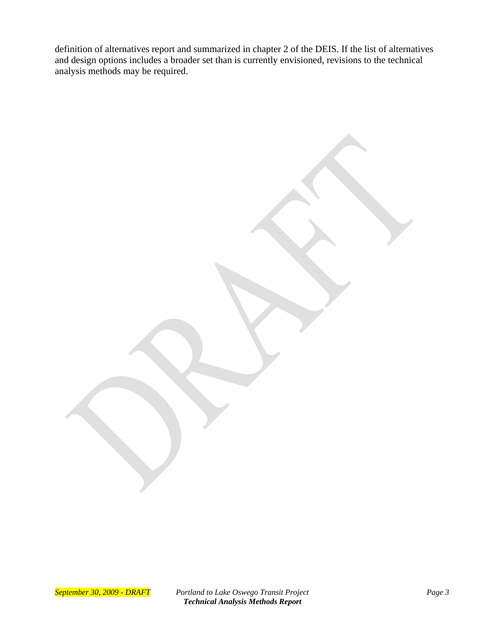definition of alternatives report and summarized in chapter 2 of the DEIS. If the list of alternatives and design options includes a broader set than is currently envisioned, revisions to the technical analysis methods may be required.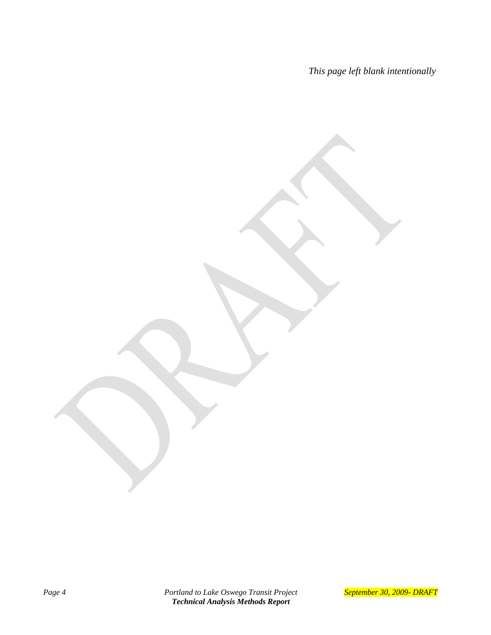*This page left blank intentionally*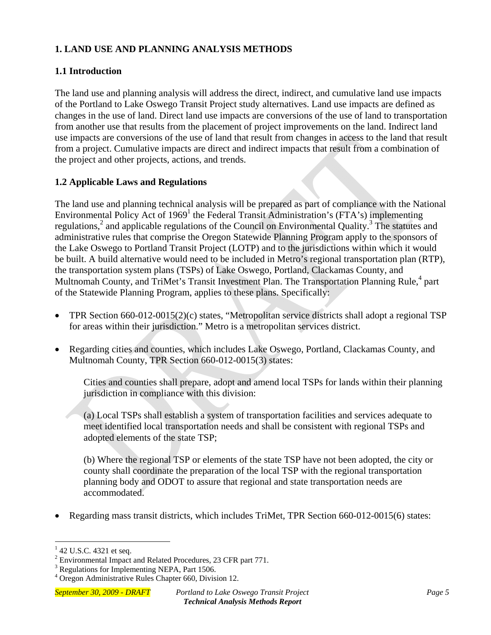# **1. LAND USE AND PLANNING ANALYSIS METHODS**

# **1.1 Introduction**

The land use and planning analysis will address the direct, indirect, and cumulative land use impacts of the Portland to Lake Oswego Transit Project study alternatives. Land use impacts are defined as changes in the use of land. Direct land use impacts are conversions of the use of land to transportation from another use that results from the placement of project improvements on the land. Indirect land use impacts are conversions of the use of land that result from changes in access to the land that result from a project. Cumulative impacts are direct and indirect impacts that result from a combination of the project and other projects, actions, and trends.

## **1.2 Applicable Laws and Regulations**

The land use and planning technical analysis will be prepared as part of compliance with the National Environmental Policy Act of 1969<sup>1</sup> the Federal Transit Administration's (FTA's) implementing regulations,<sup>2</sup> and applicable regulations of the Council on Environmental Quality.<sup>3</sup> The statutes and administrative rules that comprise the Oregon Statewide Planning Program apply to the sponsors of the Lake Oswego to Portland Transit Project (LOTP) and to the jurisdictions within which it would be built. A build alternative would need to be included in Metro's regional transportation plan (RTP), the transportation system plans (TSPs) of Lake Oswego, Portland, Clackamas County, and Multnomah County, and TriMet's Transit Investment Plan. The Transportation Planning Rule,<sup>4</sup> part of the Statewide Planning Program, applies to these plans. Specifically:

- TPR Section 660-012-0015(2)(c) states, "Metropolitan service districts shall adopt a regional TSP for areas within their jurisdiction." Metro is a metropolitan services district.
- Regarding cities and counties, which includes Lake Oswego, Portland, Clackamas County, and Multnomah County, TPR Section 660-012-0015(3) states:

Cities and counties shall prepare, adopt and amend local TSPs for lands within their planning jurisdiction in compliance with this division:

(a) Local TSPs shall establish a system of transportation facilities and services adequate to meet identified local transportation needs and shall be consistent with regional TSPs and adopted elements of the state TSP;

(b) Where the regional TSP or elements of the state TSP have not been adopted, the city or county shall coordinate the preparation of the local TSP with the regional transportation planning body and ODOT to assure that regional and state transportation needs are accommodated.

• Regarding mass transit districts, which includes TriMet, TPR Section 660-012-0015(6) states:

 $\overline{a}$ 

 $1$  42 U.S.C. 4321 et seq.

<sup>&</sup>lt;sup>2</sup> Environmental Impact and Related Procedures, 23 CFR part 771.

<sup>&</sup>lt;sup>3</sup> Regulations for Implementing NEPA, Part 1506.

<sup>4</sup> Oregon Administrative Rules Chapter 660, Division 12.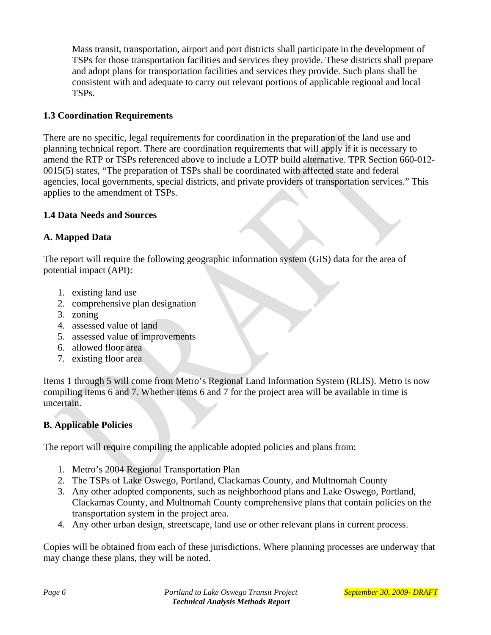Mass transit, transportation, airport and port districts shall participate in the development of TSPs for those transportation facilities and services they provide. These districts shall prepare and adopt plans for transportation facilities and services they provide. Such plans shall be consistent with and adequate to carry out relevant portions of applicable regional and local TSPs.

# **1.3 Coordination Requirements**

There are no specific, legal requirements for coordination in the preparation of the land use and planning technical report. There are coordination requirements that will apply if it is necessary to amend the RTP or TSPs referenced above to include a LOTP build alternative. TPR Section 660-012- 0015(5) states, "The preparation of TSPs shall be coordinated with affected state and federal agencies, local governments, special districts, and private providers of transportation services." This applies to the amendment of TSPs.

## **1.4 Data Needs and Sources**

# **A. Mapped Data**

The report will require the following geographic information system (GIS) data for the area of potential impact (API):

- 1. existing land use
- 2. comprehensive plan designation
- 3. zoning
- 4. assessed value of land
- 5. assessed value of improvements
- 6. allowed floor area
- 7. existing floor area

Items 1 through 5 will come from Metro's Regional Land Information System (RLIS). Metro is now compiling items 6 and 7. Whether items 6 and 7 for the project area will be available in time is uncertain.

# **B. Applicable Policies**

The report will require compiling the applicable adopted policies and plans from:

- 1. Metro's 2004 Regional Transportation Plan
- 2. The TSPs of Lake Oswego, Portland, Clackamas County, and Multnomah County
- 3. Any other adopted components, such as neighborhood plans and Lake Oswego, Portland, Clackamas County, and Multnomah County comprehensive plans that contain policies on the transportation system in the project area.
- 4. Any other urban design, streetscape, land use or other relevant plans in current process.

Copies will be obtained from each of these jurisdictions. Where planning processes are underway that may change these plans, they will be noted.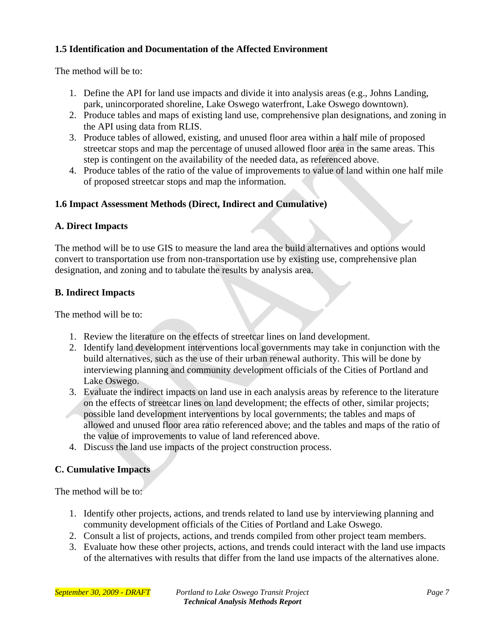# **1.5 Identification and Documentation of the Affected Environment**

The method will be to:

- 1. Define the API for land use impacts and divide it into analysis areas (e.g., Johns Landing, park, unincorporated shoreline, Lake Oswego waterfront, Lake Oswego downtown).
- 2. Produce tables and maps of existing land use, comprehensive plan designations, and zoning in the API using data from RLIS.
- 3. Produce tables of allowed, existing, and unused floor area within a half mile of proposed streetcar stops and map the percentage of unused allowed floor area in the same areas. This step is contingent on the availability of the needed data, as referenced above.
- 4. Produce tables of the ratio of the value of improvements to value of land within one half mile of proposed streetcar stops and map the information.

## **1.6 Impact Assessment Methods (Direct, Indirect and Cumulative)**

#### **A. Direct Impacts**

The method will be to use GIS to measure the land area the build alternatives and options would convert to transportation use from non-transportation use by existing use, comprehensive plan designation, and zoning and to tabulate the results by analysis area.

#### **B. Indirect Impacts**

The method will be to:

- 1. Review the literature on the effects of streetcar lines on land development.
- 2. Identify land development interventions local governments may take in conjunction with the build alternatives, such as the use of their urban renewal authority. This will be done by interviewing planning and community development officials of the Cities of Portland and Lake Oswego.
- 3. Evaluate the indirect impacts on land use in each analysis areas by reference to the literature on the effects of streetcar lines on land development; the effects of other, similar projects; possible land development interventions by local governments; the tables and maps of allowed and unused floor area ratio referenced above; and the tables and maps of the ratio of the value of improvements to value of land referenced above.
- 4. Discuss the land use impacts of the project construction process.

## **C. Cumulative Impacts**

The method will be to:

- 1. Identify other projects, actions, and trends related to land use by interviewing planning and community development officials of the Cities of Portland and Lake Oswego.
- 2. Consult a list of projects, actions, and trends compiled from other project team members.
- 3. Evaluate how these other projects, actions, and trends could interact with the land use impacts of the alternatives with results that differ from the land use impacts of the alternatives alone.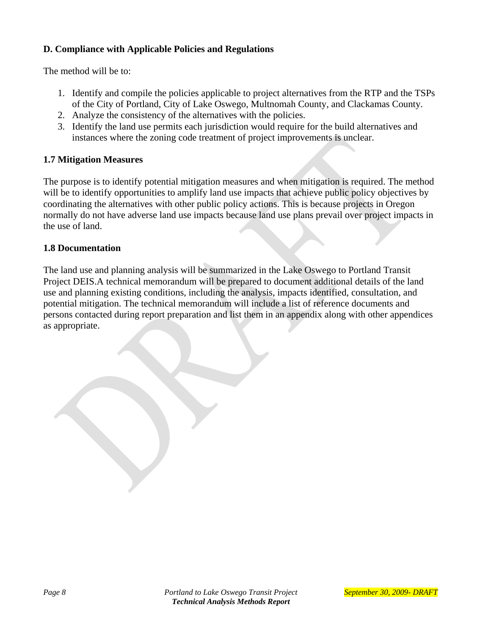# **D. Compliance with Applicable Policies and Regulations**

The method will be to:

- 1. Identify and compile the policies applicable to project alternatives from the RTP and the TSPs of the City of Portland, City of Lake Oswego, Multnomah County, and Clackamas County.
- 2. Analyze the consistency of the alternatives with the policies.
- 3. Identify the land use permits each jurisdiction would require for the build alternatives and instances where the zoning code treatment of project improvements is unclear.

#### **1.7 Mitigation Measures**

The purpose is to identify potential mitigation measures and when mitigation is required. The method will be to identify opportunities to amplify land use impacts that achieve public policy objectives by coordinating the alternatives with other public policy actions. This is because projects in Oregon normally do not have adverse land use impacts because land use plans prevail over project impacts in the use of land.

#### **1.8 Documentation**

The land use and planning analysis will be summarized in the Lake Oswego to Portland Transit Project DEIS.A technical memorandum will be prepared to document additional details of the land use and planning existing conditions, including the analysis, impacts identified, consultation, and potential mitigation. The technical memorandum will include a list of reference documents and persons contacted during report preparation and list them in an appendix along with other appendices as appropriate.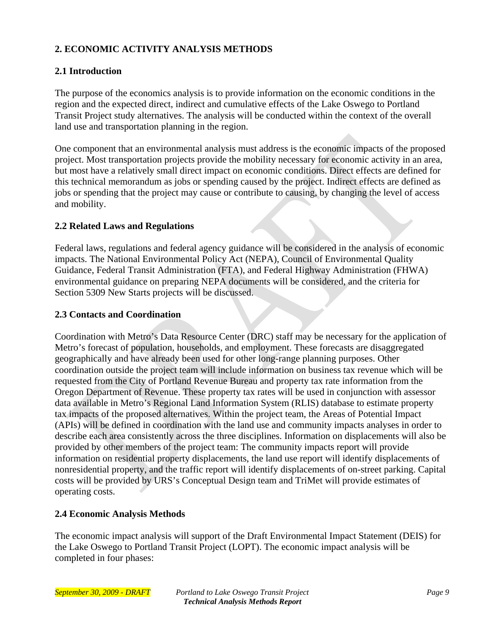# **2. ECONOMIC ACTIVITY ANALYSIS METHODS**

# **2.1 Introduction**

The purpose of the economics analysis is to provide information on the economic conditions in the region and the expected direct, indirect and cumulative effects of the Lake Oswego to Portland Transit Project study alternatives. The analysis will be conducted within the context of the overall land use and transportation planning in the region.

One component that an environmental analysis must address is the economic impacts of the proposed project. Most transportation projects provide the mobility necessary for economic activity in an area, but most have a relatively small direct impact on economic conditions. Direct effects are defined for this technical memorandum as jobs or spending caused by the project. Indirect effects are defined as jobs or spending that the project may cause or contribute to causing, by changing the level of access and mobility.

## **2.2 Related Laws and Regulations**

Federal laws, regulations and federal agency guidance will be considered in the analysis of economic impacts. The National Environmental Policy Act (NEPA), Council of Environmental Quality Guidance, Federal Transit Administration (FTA), and Federal Highway Administration (FHWA) environmental guidance on preparing NEPA documents will be considered, and the criteria for Section 5309 New Starts projects will be discussed.

## **2.3 Contacts and Coordination**

Coordination with Metro's Data Resource Center (DRC) staff may be necessary for the application of Metro's forecast of population, households, and employment. These forecasts are disaggregated geographically and have already been used for other long-range planning purposes. Other coordination outside the project team will include information on business tax revenue which will be requested from the City of Portland Revenue Bureau and property tax rate information from the Oregon Department of Revenue. These property tax rates will be used in conjunction with assessor data available in Metro's Regional Land Information System (RLIS) database to estimate property tax impacts of the proposed alternatives. Within the project team, the Areas of Potential Impact (APIs) will be defined in coordination with the land use and community impacts analyses in order to describe each area consistently across the three disciplines. Information on displacements will also be provided by other members of the project team: The community impacts report will provide information on residential property displacements, the land use report will identify displacements of nonresidential property, and the traffic report will identify displacements of on-street parking. Capital costs will be provided by URS's Conceptual Design team and TriMet will provide estimates of operating costs.

## **2.4 Economic Analysis Methods**

The economic impact analysis will support of the Draft Environmental Impact Statement (DEIS) for the Lake Oswego to Portland Transit Project (LOPT). The economic impact analysis will be completed in four phases: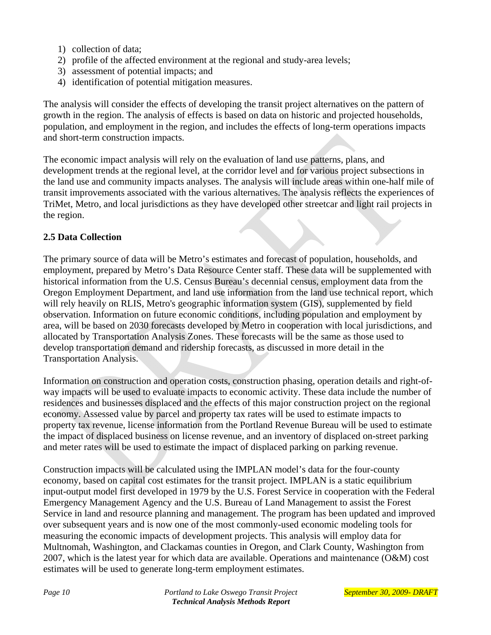- 1) collection of data;
- 2) profile of the affected environment at the regional and study-area levels;
- 3) assessment of potential impacts; and
- 4) identification of potential mitigation measures.

The analysis will consider the effects of developing the transit project alternatives on the pattern of growth in the region. The analysis of effects is based on data on historic and projected households, population, and employment in the region, and includes the effects of long-term operations impacts and short-term construction impacts.

The economic impact analysis will rely on the evaluation of land use patterns, plans, and development trends at the regional level, at the corridor level and for various project subsections in the land use and community impacts analyses. The analysis will include areas within one-half mile of transit improvements associated with the various alternatives. The analysis reflects the experiences of TriMet, Metro, and local jurisdictions as they have developed other streetcar and light rail projects in the region.

# **2.5 Data Collection**

The primary source of data will be Metro's estimates and forecast of population, households, and employment, prepared by Metro's Data Resource Center staff. These data will be supplemented with historical information from the U.S. Census Bureau's decennial census, employment data from the Oregon Employment Department, and land use information from the land use technical report, which will rely heavily on RLIS, Metro's geographic information system (GIS), supplemented by field observation. Information on future economic conditions, including population and employment by area, will be based on 2030 forecasts developed by Metro in cooperation with local jurisdictions, and allocated by Transportation Analysis Zones. These forecasts will be the same as those used to develop transportation demand and ridership forecasts, as discussed in more detail in the Transportation Analysis.

Information on construction and operation costs, construction phasing, operation details and right-ofway impacts will be used to evaluate impacts to economic activity. These data include the number of residences and businesses displaced and the effects of this major construction project on the regional economy. Assessed value by parcel and property tax rates will be used to estimate impacts to property tax revenue, license information from the Portland Revenue Bureau will be used to estimate the impact of displaced business on license revenue, and an inventory of displaced on-street parking and meter rates will be used to estimate the impact of displaced parking on parking revenue.

Construction impacts will be calculated using the IMPLAN model's data for the four-county economy, based on capital cost estimates for the transit project. IMPLAN is a static equilibrium input-output model first developed in 1979 by the U.S. Forest Service in cooperation with the Federal Emergency Management Agency and the U.S. Bureau of Land Management to assist the Forest Service in land and resource planning and management. The program has been updated and improved over subsequent years and is now one of the most commonly-used economic modeling tools for measuring the economic impacts of development projects. This analysis will employ data for Multnomah, Washington, and Clackamas counties in Oregon, and Clark County, Washington from 2007, which is the latest year for which data are available. Operations and maintenance (O&M) cost estimates will be used to generate long-term employment estimates.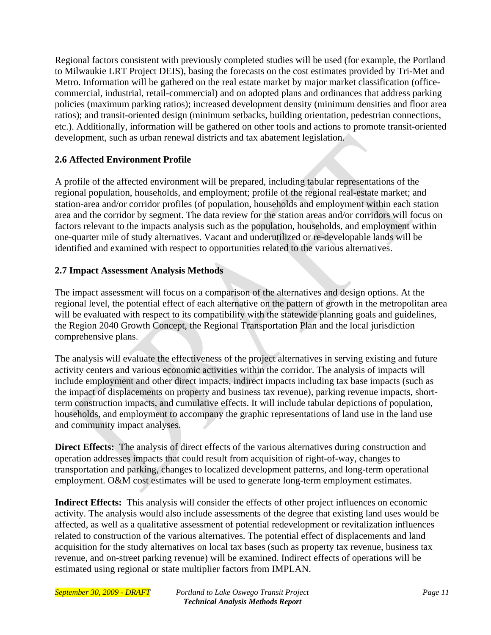Regional factors consistent with previously completed studies will be used (for example, the Portland to Milwaukie LRT Project DEIS), basing the forecasts on the cost estimates provided by Tri-Met and Metro. Information will be gathered on the real estate market by major market classification (officecommercial, industrial, retail-commercial) and on adopted plans and ordinances that address parking policies (maximum parking ratios); increased development density (minimum densities and floor area ratios); and transit-oriented design (minimum setbacks, building orientation, pedestrian connections, etc.). Additionally, information will be gathered on other tools and actions to promote transit-oriented development, such as urban renewal districts and tax abatement legislation.

# **2.6 Affected Environment Profile**

A profile of the affected environment will be prepared, including tabular representations of the regional population, households, and employment; profile of the regional real-estate market; and station-area and/or corridor profiles (of population, households and employment within each station area and the corridor by segment. The data review for the station areas and/or corridors will focus on factors relevant to the impacts analysis such as the population, households, and employment within one-quarter mile of study alternatives. Vacant and underutilized or re-developable lands will be identified and examined with respect to opportunities related to the various alternatives.

## **2.7 Impact Assessment Analysis Methods**

The impact assessment will focus on a comparison of the alternatives and design options. At the regional level, the potential effect of each alternative on the pattern of growth in the metropolitan area will be evaluated with respect to its compatibility with the statewide planning goals and guidelines, the Region 2040 Growth Concept, the Regional Transportation Plan and the local jurisdiction comprehensive plans.

The analysis will evaluate the effectiveness of the project alternatives in serving existing and future activity centers and various economic activities within the corridor. The analysis of impacts will include employment and other direct impacts, indirect impacts including tax base impacts (such as the impact of displacements on property and business tax revenue), parking revenue impacts, shortterm construction impacts, and cumulative effects. It will include tabular depictions of population, households, and employment to accompany the graphic representations of land use in the land use and community impact analyses.

**Direct Effects:** The analysis of direct effects of the various alternatives during construction and operation addresses impacts that could result from acquisition of right-of-way, changes to transportation and parking, changes to localized development patterns, and long-term operational employment. O&M cost estimates will be used to generate long-term employment estimates.

**Indirect Effects:** This analysis will consider the effects of other project influences on economic activity. The analysis would also include assessments of the degree that existing land uses would be affected, as well as a qualitative assessment of potential redevelopment or revitalization influences related to construction of the various alternatives. The potential effect of displacements and land acquisition for the study alternatives on local tax bases (such as property tax revenue, business tax revenue, and on-street parking revenue) will be examined. Indirect effects of operations will be estimated using regional or state multiplier factors from IMPLAN.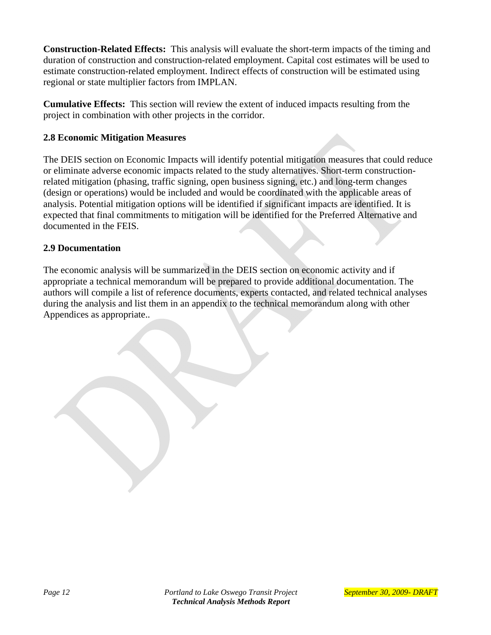**Construction-Related Effects:** This analysis will evaluate the short-term impacts of the timing and duration of construction and construction-related employment. Capital cost estimates will be used to estimate construction-related employment. Indirect effects of construction will be estimated using regional or state multiplier factors from IMPLAN.

**Cumulative Effects:** This section will review the extent of induced impacts resulting from the project in combination with other projects in the corridor.

#### **2.8 Economic Mitigation Measures**

The DEIS section on Economic Impacts will identify potential mitigation measures that could reduce or eliminate adverse economic impacts related to the study alternatives. Short-term constructionrelated mitigation (phasing, traffic signing, open business signing, etc.) and long-term changes (design or operations) would be included and would be coordinated with the applicable areas of analysis. Potential mitigation options will be identified if significant impacts are identified. It is expected that final commitments to mitigation will be identified for the Preferred Alternative and documented in the FEIS.

#### **2.9 Documentation**

The economic analysis will be summarized in the DEIS section on economic activity and if appropriate a technical memorandum will be prepared to provide additional documentation. The authors will compile a list of reference documents, experts contacted, and related technical analyses during the analysis and list them in an appendix to the technical memorandum along with other Appendices as appropriate..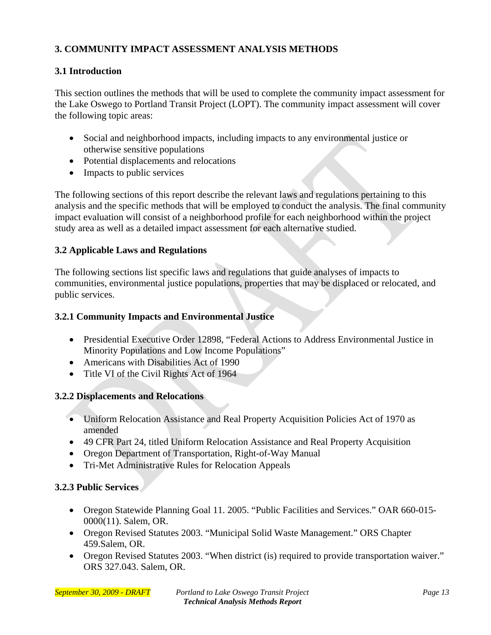# **3. COMMUNITY IMPACT ASSESSMENT ANALYSIS METHODS**

# **3.1 Introduction**

This section outlines the methods that will be used to complete the community impact assessment for the Lake Oswego to Portland Transit Project (LOPT). The community impact assessment will cover the following topic areas:

- Social and neighborhood impacts, including impacts to any environmental justice or otherwise sensitive populations
- Potential displacements and relocations
- Impacts to public services

The following sections of this report describe the relevant laws and regulations pertaining to this analysis and the specific methods that will be employed to conduct the analysis. The final community impact evaluation will consist of a neighborhood profile for each neighborhood within the project study area as well as a detailed impact assessment for each alternative studied.

# **3.2 Applicable Laws and Regulations**

The following sections list specific laws and regulations that guide analyses of impacts to communities, environmental justice populations, properties that may be displaced or relocated, and public services.

## **3.2.1 Community Impacts and Environmental Justice**

- Presidential Executive Order 12898, "Federal Actions to Address Environmental Justice in Minority Populations and Low Income Populations"
- Americans with Disabilities Act of 1990
- Title VI of the Civil Rights Act of 1964

## **3.2.2 Displacements and Relocations**

- Uniform Relocation Assistance and Real Property Acquisition Policies Act of 1970 as amended
- 49 CFR Part 24, titled Uniform Relocation Assistance and Real Property Acquisition
- Oregon Department of Transportation, Right-of-Way Manual
- Tri-Met Administrative Rules for Relocation Appeals

## **3.2.3 Public Services**

- Oregon Statewide Planning Goal 11. 2005. "Public Facilities and Services." OAR 660-015- 0000(11). Salem, OR.
- Oregon Revised Statutes 2003. "Municipal Solid Waste Management." ORS Chapter 459.Salem, OR.
- Oregon Revised Statutes 2003. "When district (is) required to provide transportation waiver." ORS 327.043. Salem, OR.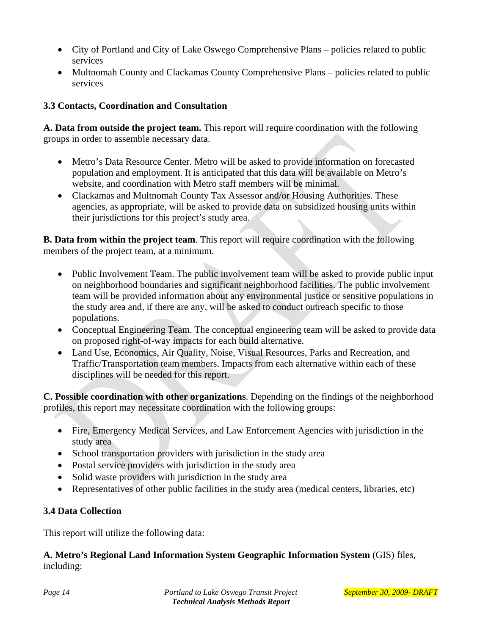- City of Portland and City of Lake Oswego Comprehensive Plans policies related to public services
- Multnomah County and Clackamas County Comprehensive Plans policies related to public services

# **3.3 Contacts, Coordination and Consultation**

**A. Data from outside the project team.** This report will require coordination with the following groups in order to assemble necessary data.

- Metro's Data Resource Center. Metro will be asked to provide information on forecasted population and employment. It is anticipated that this data will be available on Metro's website, and coordination with Metro staff members will be minimal.
- Clackamas and Multnomah County Tax Assessor and/or Housing Authorities. These agencies, as appropriate, will be asked to provide data on subsidized housing units within their jurisdictions for this project's study area.

**B. Data from within the project team**. This report will require coordination with the following members of the project team, at a minimum.

- Public Involvement Team. The public involvement team will be asked to provide public input on neighborhood boundaries and significant neighborhood facilities. The public involvement team will be provided information about any environmental justice or sensitive populations in the study area and, if there are any, will be asked to conduct outreach specific to those populations.
- Conceptual Engineering Team. The conceptual engineering team will be asked to provide data on proposed right-of-way impacts for each build alternative.
- Land Use, Economics, Air Quality, Noise, Visual Resources, Parks and Recreation, and Traffic/Transportation team members. Impacts from each alternative within each of these disciplines will be needed for this report.

**C. Possible coordination with other organizations**. Depending on the findings of the neighborhood profiles, this report may necessitate coordination with the following groups:

- Fire, Emergency Medical Services, and Law Enforcement Agencies with jurisdiction in the study area
- School transportation providers with jurisdiction in the study area
- Postal service providers with jurisdiction in the study area
- Solid waste providers with jurisdiction in the study area
- Representatives of other public facilities in the study area (medical centers, libraries, etc)

## **3.4 Data Collection**

This report will utilize the following data:

**A. Metro's Regional Land Information System Geographic Information System** (GIS) files, including: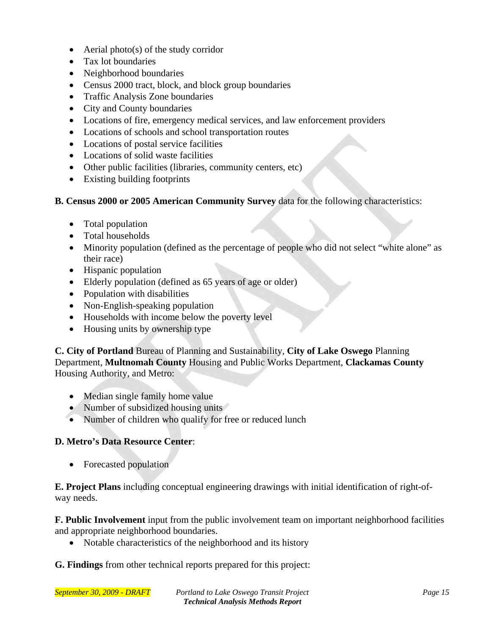- Aerial photo(s) of the study corridor
- Tax lot boundaries
- Neighborhood boundaries
- Census 2000 tract, block, and block group boundaries
- Traffic Analysis Zone boundaries
- City and County boundaries
- Locations of fire, emergency medical services, and law enforcement providers
- Locations of schools and school transportation routes
- Locations of postal service facilities
- Locations of solid waste facilities
- Other public facilities (libraries, community centers, etc)
- Existing building footprints

# **B. Census 2000 or 2005 American Community Survey** data for the following characteristics:

- Total population
- Total households
- Minority population (defined as the percentage of people who did not select "white alone" as their race)
- Hispanic population
- Elderly population (defined as 65 years of age or older)
- Population with disabilities
- Non-English-speaking population
- Households with income below the poverty level
- Housing units by ownership type

**C. City of Portland** Bureau of Planning and Sustainability, **City of Lake Oswego** Planning Department, **Multnomah County** Housing and Public Works Department, **Clackamas County** Housing Authority, and Metro:

- Median single family home value
- Number of subsidized housing units
- Number of children who qualify for free or reduced lunch

# **D. Metro's Data Resource Center**:

• Forecasted population

**E. Project Plans** including conceptual engineering drawings with initial identification of right-ofway needs.

**F. Public Involvement** input from the public involvement team on important neighborhood facilities and appropriate neighborhood boundaries.

• Notable characteristics of the neighborhood and its history

**G. Findings** from other technical reports prepared for this project: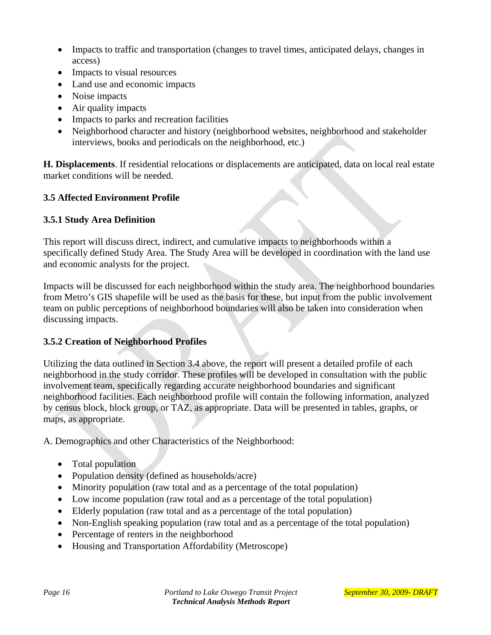- Impacts to traffic and transportation (changes to travel times, anticipated delays, changes in access)
- Impacts to visual resources
- Land use and economic impacts
- Noise impacts
- Air quality impacts
- Impacts to parks and recreation facilities
- Neighborhood character and history (neighborhood websites, neighborhood and stakeholder interviews, books and periodicals on the neighborhood, etc.)

**H. Displacements**. If residential relocations or displacements are anticipated, data on local real estate market conditions will be needed.

# **3.5 Affected Environment Profile**

## **3.5.1 Study Area Definition**

This report will discuss direct, indirect, and cumulative impacts to neighborhoods within a specifically defined Study Area. The Study Area will be developed in coordination with the land use and economic analysts for the project.

Impacts will be discussed for each neighborhood within the study area. The neighborhood boundaries from Metro's GIS shapefile will be used as the basis for these, but input from the public involvement team on public perceptions of neighborhood boundaries will also be taken into consideration when discussing impacts.

# **3.5.2 Creation of Neighborhood Profiles**

Utilizing the data outlined in Section 3.4 above, the report will present a detailed profile of each neighborhood in the study corridor. These profiles will be developed in consultation with the public involvement team, specifically regarding accurate neighborhood boundaries and significant neighborhood facilities. Each neighborhood profile will contain the following information, analyzed by census block, block group, or TAZ, as appropriate. Data will be presented in tables, graphs, or maps, as appropriate.

A. Demographics and other Characteristics of the Neighborhood:

- Total population
- Population density (defined as households/acre)
- Minority population (raw total and as a percentage of the total population)
- Low income population (raw total and as a percentage of the total population)
- Elderly population (raw total and as a percentage of the total population)
- Non-English speaking population (raw total and as a percentage of the total population)
- Percentage of renters in the neighborhood
- Housing and Transportation Affordability (Metroscope)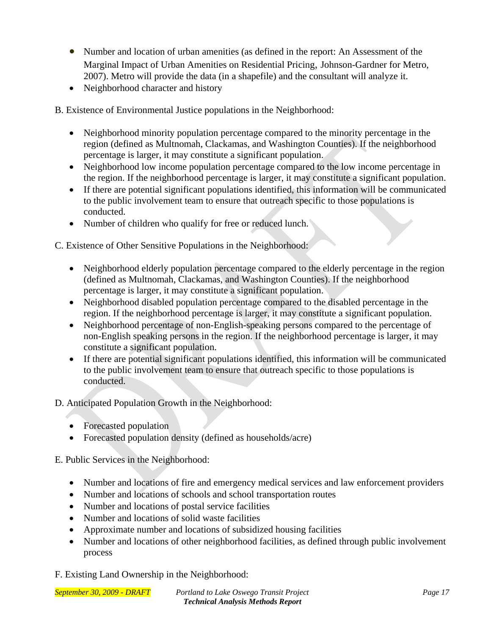- Number and location of urban amenities (as defined in the report: An Assessment of the Marginal Impact of Urban Amenities on Residential Pricing, Johnson-Gardner for Metro, 2007). Metro will provide the data (in a shapefile) and the consultant will analyze it.
- Neighborhood character and history

B. Existence of Environmental Justice populations in the Neighborhood:

- Neighborhood minority population percentage compared to the minority percentage in the region (defined as Multnomah, Clackamas, and Washington Counties). If the neighborhood percentage is larger, it may constitute a significant population.
- Neighborhood low income population percentage compared to the low income percentage in the region. If the neighborhood percentage is larger, it may constitute a significant population.
- If there are potential significant populations identified, this information will be communicated to the public involvement team to ensure that outreach specific to those populations is conducted.
- Number of children who qualify for free or reduced lunch.

C. Existence of Other Sensitive Populations in the Neighborhood:

- Neighborhood elderly population percentage compared to the elderly percentage in the region (defined as Multnomah, Clackamas, and Washington Counties). If the neighborhood percentage is larger, it may constitute a significant population.
- Neighborhood disabled population percentage compared to the disabled percentage in the region. If the neighborhood percentage is larger, it may constitute a significant population.
- Neighborhood percentage of non-English-speaking persons compared to the percentage of non-English speaking persons in the region. If the neighborhood percentage is larger, it may constitute a significant population.
- If there are potential significant populations identified, this information will be communicated to the public involvement team to ensure that outreach specific to those populations is conducted.
- D. Anticipated Population Growth in the Neighborhood:
	- Forecasted population
	- Forecasted population density (defined as households/acre)
- E. Public Services in the Neighborhood:
	- Number and locations of fire and emergency medical services and law enforcement providers
	- Number and locations of schools and school transportation routes
	- Number and locations of postal service facilities
	- Number and locations of solid waste facilities
	- Approximate number and locations of subsidized housing facilities
	- Number and locations of other neighborhood facilities, as defined through public involvement process

F. Existing Land Ownership in the Neighborhood: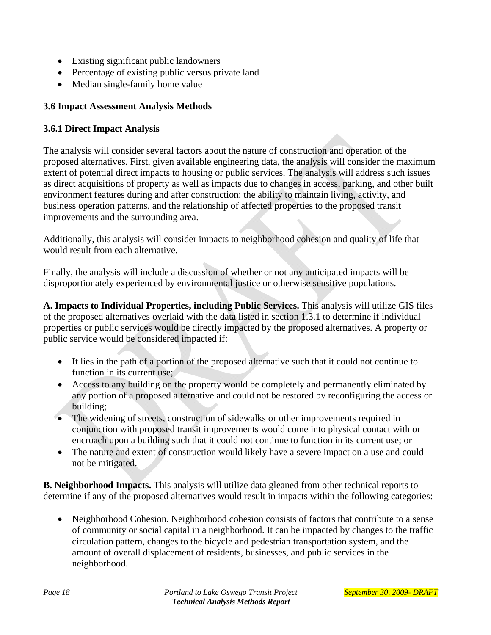- Existing significant public landowners
- Percentage of existing public versus private land
- Median single-family home value

## **3.6 Impact Assessment Analysis Methods**

#### **3.6.1 Direct Impact Analysis**

The analysis will consider several factors about the nature of construction and operation of the proposed alternatives. First, given available engineering data, the analysis will consider the maximum extent of potential direct impacts to housing or public services. The analysis will address such issues as direct acquisitions of property as well as impacts due to changes in access, parking, and other built environment features during and after construction; the ability to maintain living, activity, and business operation patterns, and the relationship of affected properties to the proposed transit improvements and the surrounding area.

Additionally, this analysis will consider impacts to neighborhood cohesion and quality of life that would result from each alternative.

Finally, the analysis will include a discussion of whether or not any anticipated impacts will be disproportionately experienced by environmental justice or otherwise sensitive populations.

**A. Impacts to Individual Properties, including Public Services.** This analysis will utilize GIS files of the proposed alternatives overlaid with the data listed in section 1.3.1 to determine if individual properties or public services would be directly impacted by the proposed alternatives. A property or public service would be considered impacted if:

- It lies in the path of a portion of the proposed alternative such that it could not continue to function in its current use;
- Access to any building on the property would be completely and permanently eliminated by any portion of a proposed alternative and could not be restored by reconfiguring the access or building;
- The widening of streets, construction of sidewalks or other improvements required in conjunction with proposed transit improvements would come into physical contact with or encroach upon a building such that it could not continue to function in its current use; or
- The nature and extent of construction would likely have a severe impact on a use and could not be mitigated.

**B. Neighborhood Impacts.** This analysis will utilize data gleaned from other technical reports to determine if any of the proposed alternatives would result in impacts within the following categories:

• Neighborhood Cohesion. Neighborhood cohesion consists of factors that contribute to a sense of community or social capital in a neighborhood. It can be impacted by changes to the traffic circulation pattern, changes to the bicycle and pedestrian transportation system, and the amount of overall displacement of residents, businesses, and public services in the neighborhood.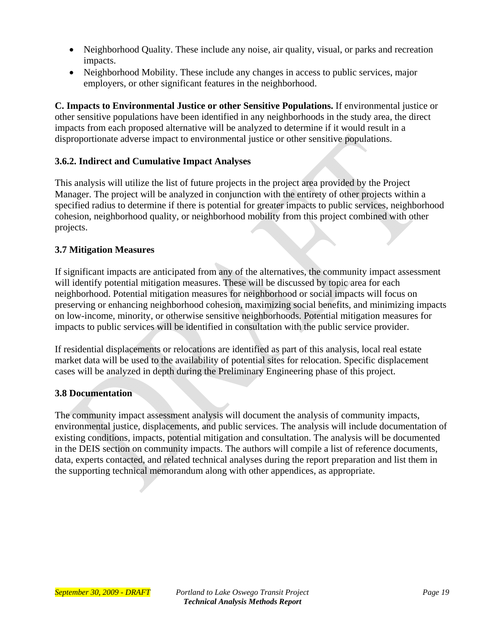- Neighborhood Quality. These include any noise, air quality, visual, or parks and recreation impacts.
- Neighborhood Mobility. These include any changes in access to public services, major employers, or other significant features in the neighborhood.

**C. Impacts to Environmental Justice or other Sensitive Populations.** If environmental justice or other sensitive populations have been identified in any neighborhoods in the study area, the direct impacts from each proposed alternative will be analyzed to determine if it would result in a disproportionate adverse impact to environmental justice or other sensitive populations.

## **3.6.2. Indirect and Cumulative Impact Analyses**

This analysis will utilize the list of future projects in the project area provided by the Project Manager. The project will be analyzed in conjunction with the entirety of other projects within a specified radius to determine if there is potential for greater impacts to public services, neighborhood cohesion, neighborhood quality, or neighborhood mobility from this project combined with other projects.

## **3.7 Mitigation Measures**

If significant impacts are anticipated from any of the alternatives, the community impact assessment will identify potential mitigation measures. These will be discussed by topic area for each neighborhood. Potential mitigation measures for neighborhood or social impacts will focus on preserving or enhancing neighborhood cohesion, maximizing social benefits, and minimizing impacts on low-income, minority, or otherwise sensitive neighborhoods. Potential mitigation measures for impacts to public services will be identified in consultation with the public service provider.

If residential displacements or relocations are identified as part of this analysis, local real estate market data will be used to the availability of potential sites for relocation. Specific displacement cases will be analyzed in depth during the Preliminary Engineering phase of this project.

## **3.8 Documentation**

The community impact assessment analysis will document the analysis of community impacts, environmental justice, displacements, and public services. The analysis will include documentation of existing conditions, impacts, potential mitigation and consultation. The analysis will be documented in the DEIS section on community impacts. The authors will compile a list of reference documents, data, experts contacted, and related technical analyses during the report preparation and list them in the supporting technical memorandum along with other appendices, as appropriate.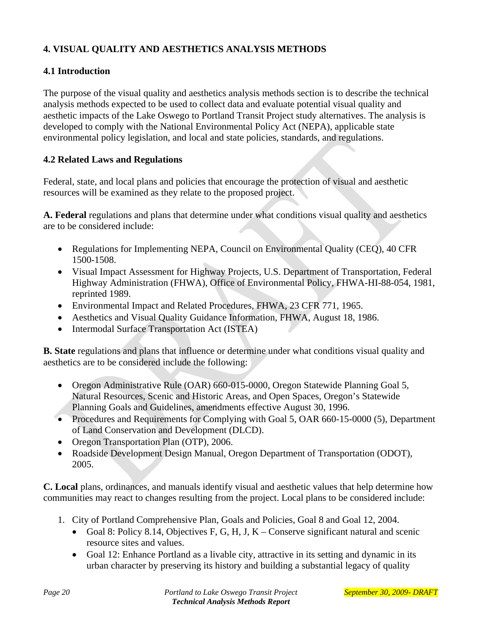# **4. VISUAL QUALITY AND AESTHETICS ANALYSIS METHODS**

# **4.1 Introduction**

The purpose of the visual quality and aesthetics analysis methods section is to describe the technical analysis methods expected to be used to collect data and evaluate potential visual quality and aesthetic impacts of the Lake Oswego to Portland Transit Project study alternatives. The analysis is developed to comply with the National Environmental Policy Act (NEPA), applicable state environmental policy legislation, and local and state policies, standards, and regulations.

# **4.2 Related Laws and Regulations**

Federal, state, and local plans and policies that encourage the protection of visual and aesthetic resources will be examined as they relate to the proposed project.

**A. Federal** regulations and plans that determine under what conditions visual quality and aesthetics are to be considered include:

- Regulations for Implementing NEPA, Council on Environmental Quality (CEQ), 40 CFR 1500-1508.
- Visual Impact Assessment for Highway Projects, U.S. Department of Transportation, Federal Highway Administration (FHWA), Office of Environmental Policy, FHWA-HI-88-054, 1981, reprinted 1989.
- Environmental Impact and Related Procedures, FHWA, 23 CFR 771, 1965.
- Aesthetics and Visual Quality Guidance Information, FHWA, August 18, 1986.
- Intermodal Surface Transportation Act (ISTEA)

**B. State** regulations and plans that influence or determine under what conditions visual quality and aesthetics are to be considered include the following:

- Oregon Administrative Rule (OAR) 660-015-0000, Oregon Statewide Planning Goal 5, Natural Resources, Scenic and Historic Areas, and Open Spaces, Oregon's Statewide Planning Goals and Guidelines, amendments effective August 30, 1996.
- Procedures and Requirements for Complying with Goal 5, OAR 660-15-0000 (5), Department of Land Conservation and Development (DLCD).
- Oregon Transportation Plan (OTP), 2006.
- Roadside Development Design Manual, Oregon Department of Transportation (ODOT), 2005.

**C. Local** plans, ordinances, and manuals identify visual and aesthetic values that help determine how communities may react to changes resulting from the project. Local plans to be considered include:

- 1. City of Portland Comprehensive Plan, Goals and Policies, Goal 8 and Goal 12, 2004.
	- Goal 8: Policy 8.14, Objectives F, G, H, J, K Conserve significant natural and scenic resource sites and values.
	- Goal 12: Enhance Portland as a livable city, attractive in its setting and dynamic in its urban character by preserving its history and building a substantial legacy of quality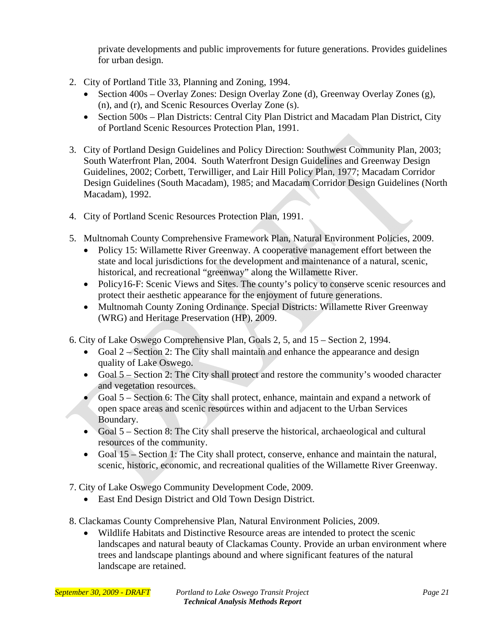private developments and public improvements for future generations. Provides guidelines for urban design.

- 2. City of Portland Title 33, Planning and Zoning, 1994.
	- Section 400s Overlay Zones: Design Overlay Zone (d), Greenway Overlay Zones (g), (n), and (r), and Scenic Resources Overlay Zone (s).
	- Section 500s Plan Districts: Central City Plan District and Macadam Plan District, City of Portland Scenic Resources Protection Plan, 1991.
- 3. City of Portland Design Guidelines and Policy Direction: Southwest Community Plan, 2003; South Waterfront Plan, 2004. South Waterfront Design Guidelines and Greenway Design Guidelines, 2002; Corbett, Terwilliger, and Lair Hill Policy Plan, 1977; Macadam Corridor Design Guidelines (South Macadam), 1985; and Macadam Corridor Design Guidelines (North Macadam), 1992.
- 4. City of Portland Scenic Resources Protection Plan, 1991.
- 5. Multnomah County Comprehensive Framework Plan, Natural Environment Policies, 2009.
	- Policy 15: Willamette River Greenway. A cooperative management effort between the state and local jurisdictions for the development and maintenance of a natural, scenic, historical, and recreational "greenway" along the Willamette River.
	- Policy16-F: Scenic Views and Sites. The county's policy to conserve scenic resources and protect their aesthetic appearance for the enjoyment of future generations.
	- Multnomah County Zoning Ordinance. Special Districts: Willamette River Greenway (WRG) and Heritage Preservation (HP), 2009.

6. City of Lake Oswego Comprehensive Plan, Goals 2, 5, and 15 – Section 2, 1994.

- Goal  $2 -$  Section 2: The City shall maintain and enhance the appearance and design quality of Lake Oswego.
- Goal 5 Section 2: The City shall protect and restore the community's wooded character and vegetation resources.
- Goal 5 Section 6: The City shall protect, enhance, maintain and expand a network of open space areas and scenic resources within and adjacent to the Urban Services Boundary.
- Goal 5 Section 8: The City shall preserve the historical, archaeological and cultural resources of the community.
- Goal 15 Section 1: The City shall protect, conserve, enhance and maintain the natural, scenic, historic, economic, and recreational qualities of the Willamette River Greenway.
- 7. City of Lake Oswego Community Development Code, 2009.
	- East End Design District and Old Town Design District.
- 8. Clackamas County Comprehensive Plan, Natural Environment Policies, 2009.
	- Wildlife Habitats and Distinctive Resource areas are intended to protect the scenic landscapes and natural beauty of Clackamas County. Provide an urban environment where trees and landscape plantings abound and where significant features of the natural landscape are retained.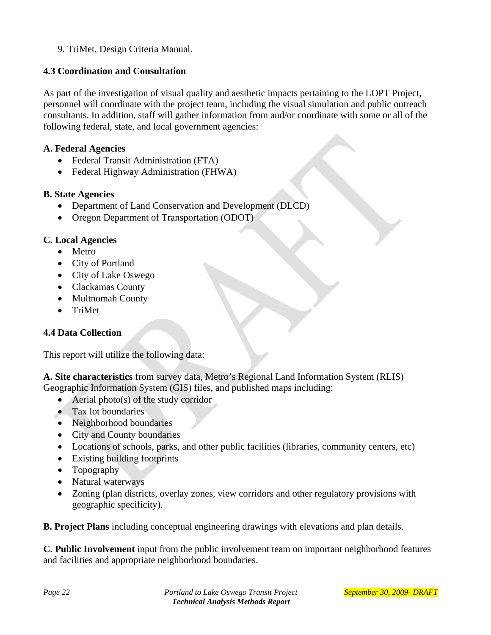9. TriMet, Design Criteria Manual.

# **4.3 Coordination and Consultation**

As part of the investigation of visual quality and aesthetic impacts pertaining to the LOPT Project, personnel will coordinate with the project team, including the visual simulation and public outreach consultants. In addition, staff will gather information from and/or coordinate with some or all of the following federal, state, and local government agencies:

## **A. Federal Agencies**

- Federal Transit Administration (FTA)
- Federal Highway Administration (FHWA)

# **B. State Agencies**

- Department of Land Conservation and Development (DLCD)
- Oregon Department of Transportation (ODOT)

# **C. Local Agencies**

- Metro
- City of Portland
- City of Lake Oswego
- Clackamas County
- Multnomah County
- TriMet

# **4.4 Data Collection**

This report will utilize the following data:

**A. Site characteristics** from survey data, Metro's Regional Land Information System (RLIS) Geographic Information System (GIS) files, and published maps including:

- Aerial photo(s) of the study corridor
- Tax lot boundaries
- Neighborhood boundaries
- City and County boundaries
- Locations of schools, parks, and other public facilities (libraries, community centers, etc)
- Existing building footprints
- Topography
- Natural waterways
- Zoning (plan districts, overlay zones, view corridors and other regulatory provisions with geographic specificity).

**B. Project Plans** including conceptual engineering drawings with elevations and plan details.

**C. Public Involvement** input from the public involvement team on important neighborhood features and facilities and appropriate neighborhood boundaries.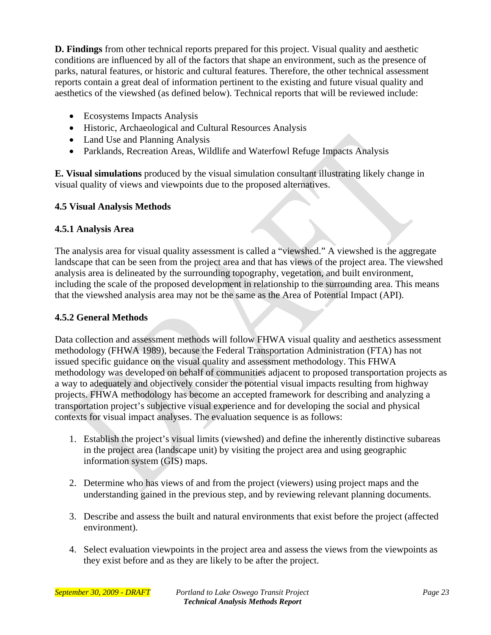**D. Findings** from other technical reports prepared for this project. Visual quality and aesthetic conditions are influenced by all of the factors that shape an environment, such as the presence of parks, natural features, or historic and cultural features. Therefore, the other technical assessment reports contain a great deal of information pertinent to the existing and future visual quality and aesthetics of the viewshed (as defined below). Technical reports that will be reviewed include:

- Ecosystems Impacts Analysis
- Historic, Archaeological and Cultural Resources Analysis
- Land Use and Planning Analysis
- Parklands, Recreation Areas, Wildlife and Waterfowl Refuge Impacts Analysis

**E. Visual simulations** produced by the visual simulation consultant illustrating likely change in visual quality of views and viewpoints due to the proposed alternatives.

## **4.5 Visual Analysis Methods**

## **4.5.1 Analysis Area**

The analysis area for visual quality assessment is called a "viewshed." A viewshed is the aggregate landscape that can be seen from the project area and that has views of the project area. The viewshed analysis area is delineated by the surrounding topography, vegetation, and built environment, including the scale of the proposed development in relationship to the surrounding area. This means that the viewshed analysis area may not be the same as the Area of Potential Impact (API).

## **4.5.2 General Methods**

Data collection and assessment methods will follow FHWA visual quality and aesthetics assessment methodology (FHWA 1989), because the Federal Transportation Administration (FTA) has not issued specific guidance on the visual quality and assessment methodology. This FHWA methodology was developed on behalf of communities adjacent to proposed transportation projects as a way to adequately and objectively consider the potential visual impacts resulting from highway projects. FHWA methodology has become an accepted framework for describing and analyzing a transportation project's subjective visual experience and for developing the social and physical contexts for visual impact analyses. The evaluation sequence is as follows:

- 1. Establish the project's visual limits (viewshed) and define the inherently distinctive subareas in the project area (landscape unit) by visiting the project area and using geographic information system (GIS) maps.
- 2. Determine who has views of and from the project (viewers) using project maps and the understanding gained in the previous step, and by reviewing relevant planning documents.
- 3. Describe and assess the built and natural environments that exist before the project (affected environment).
- 4. Select evaluation viewpoints in the project area and assess the views from the viewpoints as they exist before and as they are likely to be after the project.

*September 30, 2009 - DRAFT Portland to Lake Oswego Transit Project Page 23 Technical Analysis Methods Report*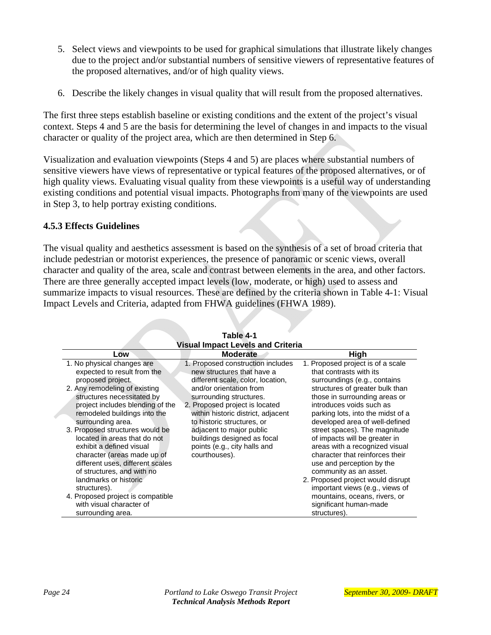- 5. Select views and viewpoints to be used for graphical simulations that illustrate likely changes due to the project and/or substantial numbers of sensitive viewers of representative features of the proposed alternatives, and/or of high quality views.
- 6. Describe the likely changes in visual quality that will result from the proposed alternatives.

The first three steps establish baseline or existing conditions and the extent of the project's visual context. Steps 4 and 5 are the basis for determining the level of changes in and impacts to the visual character or quality of the project area, which are then determined in Step 6.

Visualization and evaluation viewpoints (Steps 4 and 5) are places where substantial numbers of sensitive viewers have views of representative or typical features of the proposed alternatives, or of high quality views. Evaluating visual quality from these viewpoints is a useful way of understanding existing conditions and potential visual impacts. Photographs from many of the viewpoints are used in Step 3, to help portray existing conditions.

#### **4.5.3 Effects Guidelines**

The visual quality and aesthetics assessment is based on the synthesis of a set of broad criteria that include pedestrian or motorist experiences, the presence of panoramic or scenic views, overall character and quality of the area, scale and contrast between elements in the area, and other factors. There are three generally accepted impact levels (low, moderate, or high) used to assess and summarize impacts to visual resources. These are defined by the criteria shown in Table 4-1: Visual Impact Levels and Criteria, adapted from FHWA guidelines (FHWA 1989).

| Table 4-1                                                                                                                                                                                                                                                                                                 |                                                                                                                                                                                                                                                                                                                             |                                                                                                                                                                                                                                                                                                                                       |  |  |  |
|-----------------------------------------------------------------------------------------------------------------------------------------------------------------------------------------------------------------------------------------------------------------------------------------------------------|-----------------------------------------------------------------------------------------------------------------------------------------------------------------------------------------------------------------------------------------------------------------------------------------------------------------------------|---------------------------------------------------------------------------------------------------------------------------------------------------------------------------------------------------------------------------------------------------------------------------------------------------------------------------------------|--|--|--|
| <b>Visual Impact Levels and Criteria</b>                                                                                                                                                                                                                                                                  |                                                                                                                                                                                                                                                                                                                             |                                                                                                                                                                                                                                                                                                                                       |  |  |  |
| Low                                                                                                                                                                                                                                                                                                       | <b>Moderate</b>                                                                                                                                                                                                                                                                                                             | High                                                                                                                                                                                                                                                                                                                                  |  |  |  |
| 1. No physical changes are<br>expected to result from the<br>proposed project.<br>2. Any remodeling of existing<br>structures necessitated by<br>project includes blending of the<br>remodeled buildings into the<br>surrounding area.<br>3. Proposed structures would be<br>located in areas that do not | 1. Proposed construction includes<br>new structures that have a<br>different scale, color, location,<br>and/or orientation from<br>surrounding structures.<br>2. Proposed project is located<br>within historic district, adjacent<br>to historic structures, or<br>adjacent to major public<br>buildings designed as focal | 1. Proposed project is of a scale<br>that contrasts with its<br>surroundings (e.g., contains<br>structures of greater bulk than<br>those in surrounding areas or<br>introduces voids such as<br>parking lots, into the midst of a<br>developed area of well-defined<br>street spaces). The magnitude<br>of impacts will be greater in |  |  |  |
| exhibit a defined visual<br>character (areas made up of<br>different uses, different scales<br>of structures, and with no<br>landmarks or historic<br>structures).<br>4. Proposed project is compatible<br>with visual character of<br>surrounding area.                                                  | points (e.g., city halls and<br>courthouses).                                                                                                                                                                                                                                                                               | areas with a recognized visual<br>character that reinforces their<br>use and perception by the<br>community as an asset.<br>2. Proposed project would disrupt<br>important views (e.g., views of<br>mountains, oceans, rivers, or<br>significant human-made<br>structures).                                                           |  |  |  |

ð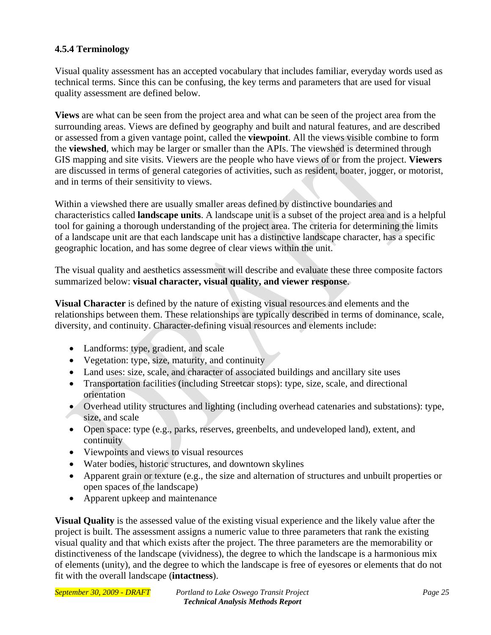# **4.5.4 Terminology**

Visual quality assessment has an accepted vocabulary that includes familiar, everyday words used as technical terms. Since this can be confusing, the key terms and parameters that are used for visual quality assessment are defined below.

**Views** are what can be seen from the project area and what can be seen of the project area from the surrounding areas. Views are defined by geography and built and natural features, and are described or assessed from a given vantage point, called the **viewpoint**. All the views visible combine to form the **viewshed**, which may be larger or smaller than the APIs. The viewshed is determined through GIS mapping and site visits. Viewers are the people who have views of or from the project. **Viewers** are discussed in terms of general categories of activities, such as resident, boater, jogger, or motorist, and in terms of their sensitivity to views.

Within a viewshed there are usually smaller areas defined by distinctive boundaries and characteristics called **landscape units**. A landscape unit is a subset of the project area and is a helpful tool for gaining a thorough understanding of the project area. The criteria for determining the limits of a landscape unit are that each landscape unit has a distinctive landscape character, has a specific geographic location, and has some degree of clear views within the unit.

The visual quality and aesthetics assessment will describe and evaluate these three composite factors summarized below: **visual character, visual quality, and viewer response**.

**Visual Character** is defined by the nature of existing visual resources and elements and the relationships between them. These relationships are typically described in terms of dominance, scale, diversity, and continuity. Character-defining visual resources and elements include:

- Landforms: type, gradient, and scale
- Vegetation: type, size, maturity, and continuity
- Land uses: size, scale, and character of associated buildings and ancillary site uses
- Transportation facilities (including Streetcar stops): type, size, scale, and directional orientation
- Overhead utility structures and lighting (including overhead catenaries and substations): type, size, and scale
- Open space: type (e.g., parks, reserves, greenbelts, and undeveloped land), extent, and continuity
- Viewpoints and views to visual resources
- Water bodies, historic structures, and downtown skylines
- Apparent grain or texture (e.g., the size and alternation of structures and unbuilt properties or open spaces of the landscape)
- Apparent upkeep and maintenance

**Visual Quality** is the assessed value of the existing visual experience and the likely value after the project is built. The assessment assigns a numeric value to three parameters that rank the existing visual quality and that which exists after the project. The three parameters are the memorability or distinctiveness of the landscape (vividness), the degree to which the landscape is a harmonious mix of elements (unity), and the degree to which the landscape is free of eyesores or elements that do not fit with the overall landscape (**intactness**).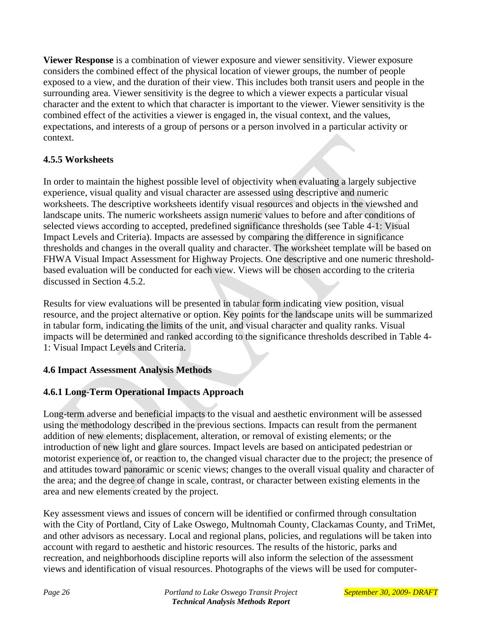**Viewer Response** is a combination of viewer exposure and viewer sensitivity. Viewer exposure considers the combined effect of the physical location of viewer groups, the number of people exposed to a view, and the duration of their view. This includes both transit users and people in the surrounding area. Viewer sensitivity is the degree to which a viewer expects a particular visual character and the extent to which that character is important to the viewer. Viewer sensitivity is the combined effect of the activities a viewer is engaged in, the visual context, and the values, expectations, and interests of a group of persons or a person involved in a particular activity or context.

# **4.5.5 Worksheets**

In order to maintain the highest possible level of objectivity when evaluating a largely subjective experience, visual quality and visual character are assessed using descriptive and numeric worksheets. The descriptive worksheets identify visual resources and objects in the viewshed and landscape units. The numeric worksheets assign numeric values to before and after conditions of selected views according to accepted, predefined significance thresholds (see Table 4-1: Visual Impact Levels and Criteria). Impacts are assessed by comparing the difference in significance thresholds and changes in the overall quality and character. The worksheet template will be based on FHWA Visual Impact Assessment for Highway Projects. One descriptive and one numeric thresholdbased evaluation will be conducted for each view. Views will be chosen according to the criteria discussed in Section 4.5.2.

Results for view evaluations will be presented in tabular form indicating view position, visual resource, and the project alternative or option. Key points for the landscape units will be summarized in tabular form, indicating the limits of the unit, and visual character and quality ranks. Visual impacts will be determined and ranked according to the significance thresholds described in Table 4- 1: Visual Impact Levels and Criteria.

# **4.6 Impact Assessment Analysis Methods**

# **4.6.1 Long-Term Operational Impacts Approach**

Long-term adverse and beneficial impacts to the visual and aesthetic environment will be assessed using the methodology described in the previous sections. Impacts can result from the permanent addition of new elements; displacement, alteration, or removal of existing elements; or the introduction of new light and glare sources. Impact levels are based on anticipated pedestrian or motorist experience of, or reaction to, the changed visual character due to the project; the presence of and attitudes toward panoramic or scenic views; changes to the overall visual quality and character of the area; and the degree of change in scale, contrast, or character between existing elements in the area and new elements created by the project.

Key assessment views and issues of concern will be identified or confirmed through consultation with the City of Portland, City of Lake Oswego, Multnomah County, Clackamas County, and TriMet, and other advisors as necessary. Local and regional plans, policies, and regulations will be taken into account with regard to aesthetic and historic resources. The results of the historic, parks and recreation, and neighborhoods discipline reports will also inform the selection of the assessment views and identification of visual resources. Photographs of the views will be used for computer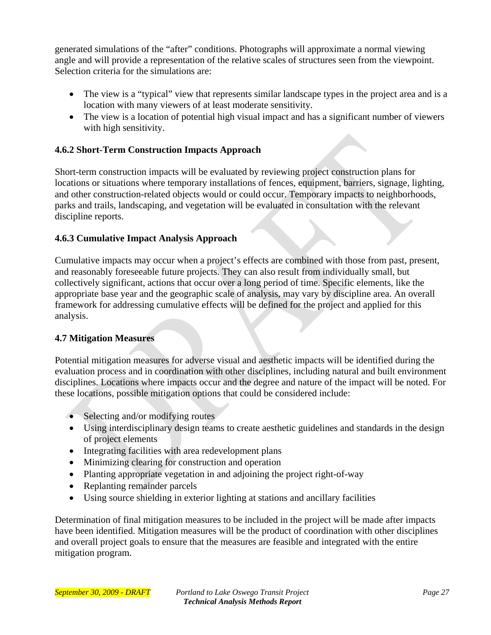generated simulations of the "after" conditions. Photographs will approximate a normal viewing angle and will provide a representation of the relative scales of structures seen from the viewpoint. Selection criteria for the simulations are:

- The view is a "typical" view that represents similar landscape types in the project area and is a location with many viewers of at least moderate sensitivity.
- The view is a location of potential high visual impact and has a significant number of viewers with high sensitivity.

# **4.6.2 Short-Term Construction Impacts Approach**

Short-term construction impacts will be evaluated by reviewing project construction plans for locations or situations where temporary installations of fences, equipment, barriers, signage, lighting, and other construction-related objects would or could occur. Temporary impacts to neighborhoods, parks and trails, landscaping, and vegetation will be evaluated in consultation with the relevant discipline reports.

## **4.6.3 Cumulative Impact Analysis Approach**

Cumulative impacts may occur when a project's effects are combined with those from past, present, and reasonably foreseeable future projects. They can also result from individually small, but collectively significant, actions that occur over a long period of time. Specific elements, like the appropriate base year and the geographic scale of analysis, may vary by discipline area. An overall framework for addressing cumulative effects will be defined for the project and applied for this analysis.

## **4.7 Mitigation Measures**

Potential mitigation measures for adverse visual and aesthetic impacts will be identified during the evaluation process and in coordination with other disciplines, including natural and built environment disciplines. Locations where impacts occur and the degree and nature of the impact will be noted. For these locations, possible mitigation options that could be considered include:

- $\bullet$  Selecting and/or modifying routes
- Using interdisciplinary design teams to create aesthetic guidelines and standards in the design of project elements
- Integrating facilities with area redevelopment plans
- Minimizing clearing for construction and operation
- Planting appropriate vegetation in and adjoining the project right-of-way
- Replanting remainder parcels
- Using source shielding in exterior lighting at stations and ancillary facilities

Determination of final mitigation measures to be included in the project will be made after impacts have been identified. Mitigation measures will be the product of coordination with other disciplines and overall project goals to ensure that the measures are feasible and integrated with the entire mitigation program.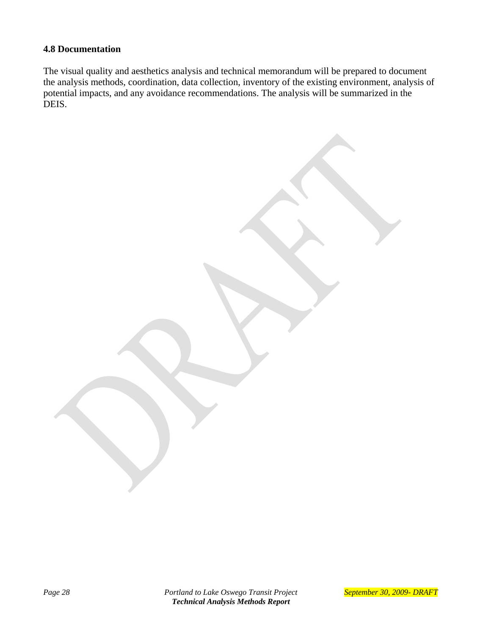## **4.8 Documentation**

The visual quality and aesthetics analysis and technical memorandum will be prepared to document the analysis methods, coordination, data collection, inventory of the existing environment, analysis of potential impacts, and any avoidance recommendations. The analysis will be summarized in the DEIS.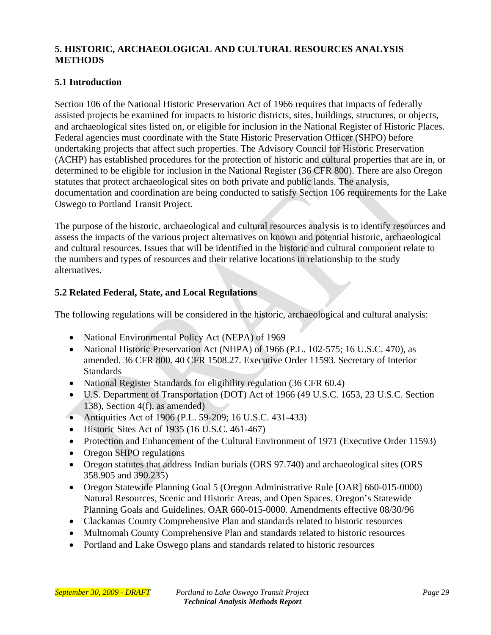# **5. HISTORIC, ARCHAEOLOGICAL AND CULTURAL RESOURCES ANALYSIS METHODS**

# **5.1 Introduction**

Section 106 of the National Historic Preservation Act of 1966 requires that impacts of federally assisted projects be examined for impacts to historic districts, sites, buildings, structures, or objects, and archaeological sites listed on, or eligible for inclusion in the National Register of Historic Places. Federal agencies must coordinate with the State Historic Preservation Officer (SHPO) before undertaking projects that affect such properties. The Advisory Council for Historic Preservation (ACHP) has established procedures for the protection of historic and cultural properties that are in, or determined to be eligible for inclusion in the National Register (36 CFR 800). There are also Oregon statutes that protect archaeological sites on both private and public lands. The analysis, documentation and coordination are being conducted to satisfy Section 106 requirements for the Lake Oswego to Portland Transit Project.

The purpose of the historic, archaeological and cultural resources analysis is to identify resources and assess the impacts of the various project alternatives on known and potential historic, archaeological and cultural resources. Issues that will be identified in the historic and cultural component relate to the numbers and types of resources and their relative locations in relationship to the study alternatives.

## **5.2 Related Federal, State, and Local Regulations**

The following regulations will be considered in the historic, archaeological and cultural analysis:

- National Environmental Policy Act (NEPA) of 1969
- National Historic Preservation Act (NHPA) of 1966 (P.L. 102-575; 16 U.S.C. 470), as amended. 36 CFR 800. 40 CFR 1508.27. Executive Order 11593. Secretary of Interior **Standards**
- National Register Standards for eligibility regulation (36 CFR 60.4)
- U.S. Department of Transportation (DOT) Act of 1966 (49 U.S.C. 1653, 23 U.S.C. Section 138), Section 4(f), as amended)
- Antiquities Act of 1906 (P.L. 59-209; 16 U.S.C. 431-433)
- Historic Sites Act of 1935 (16 U.S.C. 461-467)
- Protection and Enhancement of the Cultural Environment of 1971 (Executive Order 11593)
- Oregon SHPO regulations
- Oregon statutes that address Indian burials (ORS 97.740) and archaeological sites (ORS 358.905 and 390.235)
- Oregon Statewide Planning Goal 5 (Oregon Administrative Rule [OAR] 660-015-0000) Natural Resources, Scenic and Historic Areas, and Open Spaces. Oregon's Statewide Planning Goals and Guidelines. OAR 660-015-0000. Amendments effective 08/30/96
- Clackamas County Comprehensive Plan and standards related to historic resources
- Multnomah County Comprehensive Plan and standards related to historic resources
- Portland and Lake Oswego plans and standards related to historic resources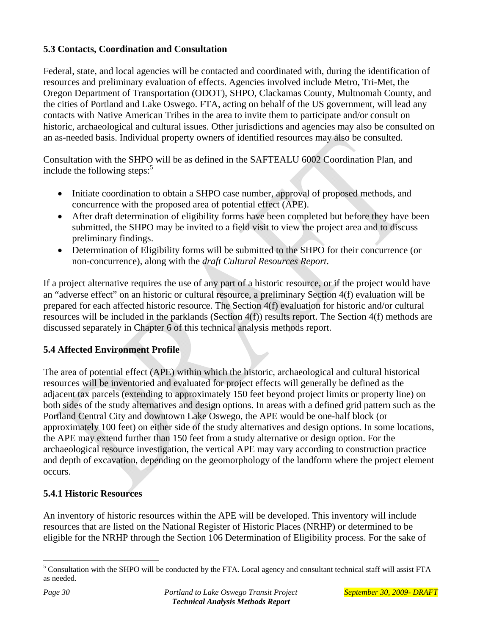# **5.3 Contacts, Coordination and Consultation**

Federal, state, and local agencies will be contacted and coordinated with, during the identification of resources and preliminary evaluation of effects. Agencies involved include Metro, Tri-Met, the Oregon Department of Transportation (ODOT), SHPO, Clackamas County, Multnomah County, and the cities of Portland and Lake Oswego. FTA, acting on behalf of the US government, will lead any contacts with Native American Tribes in the area to invite them to participate and/or consult on historic, archaeological and cultural issues. Other jurisdictions and agencies may also be consulted on an as-needed basis. Individual property owners of identified resources may also be consulted.

Consultation with the SHPO will be as defined in the SAFTEALU 6002 Coordination Plan, and include the following steps: $5$ 

- Initiate coordination to obtain a SHPO case number, approval of proposed methods, and concurrence with the proposed area of potential effect (APE).
- After draft determination of eligibility forms have been completed but before they have been submitted, the SHPO may be invited to a field visit to view the project area and to discuss preliminary findings.
- Determination of Eligibility forms will be submitted to the SHPO for their concurrence (or non-concurrence), along with the *draft Cultural Resources Report*.

If a project alternative requires the use of any part of a historic resource, or if the project would have an "adverse effect" on an historic or cultural resource, a preliminary Section 4(f) evaluation will be prepared for each affected historic resource. The Section 4(f) evaluation for historic and/or cultural resources will be included in the parklands (Section 4(f)) results report. The Section 4(f) methods are discussed separately in Chapter 6 of this technical analysis methods report.

## **5.4 Affected Environment Profile**

The area of potential effect (APE) within which the historic, archaeological and cultural historical resources will be inventoried and evaluated for project effects will generally be defined as the adjacent tax parcels (extending to approximately 150 feet beyond project limits or property line) on both sides of the study alternatives and design options. In areas with a defined grid pattern such as the Portland Central City and downtown Lake Oswego, the APE would be one-half block (or approximately 100 feet) on either side of the study alternatives and design options. In some locations, the APE may extend further than 150 feet from a study alternative or design option. For the archaeological resource investigation, the vertical APE may vary according to construction practice and depth of excavation, depending on the geomorphology of the landform where the project element occurs.

# **5.4.1 Historic Resources**

An inventory of historic resources within the APE will be developed. This inventory will include resources that are listed on the National Register of Historic Places (NRHP) or determined to be eligible for the NRHP through the Section 106 Determination of Eligibility process. For the sake of

 $\overline{a}$ <sup>5</sup> Consultation with the SHPO will be conducted by the FTA. Local agency and consultant technical staff will assist FTA as needed.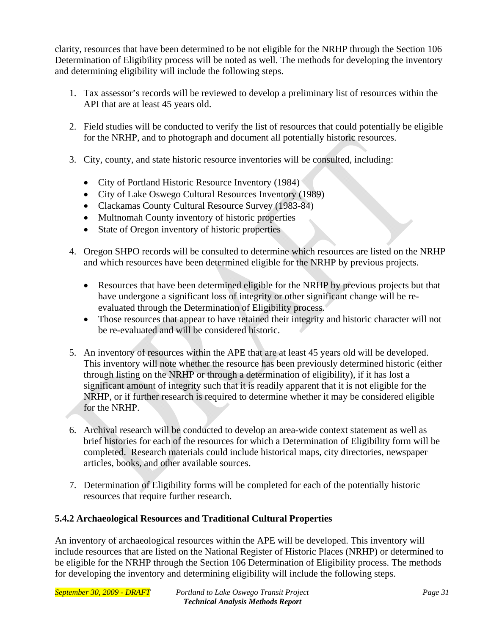clarity, resources that have been determined to be not eligible for the NRHP through the Section 106 Determination of Eligibility process will be noted as well. The methods for developing the inventory and determining eligibility will include the following steps.

- 1. Tax assessor's records will be reviewed to develop a preliminary list of resources within the API that are at least 45 years old.
- 2. Field studies will be conducted to verify the list of resources that could potentially be eligible for the NRHP, and to photograph and document all potentially historic resources.
- 3. City, county, and state historic resource inventories will be consulted, including:
	- City of Portland Historic Resource Inventory (1984)
	- City of Lake Oswego Cultural Resources Inventory (1989)
	- Clackamas County Cultural Resource Survey (1983-84)
	- Multnomah County inventory of historic properties
	- State of Oregon inventory of historic properties
- 4. Oregon SHPO records will be consulted to determine which resources are listed on the NRHP and which resources have been determined eligible for the NRHP by previous projects.
	- Resources that have been determined eligible for the NRHP by previous projects but that have undergone a significant loss of integrity or other significant change will be reevaluated through the Determination of Eligibility process.
	- Those resources that appear to have retained their integrity and historic character will not be re-evaluated and will be considered historic.
- 5. An inventory of resources within the APE that are at least 45 years old will be developed. This inventory will note whether the resource has been previously determined historic (either through listing on the NRHP or through a determination of eligibility), if it has lost a significant amount of integrity such that it is readily apparent that it is not eligible for the NRHP, or if further research is required to determine whether it may be considered eligible for the NRHP.
- 6. Archival research will be conducted to develop an area-wide context statement as well as brief histories for each of the resources for which a Determination of Eligibility form will be completed. Research materials could include historical maps, city directories, newspaper articles, books, and other available sources.
- 7. Determination of Eligibility forms will be completed for each of the potentially historic resources that require further research.

# **5.4.2 Archaeological Resources and Traditional Cultural Properties**

An inventory of archaeological resources within the APE will be developed. This inventory will include resources that are listed on the National Register of Historic Places (NRHP) or determined to be eligible for the NRHP through the Section 106 Determination of Eligibility process. The methods for developing the inventory and determining eligibility will include the following steps.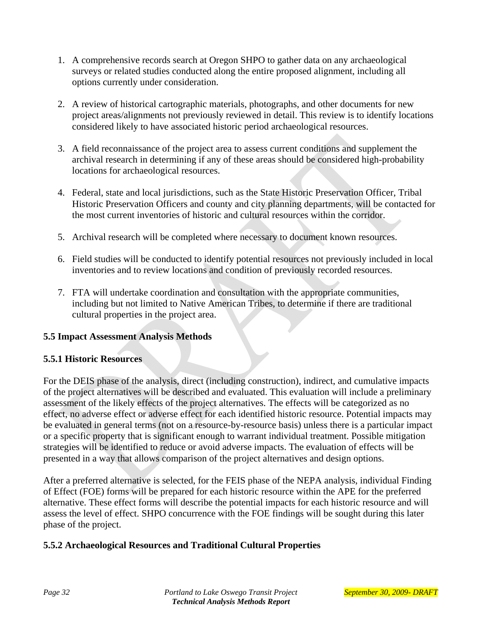- 1. A comprehensive records search at Oregon SHPO to gather data on any archaeological surveys or related studies conducted along the entire proposed alignment, including all options currently under consideration.
- 2. A review of historical cartographic materials, photographs, and other documents for new project areas/alignments not previously reviewed in detail. This review is to identify locations considered likely to have associated historic period archaeological resources.
- 3. A field reconnaissance of the project area to assess current conditions and supplement the archival research in determining if any of these areas should be considered high-probability locations for archaeological resources.
- 4. Federal, state and local jurisdictions, such as the State Historic Preservation Officer, Tribal Historic Preservation Officers and county and city planning departments, will be contacted for the most current inventories of historic and cultural resources within the corridor.
- 5. Archival research will be completed where necessary to document known resources.
- 6. Field studies will be conducted to identify potential resources not previously included in local inventories and to review locations and condition of previously recorded resources.
- 7. FTA will undertake coordination and consultation with the appropriate communities, including but not limited to Native American Tribes, to determine if there are traditional cultural properties in the project area.

## **5.5 Impact Assessment Analysis Methods**

## **5.5.1 Historic Resources**

For the DEIS phase of the analysis, direct (including construction), indirect, and cumulative impacts of the project alternatives will be described and evaluated. This evaluation will include a preliminary assessment of the likely effects of the project alternatives. The effects will be categorized as no effect, no adverse effect or adverse effect for each identified historic resource. Potential impacts may be evaluated in general terms (not on a resource-by-resource basis) unless there is a particular impact or a specific property that is significant enough to warrant individual treatment. Possible mitigation strategies will be identified to reduce or avoid adverse impacts. The evaluation of effects will be presented in a way that allows comparison of the project alternatives and design options.

After a preferred alternative is selected, for the FEIS phase of the NEPA analysis, individual Finding of Effect (FOE) forms will be prepared for each historic resource within the APE for the preferred alternative. These effect forms will describe the potential impacts for each historic resource and will assess the level of effect. SHPO concurrence with the FOE findings will be sought during this later phase of the project.

## **5.5.2 Archaeological Resources and Traditional Cultural Properties**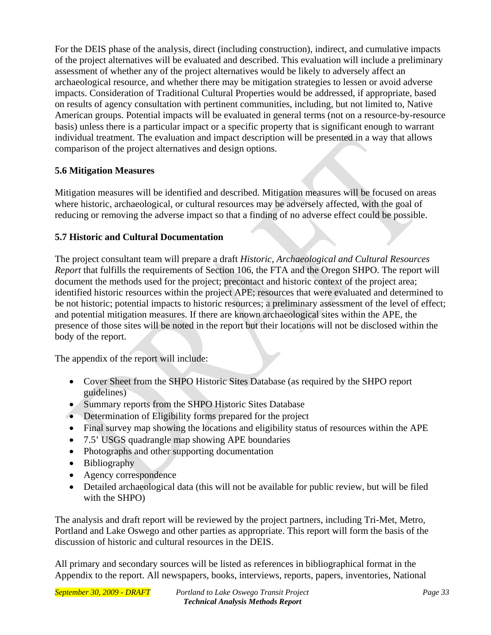For the DEIS phase of the analysis, direct (including construction), indirect, and cumulative impacts of the project alternatives will be evaluated and described. This evaluation will include a preliminary assessment of whether any of the project alternatives would be likely to adversely affect an archaeological resource, and whether there may be mitigation strategies to lessen or avoid adverse impacts. Consideration of Traditional Cultural Properties would be addressed, if appropriate, based on results of agency consultation with pertinent communities, including, but not limited to, Native American groups. Potential impacts will be evaluated in general terms (not on a resource-by-resource basis) unless there is a particular impact or a specific property that is significant enough to warrant individual treatment. The evaluation and impact description will be presented in a way that allows comparison of the project alternatives and design options.

### **5.6 Mitigation Measures**

Mitigation measures will be identified and described. Mitigation measures will be focused on areas where historic, archaeological, or cultural resources may be adversely affected, with the goal of reducing or removing the adverse impact so that a finding of no adverse effect could be possible.

#### **5.7 Historic and Cultural Documentation**

The project consultant team will prepare a draft *Historic, Archaeological and Cultural Resources Report* that fulfills the requirements of Section 106, the FTA and the Oregon SHPO. The report will document the methods used for the project; precontact and historic context of the project area; identified historic resources within the project APE; resources that were evaluated and determined to be not historic; potential impacts to historic resources; a preliminary assessment of the level of effect; and potential mitigation measures. If there are known archaeological sites within the APE, the presence of those sites will be noted in the report but their locations will not be disclosed within the body of the report.

The appendix of the report will include:

- Cover Sheet from the SHPO Historic Sites Database (as required by the SHPO report guidelines)
- Summary reports from the SHPO Historic Sites Database
- Determination of Eligibility forms prepared for the project
- Final survey map showing the locations and eligibility status of resources within the APE
- 7.5' USGS quadrangle map showing APE boundaries
- Photographs and other supporting documentation
- Bibliography
- Agency correspondence
- Detailed archaeological data (this will not be available for public review, but will be filed with the SHPO)

The analysis and draft report will be reviewed by the project partners, including Tri-Met, Metro, Portland and Lake Oswego and other parties as appropriate. This report will form the basis of the discussion of historic and cultural resources in the DEIS.

All primary and secondary sources will be listed as references in bibliographical format in the Appendix to the report. All newspapers, books, interviews, reports, papers, inventories, National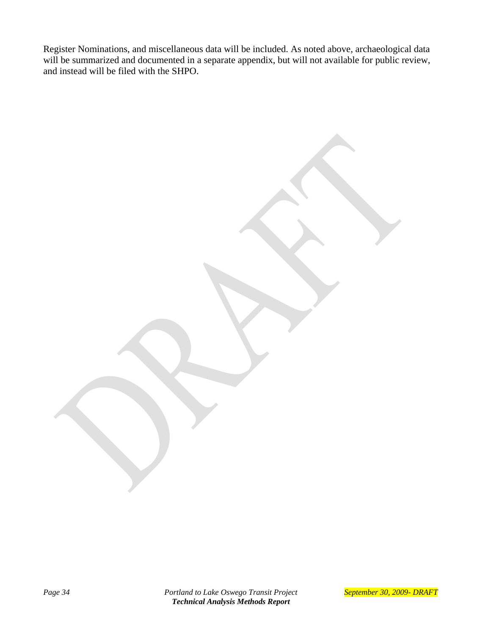Register Nominations, and miscellaneous data will be included. As noted above, archaeological data will be summarized and documented in a separate appendix, but will not available for public review, and instead will be filed with the SHPO.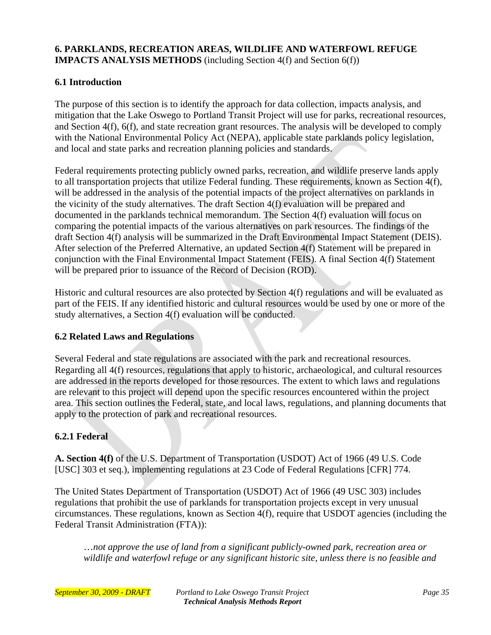#### **6. PARKLANDS, RECREATION AREAS, WILDLIFE AND WATERFOWL REFUGE IMPACTS ANALYSIS METHODS** (including Section 4(f) and Section 6(f))

### **6.1 Introduction**

The purpose of this section is to identify the approach for data collection, impacts analysis, and mitigation that the Lake Oswego to Portland Transit Project will use for parks, recreational resources, and Section 4(f), 6(f), and state recreation grant resources. The analysis will be developed to comply with the National Environmental Policy Act (NEPA), applicable state parklands policy legislation, and local and state parks and recreation planning policies and standards.

Federal requirements protecting publicly owned parks, recreation, and wildlife preserve lands apply to all transportation projects that utilize Federal funding. These requirements, known as Section 4(f), will be addressed in the analysis of the potential impacts of the project alternatives on parklands in the vicinity of the study alternatives. The draft Section 4(f) evaluation will be prepared and documented in the parklands technical memorandum. The Section 4(f) evaluation will focus on comparing the potential impacts of the various alternatives on park resources. The findings of the draft Section 4(f) analysis will be summarized in the Draft Environmental Impact Statement (DEIS). After selection of the Preferred Alternative, an updated Section 4(f) Statement will be prepared in conjunction with the Final Environmental Impact Statement (FEIS). A final Section 4(f) Statement will be prepared prior to issuance of the Record of Decision (ROD).

Historic and cultural resources are also protected by Section 4(f) regulations and will be evaluated as part of the FEIS. If any identified historic and cultural resources would be used by one or more of the study alternatives, a Section 4(f) evaluation will be conducted.

#### **6.2 Related Laws and Regulations**

Several Federal and state regulations are associated with the park and recreational resources. Regarding all 4(f) resources, regulations that apply to historic, archaeological, and cultural resources are addressed in the reports developed for those resources. The extent to which laws and regulations are relevant to this project will depend upon the specific resources encountered within the project area. This section outlines the Federal, state, and local laws, regulations, and planning documents that apply to the protection of park and recreational resources.

### **6.2.1 Federal**

**A. Section 4(f)** of the U.S. Department of Transportation (USDOT) Act of 1966 (49 U.S. Code [USC] 303 et seq.), implementing regulations at 23 Code of Federal Regulations [CFR] 774.

The United States Department of Transportation (USDOT) Act of 1966 (49 USC 303) includes regulations that prohibit the use of parklands for transportation projects except in very unusual circumstances. These regulations, known as Section 4(f), require that USDOT agencies (including the Federal Transit Administration (FTA)):

…*not approve the use of land from a significant publicly-owned park, recreation area or wildlife and waterfowl refuge or any significant historic site, unless there is no feasible and* 

*September 30, 2009 - DRAFT Portland to Lake Oswego Transit Project Page 35 Technical Analysis Methods Report*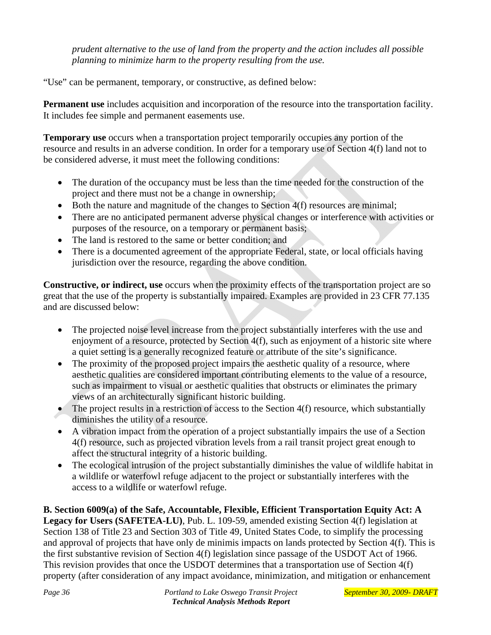*prudent alternative to the use of land from the property and the action includes all possible planning to minimize harm to the property resulting from the use.*

"Use" can be permanent, temporary, or constructive, as defined below:

**Permanent use** includes acquisition and incorporation of the resource into the transportation facility. It includes fee simple and permanent easements use.

**Temporary use** occurs when a transportation project temporarily occupies any portion of the resource and results in an adverse condition. In order for a temporary use of Section 4(f) land not to be considered adverse, it must meet the following conditions:

- The duration of the occupancy must be less than the time needed for the construction of the project and there must not be a change in ownership;
- $\bullet$  Both the nature and magnitude of the changes to Section 4(f) resources are minimal;
- There are no anticipated permanent adverse physical changes or interference with activities or purposes of the resource, on a temporary or permanent basis;
- The land is restored to the same or better condition: and
- There is a documented agreement of the appropriate Federal, state, or local officials having jurisdiction over the resource, regarding the above condition.

**Constructive, or indirect, use** occurs when the proximity effects of the transportation project are so great that the use of the property is substantially impaired. Examples are provided in 23 CFR 77.135 and are discussed below:

- The projected noise level increase from the project substantially interferes with the use and enjoyment of a resource, protected by Section 4(f), such as enjoyment of a historic site where a quiet setting is a generally recognized feature or attribute of the site's significance.
- The proximity of the proposed project impairs the aesthetic quality of a resource, where aesthetic qualities are considered important contributing elements to the value of a resource, such as impairment to visual or aesthetic qualities that obstructs or eliminates the primary views of an architecturally significant historic building.
- $\bullet$  The project results in a restriction of access to the Section 4(f) resource, which substantially diminishes the utility of a resource.
- A vibration impact from the operation of a project substantially impairs the use of a Section 4(f) resource, such as projected vibration levels from a rail transit project great enough to affect the structural integrity of a historic building.
- The ecological intrusion of the project substantially diminishes the value of wildlife habitat in a wildlife or waterfowl refuge adjacent to the project or substantially interferes with the access to a wildlife or waterfowl refuge.

**B. Section 6009(a) of the Safe, Accountable, Flexible, Efficient Transportation Equity Act: A Legacy for Users (SAFETEA-LU)**, Pub. L. 109-59, amended existing Section 4(f) legislation at Section 138 of Title 23 and Section 303 of Title 49, United States Code, to simplify the processing and approval of projects that have only de minimis impacts on lands protected by Section 4(f). This is the first substantive revision of Section 4(f) legislation since passage of the USDOT Act of 1966. This revision provides that once the USDOT determines that a transportation use of Section 4(f) property (after consideration of any impact avoidance, minimization, and mitigation or enhancement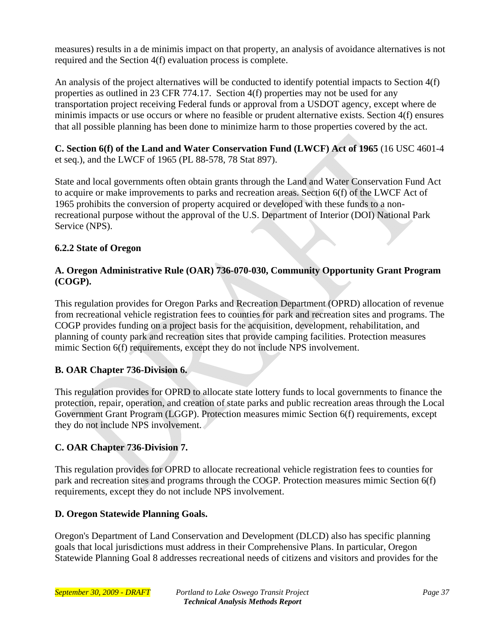measures) results in a de minimis impact on that property, an analysis of avoidance alternatives is not required and the Section 4(f) evaluation process is complete.

An analysis of the project alternatives will be conducted to identify potential impacts to Section 4(f) properties as outlined in 23 CFR 774.17. Section 4(f) properties may not be used for any transportation project receiving Federal funds or approval from a USDOT agency, except where de minimis impacts or use occurs or where no feasible or prudent alternative exists. Section 4(f) ensures that all possible planning has been done to minimize harm to those properties covered by the act.

**C. Section 6(f) of the Land and Water Conservation Fund (LWCF) Act of 1965** (16 USC 4601-4 et seq.), and the LWCF of 1965 (PL 88-578, 78 Stat 897).

State and local governments often obtain grants through the Land and Water Conservation Fund Act to acquire or make improvements to parks and recreation areas. Section 6(f) of the LWCF Act of 1965 prohibits the conversion of property acquired or developed with these funds to a nonrecreational purpose without the approval of the U.S. Department of Interior (DOI) National Park Service (NPS).

#### **6.2.2 State of Oregon**

#### **A. Oregon Administrative Rule (OAR) 736-070-030, Community Opportunity Grant Program (COGP).**

This regulation provides for Oregon Parks and Recreation Department (OPRD) allocation of revenue from recreational vehicle registration fees to counties for park and recreation sites and programs. The COGP provides funding on a project basis for the acquisition, development, rehabilitation, and planning of county park and recreation sites that provide camping facilities. Protection measures mimic Section 6(f) requirements, except they do not include NPS involvement.

#### **B. OAR Chapter 736-Division 6.**

This regulation provides for OPRD to allocate state lottery funds to local governments to finance the protection, repair, operation, and creation of state parks and public recreation areas through the Local Government Grant Program (LGGP). Protection measures mimic Section 6(f) requirements, except they do not include NPS involvement.

#### **C. OAR Chapter 736-Division 7.**

This regulation provides for OPRD to allocate recreational vehicle registration fees to counties for park and recreation sites and programs through the COGP. Protection measures mimic Section 6(f) requirements, except they do not include NPS involvement.

#### **D. Oregon Statewide Planning Goals.**

Oregon's Department of Land Conservation and Development (DLCD) also has specific planning goals that local jurisdictions must address in their Comprehensive Plans. In particular, Oregon Statewide Planning Goal 8 addresses recreational needs of citizens and visitors and provides for the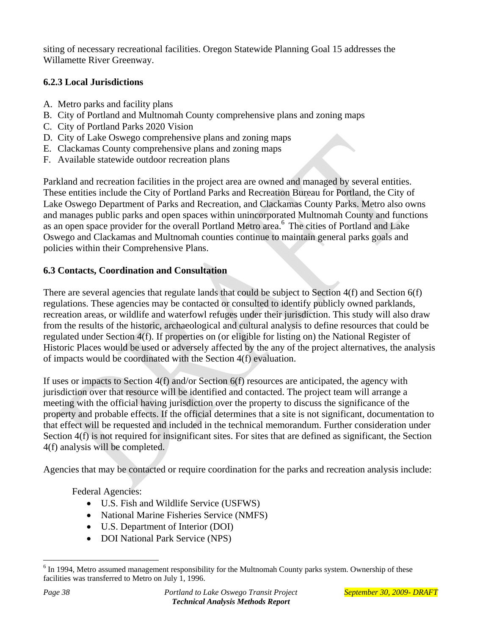siting of necessary recreational facilities. Oregon Statewide Planning Goal 15 addresses the Willamette River Greenway.

### **6.2.3 Local Jurisdictions**

- A. Metro parks and facility plans
- B. City of Portland and Multnomah County comprehensive plans and zoning maps
- C. City of Portland Parks 2020 Vision
- D. City of Lake Oswego comprehensive plans and zoning maps
- E. Clackamas County comprehensive plans and zoning maps
- F. Available statewide outdoor recreation plans

Parkland and recreation facilities in the project area are owned and managed by several entities. These entities include the City of Portland Parks and Recreation Bureau for Portland, the City of Lake Oswego Department of Parks and Recreation, and Clackamas County Parks. Metro also owns and manages public parks and open spaces within unincorporated Multnomah County and functions as an open space provider for the overall Portland Metro area.<sup>6</sup> The cities of Portland and Lake Oswego and Clackamas and Multnomah counties continue to maintain general parks goals and policies within their Comprehensive Plans.

### **6.3 Contacts, Coordination and Consultation**

There are several agencies that regulate lands that could be subject to Section 4(f) and Section 6(f) regulations. These agencies may be contacted or consulted to identify publicly owned parklands, recreation areas, or wildlife and waterfowl refuges under their jurisdiction. This study will also draw from the results of the historic, archaeological and cultural analysis to define resources that could be regulated under Section 4(f). If properties on (or eligible for listing on) the National Register of Historic Places would be used or adversely affected by the any of the project alternatives, the analysis of impacts would be coordinated with the Section 4(f) evaluation.

If uses or impacts to Section 4(f) and/or Section 6(f) resources are anticipated, the agency with jurisdiction over that resource will be identified and contacted. The project team will arrange a meeting with the official having jurisdiction over the property to discuss the significance of the property and probable effects. If the official determines that a site is not significant, documentation to that effect will be requested and included in the technical memorandum. Further consideration under Section 4(f) is not required for insignificant sites. For sites that are defined as significant, the Section 4(f) analysis will be completed.

Agencies that may be contacted or require coordination for the parks and recreation analysis include:

Federal Agencies:

- U.S. Fish and Wildlife Service (USFWS)
- National Marine Fisheries Service (NMFS)
- U.S. Department of Interior (DOI)
- DOI National Park Service (NPS)

1

<sup>&</sup>lt;sup>6</sup> In 1994, Metro assumed management responsibility for the Multnomah County parks system. Ownership of these facilities was transferred to Metro on July 1, 1996.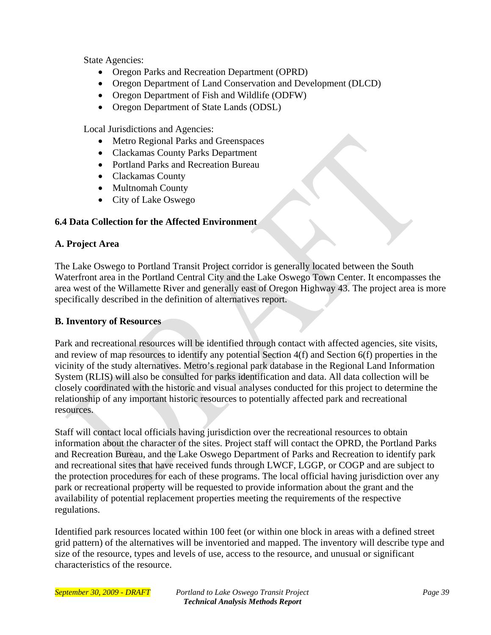State Agencies:

- Oregon Parks and Recreation Department (OPRD)
- Oregon Department of Land Conservation and Development (DLCD)
- Oregon Department of Fish and Wildlife (ODFW)
- Oregon Department of State Lands (ODSL)

Local Jurisdictions and Agencies:

- Metro Regional Parks and Greenspaces
- Clackamas County Parks Department
- Portland Parks and Recreation Bureau
- Clackamas County
- Multnomah County
- City of Lake Oswego

#### **6.4 Data Collection for the Affected Environment**

#### **A. Project Area**

The Lake Oswego to Portland Transit Project corridor is generally located between the South Waterfront area in the Portland Central City and the Lake Oswego Town Center. It encompasses the area west of the Willamette River and generally east of Oregon Highway 43. The project area is more specifically described in the definition of alternatives report.

#### **B. Inventory of Resources**

Park and recreational resources will be identified through contact with affected agencies, site visits, and review of map resources to identify any potential Section 4(f) and Section 6(f) properties in the vicinity of the study alternatives. Metro's regional park database in the Regional Land Information System (RLIS) will also be consulted for parks identification and data. All data collection will be closely coordinated with the historic and visual analyses conducted for this project to determine the relationship of any important historic resources to potentially affected park and recreational resources.

Staff will contact local officials having jurisdiction over the recreational resources to obtain information about the character of the sites. Project staff will contact the OPRD, the Portland Parks and Recreation Bureau, and the Lake Oswego Department of Parks and Recreation to identify park and recreational sites that have received funds through LWCF, LGGP, or COGP and are subject to the protection procedures for each of these programs. The local official having jurisdiction over any park or recreational property will be requested to provide information about the grant and the availability of potential replacement properties meeting the requirements of the respective regulations.

Identified park resources located within 100 feet (or within one block in areas with a defined street grid pattern) of the alternatives will be inventoried and mapped. The inventory will describe type and size of the resource, types and levels of use, access to the resource, and unusual or significant characteristics of the resource.

*September 30, 2009 - DRAFT Portland to Lake Oswego Transit Project Page 39 Technical Analysis Methods Report*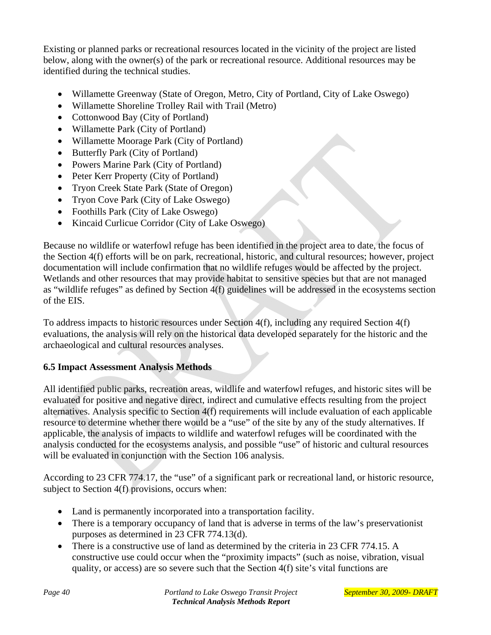Existing or planned parks or recreational resources located in the vicinity of the project are listed below, along with the owner(s) of the park or recreational resource. Additional resources may be identified during the technical studies.

- Willamette Greenway (State of Oregon, Metro, City of Portland, City of Lake Oswego)
- Willamette Shoreline Trolley Rail with Trail (Metro)
- Cottonwood Bay (City of Portland)
- Willamette Park (City of Portland)
- Willamette Moorage Park (City of Portland)
- Butterfly Park (City of Portland)
- Powers Marine Park (City of Portland)
- Peter Kerr Property (City of Portland)
- Tryon Creek State Park (State of Oregon)
- Tryon Cove Park (City of Lake Oswego)
- Foothills Park (City of Lake Oswego)
- Kincaid Curlicue Corridor (City of Lake Oswego)

Because no wildlife or waterfowl refuge has been identified in the project area to date, the focus of the Section 4(f) efforts will be on park, recreational, historic, and cultural resources; however, project documentation will include confirmation that no wildlife refuges would be affected by the project. Wetlands and other resources that may provide habitat to sensitive species but that are not managed as "wildlife refuges" as defined by Section 4(f) guidelines will be addressed in the ecosystems section of the EIS.

To address impacts to historic resources under Section 4(f), including any required Section 4(f) evaluations, the analysis will rely on the historical data developed separately for the historic and the archaeological and cultural resources analyses.

### **6.5 Impact Assessment Analysis Methods**

All identified public parks, recreation areas, wildlife and waterfowl refuges, and historic sites will be evaluated for positive and negative direct, indirect and cumulative effects resulting from the project alternatives. Analysis specific to Section 4(f) requirements will include evaluation of each applicable resource to determine whether there would be a "use" of the site by any of the study alternatives. If applicable, the analysis of impacts to wildlife and waterfowl refuges will be coordinated with the analysis conducted for the ecosystems analysis, and possible "use" of historic and cultural resources will be evaluated in conjunction with the Section 106 analysis.

According to 23 CFR 774.17, the "use" of a significant park or recreational land, or historic resource, subject to Section 4(f) provisions, occurs when:

- Land is permanently incorporated into a transportation facility.
- There is a temporary occupancy of land that is adverse in terms of the law's preservationist purposes as determined in 23 CFR 774.13(d).
- There is a constructive use of land as determined by the criteria in 23 CFR 774.15. A constructive use could occur when the "proximity impacts" (such as noise, vibration, visual quality, or access) are so severe such that the Section 4(f) site's vital functions are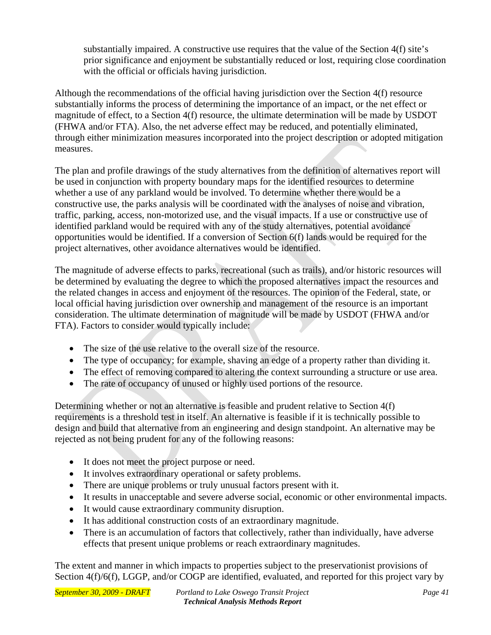substantially impaired. A constructive use requires that the value of the Section 4(f) site's prior significance and enjoyment be substantially reduced or lost, requiring close coordination with the official or officials having jurisdiction.

Although the recommendations of the official having jurisdiction over the Section 4(f) resource substantially informs the process of determining the importance of an impact, or the net effect or magnitude of effect, to a Section 4(f) resource, the ultimate determination will be made by USDOT (FHWA and/or FTA). Also, the net adverse effect may be reduced, and potentially eliminated, through either minimization measures incorporated into the project description or adopted mitigation measures.

The plan and profile drawings of the study alternatives from the definition of alternatives report will be used in conjunction with property boundary maps for the identified resources to determine whether a use of any parkland would be involved. To determine whether there would be a constructive use, the parks analysis will be coordinated with the analyses of noise and vibration, traffic, parking, access, non-motorized use, and the visual impacts. If a use or constructive use of identified parkland would be required with any of the study alternatives, potential avoidance opportunities would be identified. If a conversion of Section 6(f) lands would be required for the project alternatives, other avoidance alternatives would be identified.

The magnitude of adverse effects to parks, recreational (such as trails), and/or historic resources will be determined by evaluating the degree to which the proposed alternatives impact the resources and the related changes in access and enjoyment of the resources. The opinion of the Federal, state, or local official having jurisdiction over ownership and management of the resource is an important consideration. The ultimate determination of magnitude will be made by USDOT (FHWA and/or FTA). Factors to consider would typically include:

- The size of the use relative to the overall size of the resource.
- The type of occupancy; for example, shaving an edge of a property rather than dividing it.
- The effect of removing compared to altering the context surrounding a structure or use area.
- The rate of occupancy of unused or highly used portions of the resource.

Determining whether or not an alternative is feasible and prudent relative to Section 4(f) requirements is a threshold test in itself. An alternative is feasible if it is technically possible to design and build that alternative from an engineering and design standpoint. An alternative may be rejected as not being prudent for any of the following reasons:

- It does not meet the project purpose or need.
- It involves extraordinary operational or safety problems.
- There are unique problems or truly unusual factors present with it.
- It results in unacceptable and severe adverse social, economic or other environmental impacts.
- It would cause extraordinary community disruption.
- It has additional construction costs of an extraordinary magnitude.
- There is an accumulation of factors that collectively, rather than individually, have adverse effects that present unique problems or reach extraordinary magnitudes.

The extent and manner in which impacts to properties subject to the preservationist provisions of Section 4(f)/6(f), LGGP, and/or COGP are identified, evaluated, and reported for this project vary by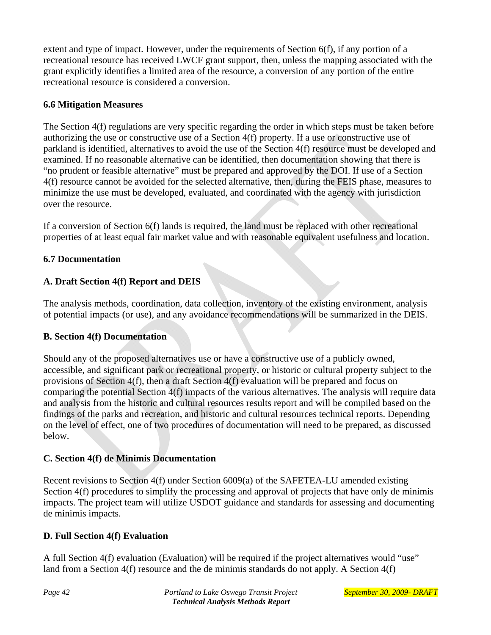extent and type of impact. However, under the requirements of Section 6(f), if any portion of a recreational resource has received LWCF grant support, then, unless the mapping associated with the grant explicitly identifies a limited area of the resource, a conversion of any portion of the entire recreational resource is considered a conversion.

### **6.6 Mitigation Measures**

The Section 4(f) regulations are very specific regarding the order in which steps must be taken before authorizing the use or constructive use of a Section 4(f) property. If a use or constructive use of parkland is identified, alternatives to avoid the use of the Section 4(f) resource must be developed and examined. If no reasonable alternative can be identified, then documentation showing that there is "no prudent or feasible alternative" must be prepared and approved by the DOI. If use of a Section 4(f) resource cannot be avoided for the selected alternative, then, during the FEIS phase, measures to minimize the use must be developed, evaluated, and coordinated with the agency with jurisdiction over the resource.

If a conversion of Section 6(f) lands is required, the land must be replaced with other recreational properties of at least equal fair market value and with reasonable equivalent usefulness and location.

### **6.7 Documentation**

### **A. Draft Section 4(f) Report and DEIS**

The analysis methods, coordination, data collection, inventory of the existing environment, analysis of potential impacts (or use), and any avoidance recommendations will be summarized in the DEIS.

#### **B. Section 4(f) Documentation**

Should any of the proposed alternatives use or have a constructive use of a publicly owned, accessible, and significant park or recreational property, or historic or cultural property subject to the provisions of Section 4(f), then a draft Section 4(f) evaluation will be prepared and focus on comparing the potential Section 4(f) impacts of the various alternatives. The analysis will require data and analysis from the historic and cultural resources results report and will be compiled based on the findings of the parks and recreation, and historic and cultural resources technical reports. Depending on the level of effect, one of two procedures of documentation will need to be prepared, as discussed below.

#### **C. Section 4(f) de Minimis Documentation**

Recent revisions to Section 4(f) under Section 6009(a) of the SAFETEA-LU amended existing Section 4(f) procedures to simplify the processing and approval of projects that have only de minimis impacts. The project team will utilize USDOT guidance and standards for assessing and documenting de minimis impacts.

#### **D. Full Section 4(f) Evaluation**

A full Section 4(f) evaluation (Evaluation) will be required if the project alternatives would "use" land from a Section 4(f) resource and the de minimis standards do not apply. A Section 4(f)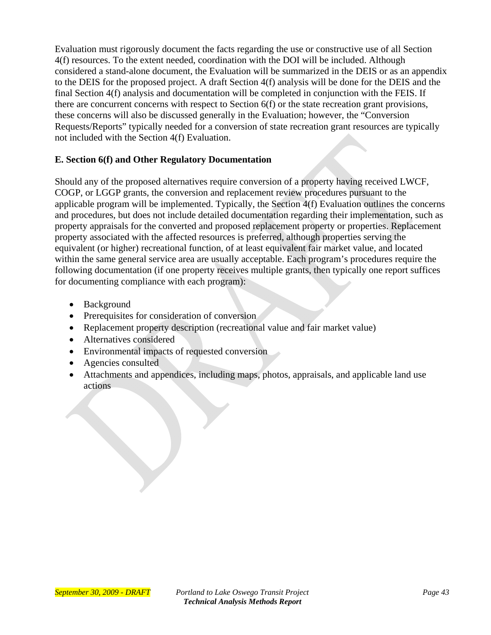Evaluation must rigorously document the facts regarding the use or constructive use of all Section 4(f) resources. To the extent needed, coordination with the DOI will be included. Although considered a stand-alone document, the Evaluation will be summarized in the DEIS or as an appendix to the DEIS for the proposed project. A draft Section 4(f) analysis will be done for the DEIS and the final Section 4(f) analysis and documentation will be completed in conjunction with the FEIS. If there are concurrent concerns with respect to Section 6(f) or the state recreation grant provisions, these concerns will also be discussed generally in the Evaluation; however, the "Conversion Requests/Reports" typically needed for a conversion of state recreation grant resources are typically not included with the Section 4(f) Evaluation.

#### **E. Section 6(f) and Other Regulatory Documentation**

Should any of the proposed alternatives require conversion of a property having received LWCF, COGP, or LGGP grants, the conversion and replacement review procedures pursuant to the applicable program will be implemented. Typically, the Section 4(f) Evaluation outlines the concerns and procedures, but does not include detailed documentation regarding their implementation, such as property appraisals for the converted and proposed replacement property or properties. Replacement property associated with the affected resources is preferred, although properties serving the equivalent (or higher) recreational function, of at least equivalent fair market value, and located within the same general service area are usually acceptable. Each program's procedures require the following documentation (if one property receives multiple grants, then typically one report suffices for documenting compliance with each program):

- Background
- Prerequisites for consideration of conversion
- Replacement property description (recreational value and fair market value)
- Alternatives considered
- Environmental impacts of requested conversion
- Agencies consulted
- Attachments and appendices, including maps, photos, appraisals, and applicable land use actions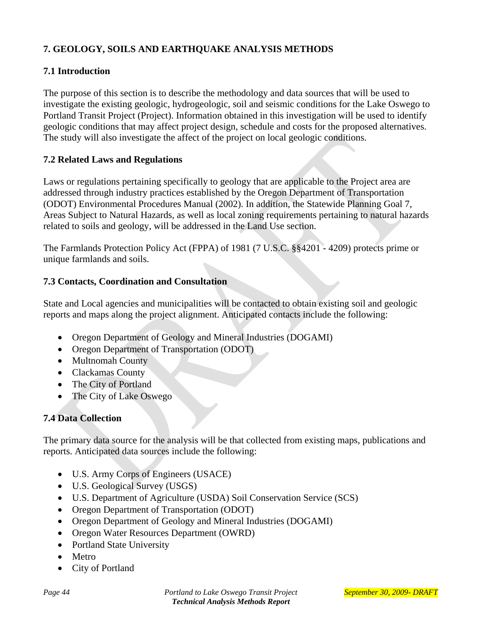# **7. GEOLOGY, SOILS AND EARTHQUAKE ANALYSIS METHODS**

### **7.1 Introduction**

The purpose of this section is to describe the methodology and data sources that will be used to investigate the existing geologic, hydrogeologic, soil and seismic conditions for the Lake Oswego to Portland Transit Project (Project). Information obtained in this investigation will be used to identify geologic conditions that may affect project design, schedule and costs for the proposed alternatives. The study will also investigate the affect of the project on local geologic conditions.

### **7.2 Related Laws and Regulations**

Laws or regulations pertaining specifically to geology that are applicable to the Project area are addressed through industry practices established by the Oregon Department of Transportation (ODOT) Environmental Procedures Manual (2002). In addition, the Statewide Planning Goal 7, Areas Subject to Natural Hazards, as well as local zoning requirements pertaining to natural hazards related to soils and geology, will be addressed in the Land Use section.

The Farmlands Protection Policy Act (FPPA) of 1981 (7 U.S.C. §§4201 - 4209) protects prime or unique farmlands and soils.

### **7.3 Contacts, Coordination and Consultation**

State and Local agencies and municipalities will be contacted to obtain existing soil and geologic reports and maps along the project alignment. Anticipated contacts include the following:

- Oregon Department of Geology and Mineral Industries (DOGAMI)
- Oregon Department of Transportation (ODOT)
- Multnomah County
- Clackamas County
- The City of Portland
- The City of Lake Oswego

### **7.4 Data Collection**

The primary data source for the analysis will be that collected from existing maps, publications and reports. Anticipated data sources include the following:

- U.S. Army Corps of Engineers (USACE)
- U.S. Geological Survey (USGS)
- U.S. Department of Agriculture (USDA) Soil Conservation Service (SCS)
- Oregon Department of Transportation (ODOT)
- Oregon Department of Geology and Mineral Industries (DOGAMI)
- Oregon Water Resources Department (OWRD)
- Portland State University
- Metro
- City of Portland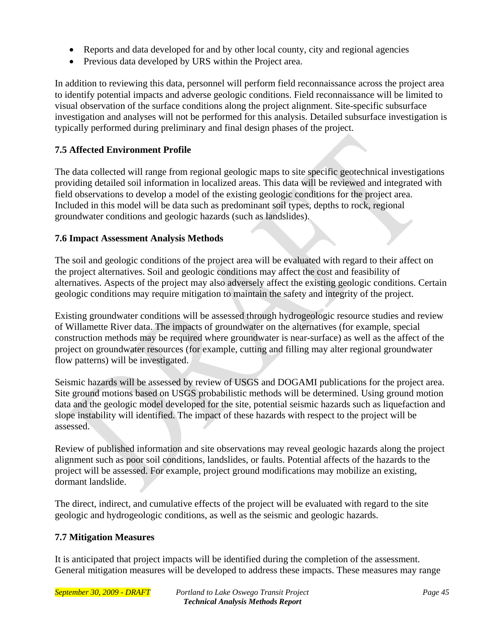- Reports and data developed for and by other local county, city and regional agencies
- Previous data developed by URS within the Project area.

In addition to reviewing this data, personnel will perform field reconnaissance across the project area to identify potential impacts and adverse geologic conditions. Field reconnaissance will be limited to visual observation of the surface conditions along the project alignment. Site-specific subsurface investigation and analyses will not be performed for this analysis. Detailed subsurface investigation is typically performed during preliminary and final design phases of the project.

### **7.5 Affected Environment Profile**

The data collected will range from regional geologic maps to site specific geotechnical investigations providing detailed soil information in localized areas. This data will be reviewed and integrated with field observations to develop a model of the existing geologic conditions for the project area. Included in this model will be data such as predominant soil types, depths to rock, regional groundwater conditions and geologic hazards (such as landslides).

### **7.6 Impact Assessment Analysis Methods**

The soil and geologic conditions of the project area will be evaluated with regard to their affect on the project alternatives. Soil and geologic conditions may affect the cost and feasibility of alternatives. Aspects of the project may also adversely affect the existing geologic conditions. Certain geologic conditions may require mitigation to maintain the safety and integrity of the project.

Existing groundwater conditions will be assessed through hydrogeologic resource studies and review of Willamette River data. The impacts of groundwater on the alternatives (for example, special construction methods may be required where groundwater is near-surface) as well as the affect of the project on groundwater resources (for example, cutting and filling may alter regional groundwater flow patterns) will be investigated.

Seismic hazards will be assessed by review of USGS and DOGAMI publications for the project area. Site ground motions based on USGS probabilistic methods will be determined. Using ground motion data and the geologic model developed for the site, potential seismic hazards such as liquefaction and slope instability will identified. The impact of these hazards with respect to the project will be assessed.

Review of published information and site observations may reveal geologic hazards along the project alignment such as poor soil conditions, landslides, or faults. Potential affects of the hazards to the project will be assessed. For example, project ground modifications may mobilize an existing, dormant landslide.

The direct, indirect, and cumulative effects of the project will be evaluated with regard to the site geologic and hydrogeologic conditions, as well as the seismic and geologic hazards.

### **7.7 Mitigation Measures**

It is anticipated that project impacts will be identified during the completion of the assessment. General mitigation measures will be developed to address these impacts. These measures may range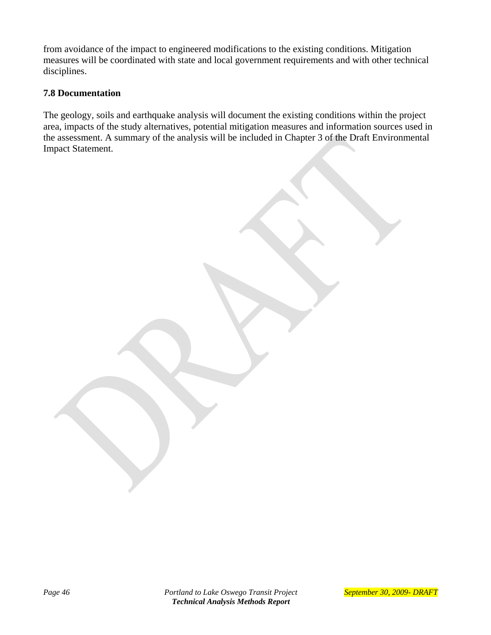from avoidance of the impact to engineered modifications to the existing conditions. Mitigation measures will be coordinated with state and local government requirements and with other technical disciplines.

### **7.8 Documentation**

The geology, soils and earthquake analysis will document the existing conditions within the project area, impacts of the study alternatives, potential mitigation measures and information sources used in the assessment. A summary of the analysis will be included in Chapter 3 of the Draft Environmental Impact Statement.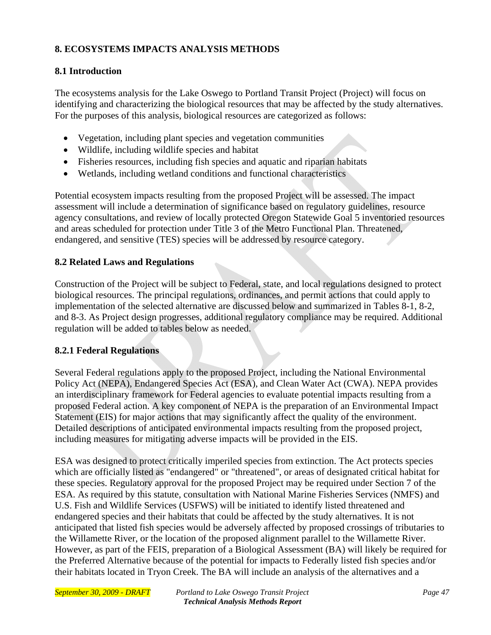### **8. ECOSYSTEMS IMPACTS ANALYSIS METHODS**

#### **8.1 Introduction**

The ecosystems analysis for the Lake Oswego to Portland Transit Project (Project) will focus on identifying and characterizing the biological resources that may be affected by the study alternatives. For the purposes of this analysis, biological resources are categorized as follows:

- Vegetation, including plant species and vegetation communities
- Wildlife, including wildlife species and habitat
- Fisheries resources, including fish species and aquatic and riparian habitats
- Wetlands, including wetland conditions and functional characteristics

Potential ecosystem impacts resulting from the proposed Project will be assessed. The impact assessment will include a determination of significance based on regulatory guidelines, resource agency consultations, and review of locally protected Oregon Statewide Goal 5 inventoried resources and areas scheduled for protection under Title 3 of the Metro Functional Plan. Threatened, endangered, and sensitive (TES) species will be addressed by resource category.

#### **8.2 Related Laws and Regulations**

Construction of the Project will be subject to Federal, state, and local regulations designed to protect biological resources. The principal regulations, ordinances, and permit actions that could apply to implementation of the selected alternative are discussed below and summarized in Tables 8-1, 8-2, and 8-3. As Project design progresses, additional regulatory compliance may be required. Additional regulation will be added to tables below as needed.

#### **8.2.1 Federal Regulations**

Several Federal regulations apply to the proposed Project, including the National Environmental Policy Act (NEPA), Endangered Species Act (ESA), and Clean Water Act (CWA). NEPA provides an interdisciplinary framework for Federal agencies to evaluate potential impacts resulting from a proposed Federal action. A key component of NEPA is the preparation of an Environmental Impact Statement (EIS) for major actions that may significantly affect the quality of the environment. Detailed descriptions of anticipated environmental impacts resulting from the proposed project, including measures for mitigating adverse impacts will be provided in the EIS.

ESA was designed to protect critically imperiled species from extinction. The Act protects species which are officially listed as "endangered" or "threatened", or areas of designated critical habitat for these species. Regulatory approval for the proposed Project may be required under Section 7 of the ESA. As required by this statute, consultation with National Marine Fisheries Services (NMFS) and U.S. Fish and Wildlife Services (USFWS) will be initiated to identify listed threatened and endangered species and their habitats that could be affected by the study alternatives. It is not anticipated that listed fish species would be adversely affected by proposed crossings of tributaries to the Willamette River, or the location of the proposed alignment parallel to the Willamette River. However, as part of the FEIS, preparation of a Biological Assessment (BA) will likely be required for the Preferred Alternative because of the potential for impacts to Federally listed fish species and/or their habitats located in Tryon Creek. The BA will include an analysis of the alternatives and a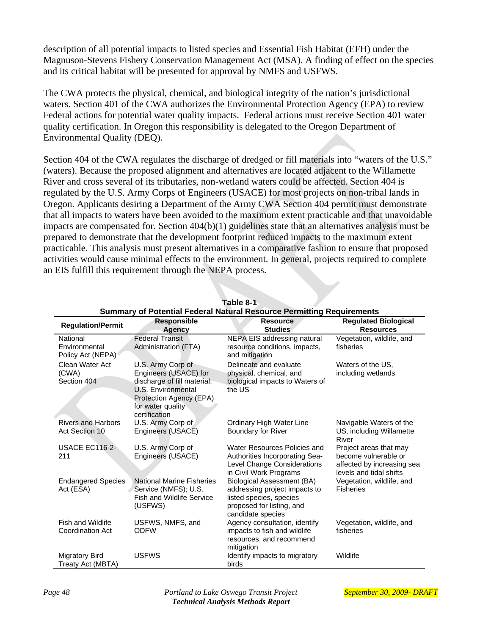description of all potential impacts to listed species and Essential Fish Habitat (EFH) under the Magnuson-Stevens Fishery Conservation Management Act (MSA). A finding of effect on the species and its critical habitat will be presented for approval by NMFS and USFWS.

The CWA protects the physical, chemical, and biological integrity of the nation's jurisdictional waters. Section 401 of the CWA authorizes the Environmental Protection Agency (EPA) to review Federal actions for potential water quality impacts. Federal actions must receive Section 401 water quality certification. In Oregon this responsibility is delegated to the Oregon Department of Environmental Quality (DEQ).

Section 404 of the CWA regulates the discharge of dredged or fill materials into "waters of the U.S." (waters). Because the proposed alignment and alternatives are located adjacent to the Willamette River and cross several of its tributaries, non-wetland waters could be affected. Section 404 is regulated by the U.S. Army Corps of Engineers (USACE) for most projects on non-tribal lands in Oregon. Applicants desiring a Department of the Army CWA Section 404 permit must demonstrate that all impacts to waters have been avoided to the maximum extent practicable and that unavoidable impacts are compensated for. Section 404(b)(1) guidelines state that an alternatives analysis must be prepared to demonstrate that the development footprint reduced impacts to the maximum extent practicable. This analysis must present alternatives in a comparative fashion to ensure that proposed activities would cause minimal effects to the environment. In general, projects required to complete an EIS fulfill this requirement through the NEPA process.

| <b>Summary of Potential Federal Natural Resource Permitting Requirements</b> |                                                                                                                                                                  |                                                                                                                                          |                                                                                                         |
|------------------------------------------------------------------------------|------------------------------------------------------------------------------------------------------------------------------------------------------------------|------------------------------------------------------------------------------------------------------------------------------------------|---------------------------------------------------------------------------------------------------------|
| <b>Regulation/Permit</b>                                                     | <b>Responsible</b><br>Agency                                                                                                                                     | <b>Resource</b><br><b>Studies</b>                                                                                                        | <b>Regulated Biological</b><br><b>Resources</b>                                                         |
| National<br>Environmental<br>Policy Act (NEPA)                               | <b>Federal Transit</b><br>Administration (FTA)                                                                                                                   | NEPA EIS addressing natural<br>resource conditions, impacts,<br>and mitigation                                                           | Vegetation, wildlife, and<br>fisheries                                                                  |
| Clean Water Act<br>(CWA)<br>Section 404                                      | U.S. Army Corp of<br>Engineers (USACE) for<br>discharge of fill material;<br>U.S. Environmental<br>Protection Agency (EPA)<br>for water quality<br>certification | Delineate and evaluate<br>physical, chemical, and<br>biological impacts to Waters of<br>the US                                           | Waters of the US,<br>including wetlands                                                                 |
| <b>Rivers and Harbors</b><br><b>Act Section 10</b>                           | U.S. Army Corp of<br>Engineers (USACE)                                                                                                                           | Ordinary High Water Line<br><b>Boundary for River</b>                                                                                    | Navigable Waters of the<br>US, including Willamette<br>River                                            |
| <b>USACE EC116-2-</b><br>211                                                 | U.S. Army Corp of<br>Engineers (USACE)                                                                                                                           | Water Resources Policies and<br>Authorities Incorporating Sea-<br><b>Level Change Considerations</b><br>in Civil Work Programs           | Project areas that may<br>become vulnerable or<br>affected by increasing sea<br>levels and tidal shifts |
| <b>Endangered Species</b><br>Act (ESA)                                       | <b>National Marine Fisheries</b><br>Service (NMFS); U.S.<br><b>Fish and Wildlife Service</b><br>(USFWS)                                                          | Biological Assessment (BA)<br>addressing project impacts to<br>listed species, species<br>proposed for listing, and<br>candidate species | Vegetation, wildlife, and<br><b>Fisheries</b>                                                           |
| <b>Fish and Wildlife</b><br><b>Coordination Act</b>                          | USFWS, NMFS, and<br><b>ODFW</b>                                                                                                                                  | Agency consultation, identify<br>impacts to fish and wildlife<br>resources, and recommend<br>mitigation                                  | Vegetation, wildlife, and<br>fisheries                                                                  |
| <b>Migratory Bird</b><br>Treaty Act (MBTA)                                   | <b>USFWS</b>                                                                                                                                                     | Identify impacts to migratory<br>birds                                                                                                   | Wildlife                                                                                                |

# **Table 8-1**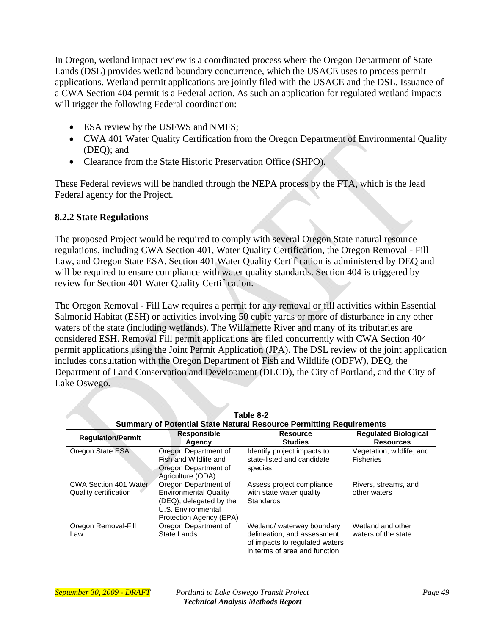In Oregon, wetland impact review is a coordinated process where the Oregon Department of State Lands (DSL) provides wetland boundary concurrence, which the USACE uses to process permit applications. Wetland permit applications are jointly filed with the USACE and the DSL. Issuance of a CWA Section 404 permit is a Federal action. As such an application for regulated wetland impacts will trigger the following Federal coordination:

- ESA review by the USFWS and NMFS;
- CWA 401 Water Quality Certification from the Oregon Department of Environmental Quality (DEQ); and
- Clearance from the State Historic Preservation Office (SHPO).

These Federal reviews will be handled through the NEPA process by the FTA, which is the lead Federal agency for the Project.

### **8.2.2 State Regulations**

The proposed Project would be required to comply with several Oregon State natural resource regulations, including CWA Section 401, Water Quality Certification, the Oregon Removal - Fill Law, and Oregon State ESA. Section 401 Water Quality Certification is administered by DEQ and will be required to ensure compliance with water quality standards. Section 404 is triggered by review for Section 401 Water Quality Certification.

The Oregon Removal - Fill Law requires a permit for any removal or fill activities within Essential Salmonid Habitat (ESH) or activities involving 50 cubic yards or more of disturbance in any other waters of the state (including wetlands). The Willamette River and many of its tributaries are considered ESH. Removal Fill permit applications are filed concurrently with CWA Section 404 permit applications using the Joint Permit Application (JPA). The DSL review of the joint application includes consultation with the Oregon Department of Fish and Wildlife (ODFW), DEQ, the Department of Land Conservation and Development (DLCD), the City of Portland, and the City of Lake Oswego.

|                                                                            |                                                                                                                                  | Table 8-2                                                                                                                   |                                                 |  |
|----------------------------------------------------------------------------|----------------------------------------------------------------------------------------------------------------------------------|-----------------------------------------------------------------------------------------------------------------------------|-------------------------------------------------|--|
| <b>Summary of Potential State Natural Resource Permitting Requirements</b> |                                                                                                                                  |                                                                                                                             |                                                 |  |
| <b>Requlation/Permit</b>                                                   | <b>Responsible</b><br>Agency                                                                                                     | <b>Resource</b><br><b>Studies</b>                                                                                           | <b>Regulated Biological</b><br><b>Resources</b> |  |
| Oregon State ESA                                                           | Oregon Department of<br>Fish and Wildlife and<br>Oregon Department of<br>Agriculture (ODA)                                       | Identify project impacts to<br>state-listed and candidate<br>species                                                        | Vegetation, wildlife, and<br><b>Fisheries</b>   |  |
| CWA Section 401 Water<br>Quality certification                             | Oregon Department of<br><b>Environmental Quality</b><br>(DEQ); delegated by the<br>U.S. Environmental<br>Protection Agency (EPA) | Assess project compliance<br>with state water quality<br><b>Standards</b>                                                   | Rivers, streams, and<br>other waters            |  |
| Oregon Removal-Fill<br>Law                                                 | Oregon Department of<br>State Lands                                                                                              | Wetland/waterway boundary<br>delineation, and assessment<br>of impacts to regulated waters<br>in terms of area and function | Wetland and other<br>waters of the state        |  |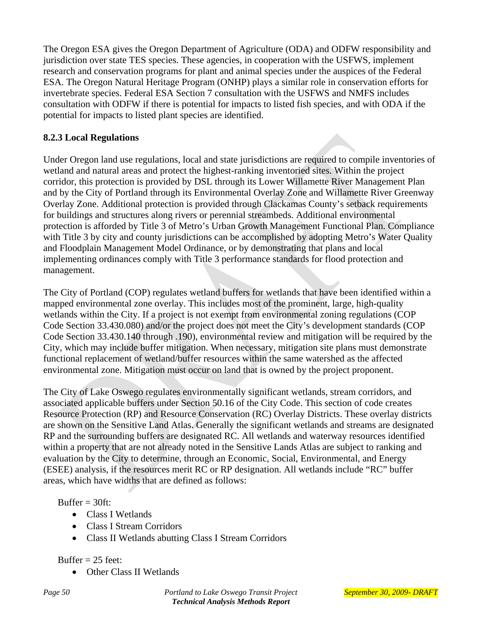The Oregon ESA gives the Oregon Department of Agriculture (ODA) and ODFW responsibility and jurisdiction over state TES species. These agencies, in cooperation with the USFWS, implement research and conservation programs for plant and animal species under the auspices of the Federal ESA. The Oregon Natural Heritage Program (ONHP) plays a similar role in conservation efforts for invertebrate species. Federal ESA Section 7 consultation with the USFWS and NMFS includes consultation with ODFW if there is potential for impacts to listed fish species, and with ODA if the potential for impacts to listed plant species are identified.

### **8.2.3 Local Regulations**

Under Oregon land use regulations, local and state jurisdictions are required to compile inventories of wetland and natural areas and protect the highest-ranking inventoried sites. Within the project corridor, this protection is provided by DSL through its Lower Willamette River Management Plan and by the City of Portland through its Environmental Overlay Zone and Willamette River Greenway Overlay Zone. Additional protection is provided through Clackamas County's setback requirements for buildings and structures along rivers or perennial streambeds. Additional environmental protection is afforded by Title 3 of Metro's Urban Growth Management Functional Plan. Compliance with Title 3 by city and county jurisdictions can be accomplished by adopting Metro's Water Quality and Floodplain Management Model Ordinance, or by demonstrating that plans and local implementing ordinances comply with Title 3 performance standards for flood protection and management.

The City of Portland (COP) regulates wetland buffers for wetlands that have been identified within a mapped environmental zone overlay. This includes most of the prominent, large, high-quality wetlands within the City. If a project is not exempt from environmental zoning regulations (COP Code Section 33.430.080) and/or the project does not meet the City's development standards (COP Code Section 33.430.140 through .190), environmental review and mitigation will be required by the City, which may include buffer mitigation. When necessary, mitigation site plans must demonstrate functional replacement of wetland/buffer resources within the same watershed as the affected environmental zone. Mitigation must occur on land that is owned by the project proponent.

The City of Lake Oswego regulates environmentally significant wetlands, stream corridors, and associated applicable buffers under Section 50.16 of the City Code. This section of code creates Resource Protection (RP) and Resource Conservation (RC) Overlay Districts. These overlay districts are shown on the Sensitive Land Atlas. Generally the significant wetlands and streams are designated RP and the surrounding buffers are designated RC. All wetlands and waterway resources identified within a property that are not already noted in the Sensitive Lands Atlas are subject to ranking and evaluation by the City to determine, through an Economic, Social, Environmental, and Energy (ESEE) analysis, if the resources merit RC or RP designation. All wetlands include "RC" buffer areas, which have widths that are defined as follows:

#### Buffer  $= 30$ ft:

- Class I Wetlands
- Class I Stream Corridors
- Class II Wetlands abutting Class I Stream Corridors

#### Buffer  $= 25$  feet:

• Other Class II Wetlands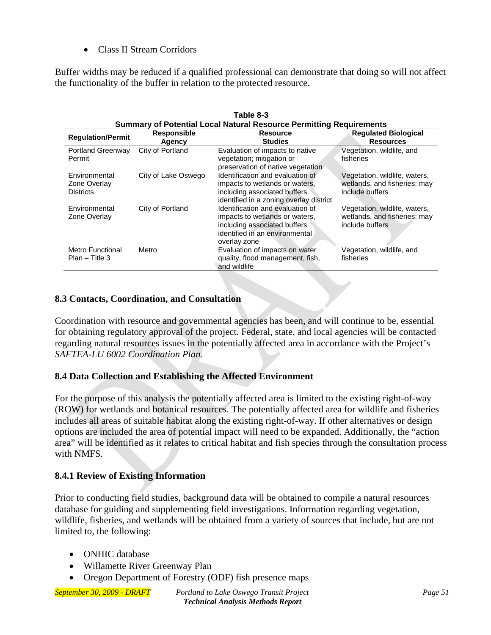Class II Stream Corridors

Buffer widths may be reduced if a qualified professional can demonstrate that doing so will not affect the functionality of the buffer in relation to the protected resource.

| Table 8-3                                                                  |                              |                                                                                                                                                      |                                                                                  |
|----------------------------------------------------------------------------|------------------------------|------------------------------------------------------------------------------------------------------------------------------------------------------|----------------------------------------------------------------------------------|
| <b>Summary of Potential Local Natural Resource Permitting Requirements</b> |                              |                                                                                                                                                      |                                                                                  |
| <b>Requlation/Permit</b>                                                   | <b>Responsible</b><br>Agency | <b>Resource</b><br><b>Studies</b>                                                                                                                    | <b>Regulated Biological</b><br><b>Resources</b>                                  |
| Portland Greenway<br>Permit                                                | City of Portland             | Evaluation of impacts to native<br>vegetation; mitigation or<br>preservation of native vegetation                                                    | Vegetation, wildlife, and<br>fisheries                                           |
| Environmental<br>Zone Overlay<br><b>Districts</b>                          | City of Lake Oswego          | Identification and evaluation of<br>impacts to wetlands or waters.<br>including associated buffers<br>identified in a zoning overlay district        | Vegetation, wildlife, waters,<br>wetlands, and fisheries; may<br>include buffers |
| Environmental<br>Zone Overlay                                              | City of Portland             | Identification and evaluation of<br>impacts to wetlands or waters,<br>including associated buffers<br>identified in an environmental<br>overlay zone | Vegetation, wildlife, waters,<br>wetlands, and fisheries; may<br>include buffers |
| Metro Functional<br>$Plan - Title 3$                                       | Metro                        | Evaluation of impacts on water<br>quality, flood management, fish,<br>and wildlife                                                                   | Vegetation, wildlife, and<br>fisheries                                           |

### **8.3 Contacts, Coordination, and Consultation**

Coordination with resource and governmental agencies has been, and will continue to be, essential for obtaining regulatory approval of the project. Federal, state, and local agencies will be contacted regarding natural resources issues in the potentially affected area in accordance with the Project's *SAFTEA-LU 6002 Coordination Plan*.

#### **8.4 Data Collection and Establishing the Affected Environment**

For the purpose of this analysis the potentially affected area is limited to the existing right-of-way (ROW) for wetlands and botanical resources. The potentially affected area for wildlife and fisheries includes all areas of suitable habitat along the existing right-of-way. If other alternatives or design options are included the area of potential impact will need to be expanded. Additionally, the "action area" will be identified as it relates to critical habitat and fish species through the consultation process with NMFS.

### **8.4.1 Review of Existing Information**

Prior to conducting field studies, background data will be obtained to compile a natural resources database for guiding and supplementing field investigations. Information regarding vegetation, wildlife, fisheries, and wetlands will be obtained from a variety of sources that include, but are not limited to, the following:

- ONHIC database
- Willamette River Greenway Plan
- Oregon Department of Forestry (ODF) fish presence maps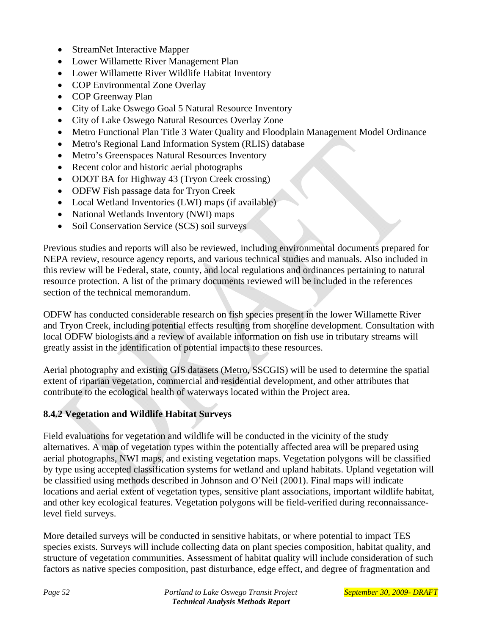- StreamNet Interactive Mapper
- Lower Willamette River Management Plan
- Lower Willamette River Wildlife Habitat Inventory
- COP Environmental Zone Overlay
- COP Greenway Plan
- City of Lake Oswego Goal 5 Natural Resource Inventory
- City of Lake Oswego Natural Resources Overlay Zone
- Metro Functional Plan Title 3 Water Quality and Floodplain Management Model Ordinance
- Metro's Regional Land Information System (RLIS) database
- Metro's Greenspaces Natural Resources Inventory
- Recent color and historic aerial photographs
- ODOT BA for Highway 43 (Tryon Creek crossing)
- ODFW Fish passage data for Tryon Creek
- Local Wetland Inventories (LWI) maps (if available)
- National Wetlands Inventory (NWI) maps
- Soil Conservation Service (SCS) soil surveys

Previous studies and reports will also be reviewed, including environmental documents prepared for NEPA review, resource agency reports, and various technical studies and manuals. Also included in this review will be Federal, state, county, and local regulations and ordinances pertaining to natural resource protection. A list of the primary documents reviewed will be included in the references section of the technical memorandum.

ODFW has conducted considerable research on fish species present in the lower Willamette River and Tryon Creek, including potential effects resulting from shoreline development. Consultation with local ODFW biologists and a review of available information on fish use in tributary streams will greatly assist in the identification of potential impacts to these resources.

Aerial photography and existing GIS datasets (Metro, SSCGIS) will be used to determine the spatial extent of riparian vegetation, commercial and residential development, and other attributes that contribute to the ecological health of waterways located within the Project area.

#### **8.4.2 Vegetation and Wildlife Habitat Surveys**

Field evaluations for vegetation and wildlife will be conducted in the vicinity of the study alternatives. A map of vegetation types within the potentially affected area will be prepared using aerial photographs, NWI maps, and existing vegetation maps. Vegetation polygons will be classified by type using accepted classification systems for wetland and upland habitats. Upland vegetation will be classified using methods described in Johnson and O'Neil (2001). Final maps will indicate locations and aerial extent of vegetation types, sensitive plant associations, important wildlife habitat, and other key ecological features. Vegetation polygons will be field-verified during reconnaissancelevel field surveys.

More detailed surveys will be conducted in sensitive habitats, or where potential to impact TES species exists. Surveys will include collecting data on plant species composition, habitat quality, and structure of vegetation communities. Assessment of habitat quality will include consideration of such factors as native species composition, past disturbance, edge effect, and degree of fragmentation and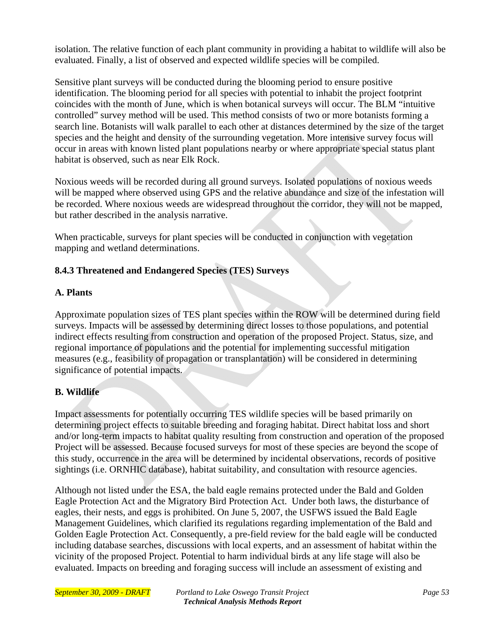isolation. The relative function of each plant community in providing a habitat to wildlife will also be evaluated. Finally, a list of observed and expected wildlife species will be compiled.

Sensitive plant surveys will be conducted during the blooming period to ensure positive identification. The blooming period for all species with potential to inhabit the project footprint coincides with the month of June, which is when botanical surveys will occur. The BLM "intuitive controlled" survey method will be used. This method consists of two or more botanists forming a search line. Botanists will walk parallel to each other at distances determined by the size of the target species and the height and density of the surrounding vegetation. More intensive survey focus will occur in areas with known listed plant populations nearby or where appropriate special status plant habitat is observed, such as near Elk Rock.

Noxious weeds will be recorded during all ground surveys. Isolated populations of noxious weeds will be mapped where observed using GPS and the relative abundance and size of the infestation will be recorded. Where noxious weeds are widespread throughout the corridor, they will not be mapped, but rather described in the analysis narrative.

When practicable, surveys for plant species will be conducted in conjunction with vegetation mapping and wetland determinations.

### **8.4.3 Threatened and Endangered Species (TES) Surveys**

#### **A. Plants**

Approximate population sizes of TES plant species within the ROW will be determined during field surveys. Impacts will be assessed by determining direct losses to those populations, and potential indirect effects resulting from construction and operation of the proposed Project. Status, size, and regional importance of populations and the potential for implementing successful mitigation measures (e.g., feasibility of propagation or transplantation) will be considered in determining significance of potential impacts.

### **B. Wildlife**

Impact assessments for potentially occurring TES wildlife species will be based primarily on determining project effects to suitable breeding and foraging habitat. Direct habitat loss and short and/or long-term impacts to habitat quality resulting from construction and operation of the proposed Project will be assessed. Because focused surveys for most of these species are beyond the scope of this study, occurrence in the area will be determined by incidental observations, records of positive sightings (i.e. ORNHIC database), habitat suitability, and consultation with resource agencies.

Although not listed under the ESA, the bald eagle remains protected under the Bald and Golden Eagle Protection Act and the Migratory Bird Protection Act. Under both laws, the disturbance of eagles, their nests, and eggs is prohibited. On June 5, 2007, the USFWS issued the Bald Eagle Management Guidelines, which clarified its regulations regarding implementation of the Bald and Golden Eagle Protection Act. Consequently, a pre-field review for the bald eagle will be conducted including database searches, discussions with local experts, and an assessment of habitat within the vicinity of the proposed Project. Potential to harm individual birds at any life stage will also be evaluated. Impacts on breeding and foraging success will include an assessment of existing and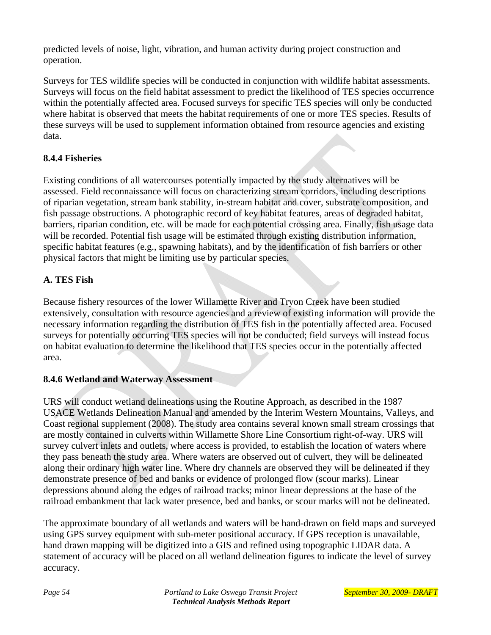predicted levels of noise, light, vibration, and human activity during project construction and operation.

Surveys for TES wildlife species will be conducted in conjunction with wildlife habitat assessments. Surveys will focus on the field habitat assessment to predict the likelihood of TES species occurrence within the potentially affected area. Focused surveys for specific TES species will only be conducted where habitat is observed that meets the habitat requirements of one or more TES species. Results of these surveys will be used to supplement information obtained from resource agencies and existing data.

### **8.4.4 Fisheries**

Existing conditions of all watercourses potentially impacted by the study alternatives will be assessed. Field reconnaissance will focus on characterizing stream corridors, including descriptions of riparian vegetation, stream bank stability, in-stream habitat and cover, substrate composition, and fish passage obstructions. A photographic record of key habitat features, areas of degraded habitat, barriers, riparian condition, etc. will be made for each potential crossing area. Finally, fish usage data will be recorded. Potential fish usage will be estimated through existing distribution information, specific habitat features (e.g., spawning habitats), and by the identification of fish barriers or other physical factors that might be limiting use by particular species.

### **A. TES Fish**

Because fishery resources of the lower Willamette River and Tryon Creek have been studied extensively, consultation with resource agencies and a review of existing information will provide the necessary information regarding the distribution of TES fish in the potentially affected area. Focused surveys for potentially occurring TES species will not be conducted; field surveys will instead focus on habitat evaluation to determine the likelihood that TES species occur in the potentially affected area.

### **8.4.6 Wetland and Waterway Assessment**

URS will conduct wetland delineations using the Routine Approach, as described in the 1987 USACE Wetlands Delineation Manual and amended by the Interim Western Mountains, Valleys, and Coast regional supplement (2008). The study area contains several known small stream crossings that are mostly contained in culverts within Willamette Shore Line Consortium right-of-way. URS will survey culvert inlets and outlets, where access is provided, to establish the location of waters where they pass beneath the study area. Where waters are observed out of culvert, they will be delineated along their ordinary high water line. Where dry channels are observed they will be delineated if they demonstrate presence of bed and banks or evidence of prolonged flow (scour marks). Linear depressions abound along the edges of railroad tracks; minor linear depressions at the base of the railroad embankment that lack water presence, bed and banks, or scour marks will not be delineated.

The approximate boundary of all wetlands and waters will be hand-drawn on field maps and surveyed using GPS survey equipment with sub-meter positional accuracy. If GPS reception is unavailable, hand drawn mapping will be digitized into a GIS and refined using topographic LIDAR data. A statement of accuracy will be placed on all wetland delineation figures to indicate the level of survey accuracy.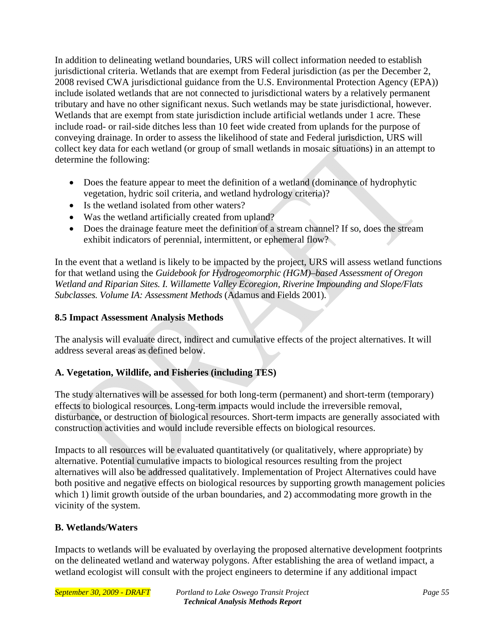In addition to delineating wetland boundaries, URS will collect information needed to establish jurisdictional criteria. Wetlands that are exempt from Federal jurisdiction (as per the December 2, 2008 revised CWA jurisdictional guidance from the U.S. Environmental Protection Agency (EPA)) include isolated wetlands that are not connected to jurisdictional waters by a relatively permanent tributary and have no other significant nexus. Such wetlands may be state jurisdictional, however. Wetlands that are exempt from state jurisdiction include artificial wetlands under 1 acre. These include road- or rail-side ditches less than 10 feet wide created from uplands for the purpose of conveying drainage. In order to assess the likelihood of state and Federal jurisdiction, URS will collect key data for each wetland (or group of small wetlands in mosaic situations) in an attempt to determine the following:

- Does the feature appear to meet the definition of a wetland (dominance of hydrophytic vegetation, hydric soil criteria, and wetland hydrology criteria)?
- Is the wetland isolated from other waters?
- Was the wetland artificially created from upland?
- Does the drainage feature meet the definition of a stream channel? If so, does the stream exhibit indicators of perennial, intermittent, or ephemeral flow?

In the event that a wetland is likely to be impacted by the project, URS will assess wetland functions for that wetland using the *Guidebook for Hydrogeomorphic (HGM)–based Assessment of Oregon Wetland and Riparian Sites. I. Willamette Valley Ecoregion, Riverine Impounding and Slope/Flats Subclasses. Volume IA: Assessment Methods* (Adamus and Fields 2001).

### **8.5 Impact Assessment Analysis Methods**

The analysis will evaluate direct, indirect and cumulative effects of the project alternatives. It will address several areas as defined below.

### **A. Vegetation, Wildlife, and Fisheries (including TES)**

The study alternatives will be assessed for both long-term (permanent) and short-term (temporary) effects to biological resources. Long-term impacts would include the irreversible removal, disturbance, or destruction of biological resources. Short-term impacts are generally associated with construction activities and would include reversible effects on biological resources.

Impacts to all resources will be evaluated quantitatively (or qualitatively, where appropriate) by alternative. Potential cumulative impacts to biological resources resulting from the project alternatives will also be addressed qualitatively. Implementation of Project Alternatives could have both positive and negative effects on biological resources by supporting growth management policies which 1) limit growth outside of the urban boundaries, and 2) accommodating more growth in the vicinity of the system.

### **B. Wetlands/Waters**

Impacts to wetlands will be evaluated by overlaying the proposed alternative development footprints on the delineated wetland and waterway polygons. After establishing the area of wetland impact, a wetland ecologist will consult with the project engineers to determine if any additional impact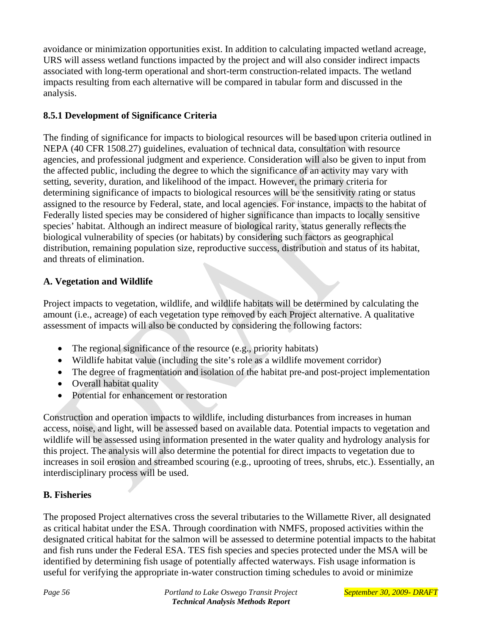avoidance or minimization opportunities exist. In addition to calculating impacted wetland acreage, URS will assess wetland functions impacted by the project and will also consider indirect impacts associated with long-term operational and short-term construction-related impacts. The wetland impacts resulting from each alternative will be compared in tabular form and discussed in the analysis.

### **8.5.1 Development of Significance Criteria**

The finding of significance for impacts to biological resources will be based upon criteria outlined in NEPA (40 CFR 1508.27) guidelines, evaluation of technical data, consultation with resource agencies, and professional judgment and experience. Consideration will also be given to input from the affected public, including the degree to which the significance of an activity may vary with setting, severity, duration, and likelihood of the impact. However, the primary criteria for determining significance of impacts to biological resources will be the sensitivity rating or status assigned to the resource by Federal, state, and local agencies. For instance, impacts to the habitat of Federally listed species may be considered of higher significance than impacts to locally sensitive species' habitat. Although an indirect measure of biological rarity, status generally reflects the biological vulnerability of species (or habitats) by considering such factors as geographical distribution, remaining population size, reproductive success, distribution and status of its habitat, and threats of elimination.

### **A. Vegetation and Wildlife**

Project impacts to vegetation, wildlife, and wildlife habitats will be determined by calculating the amount (i.e., acreage) of each vegetation type removed by each Project alternative. A qualitative assessment of impacts will also be conducted by considering the following factors:

- The regional significance of the resource (e.g., priority habitats)
- Wildlife habitat value (including the site's role as a wildlife movement corridor)
- The degree of fragmentation and isolation of the habitat pre-and post-project implementation
- Overall habitat quality
- Potential for enhancement or restoration

Construction and operation impacts to wildlife, including disturbances from increases in human access, noise, and light, will be assessed based on available data. Potential impacts to vegetation and wildlife will be assessed using information presented in the water quality and hydrology analysis for this project. The analysis will also determine the potential for direct impacts to vegetation due to increases in soil erosion and streambed scouring (e.g., uprooting of trees, shrubs, etc.). Essentially, an interdisciplinary process will be used.

#### **B. Fisheries**

The proposed Project alternatives cross the several tributaries to the Willamette River, all designated as critical habitat under the ESA. Through coordination with NMFS, proposed activities within the designated critical habitat for the salmon will be assessed to determine potential impacts to the habitat and fish runs under the Federal ESA. TES fish species and species protected under the MSA will be identified by determining fish usage of potentially affected waterways. Fish usage information is useful for verifying the appropriate in-water construction timing schedules to avoid or minimize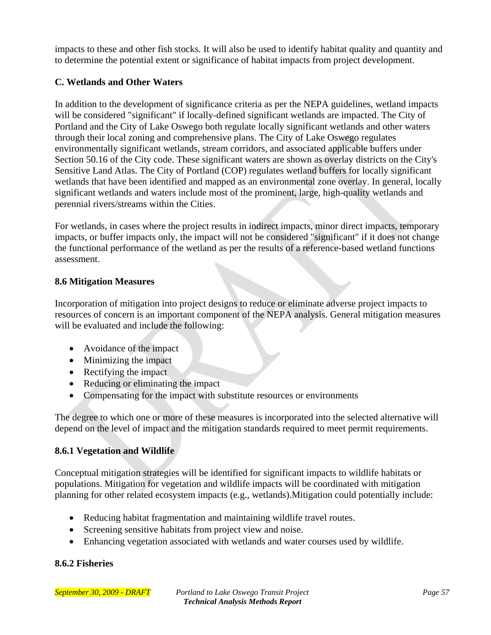impacts to these and other fish stocks. It will also be used to identify habitat quality and quantity and to determine the potential extent or significance of habitat impacts from project development.

#### **C. Wetlands and Other Waters**

In addition to the development of significance criteria as per the NEPA guidelines, wetland impacts will be considered "significant" if locally-defined significant wetlands are impacted. The City of Portland and the City of Lake Oswego both regulate locally significant wetlands and other waters through their local zoning and comprehensive plans. The City of Lake Oswego regulates environmentally significant wetlands, stream corridors, and associated applicable buffers under Section 50.16 of the City code. These significant waters are shown as overlay districts on the City's Sensitive Land Atlas. The City of Portland (COP) regulates wetland buffers for locally significant wetlands that have been identified and mapped as an environmental zone overlay. In general, locally significant wetlands and waters include most of the prominent, large, high-quality wetlands and perennial rivers/streams within the Cities.

For wetlands, in cases where the project results in indirect impacts, minor direct impacts, temporary impacts, or buffer impacts only, the impact will not be considered "significant" if it does not change the functional performance of the wetland as per the results of a reference-based wetland functions assessment.

#### **8.6 Mitigation Measures**

Incorporation of mitigation into project designs to reduce or eliminate adverse project impacts to resources of concern is an important component of the NEPA analysis. General mitigation measures will be evaluated and include the following:

- Avoidance of the impact
- Minimizing the impact
- Rectifying the impact
- Reducing or eliminating the impact
- Compensating for the impact with substitute resources or environments

The degree to which one or more of these measures is incorporated into the selected alternative will depend on the level of impact and the mitigation standards required to meet permit requirements.

### **8.6.1 Vegetation and Wildlife**

Conceptual mitigation strategies will be identified for significant impacts to wildlife habitats or populations. Mitigation for vegetation and wildlife impacts will be coordinated with mitigation planning for other related ecosystem impacts (e.g., wetlands).Mitigation could potentially include:

- Reducing habitat fragmentation and maintaining wildlife travel routes.
- Screening sensitive habitats from project view and noise.
- Enhancing vegetation associated with wetlands and water courses used by wildlife.

#### **8.6.2 Fisheries**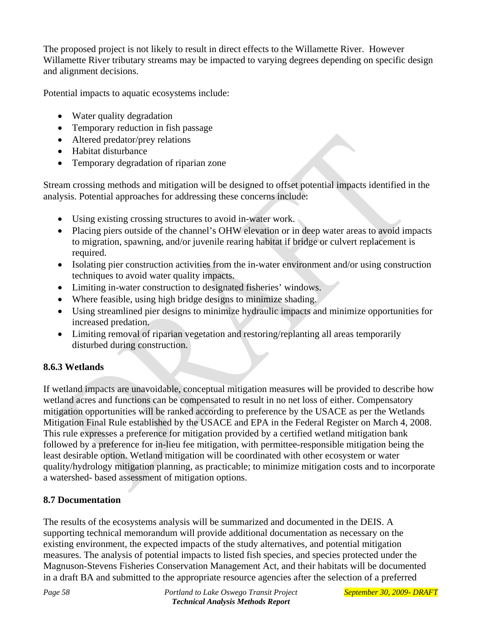The proposed project is not likely to result in direct effects to the Willamette River. However Willamette River tributary streams may be impacted to varying degrees depending on specific design and alignment decisions.

Potential impacts to aquatic ecosystems include:

- Water quality degradation
- Temporary reduction in fish passage
- Altered predator/prey relations
- Habitat disturbance
- Temporary degradation of riparian zone

Stream crossing methods and mitigation will be designed to offset potential impacts identified in the analysis. Potential approaches for addressing these concerns include:

- Using existing crossing structures to avoid in-water work.
- Placing piers outside of the channel's OHW elevation or in deep water areas to avoid impacts to migration, spawning, and/or juvenile rearing habitat if bridge or culvert replacement is required.
- Isolating pier construction activities from the in-water environment and/or using construction techniques to avoid water quality impacts.
- Limiting in-water construction to designated fisheries' windows.
- Where feasible, using high bridge designs to minimize shading.
- Using streamlined pier designs to minimize hydraulic impacts and minimize opportunities for increased predation.
- Limiting removal of riparian vegetation and restoring/replanting all areas temporarily disturbed during construction.

# **8.6.3 Wetlands**

If wetland impacts are unavoidable, conceptual mitigation measures will be provided to describe how wetland acres and functions can be compensated to result in no net loss of either. Compensatory mitigation opportunities will be ranked according to preference by the USACE as per the Wetlands Mitigation Final Rule established by the USACE and EPA in the Federal Register on March 4, 2008. This rule expresses a preference for mitigation provided by a certified wetland mitigation bank followed by a preference for in-lieu fee mitigation, with permittee-responsible mitigation being the least desirable option. Wetland mitigation will be coordinated with other ecosystem or water quality/hydrology mitigation planning, as practicable; to minimize mitigation costs and to incorporate a watershed- based assessment of mitigation options.

### **8.7 Documentation**

The results of the ecosystems analysis will be summarized and documented in the DEIS. A supporting technical memorandum will provide additional documentation as necessary on the existing environment, the expected impacts of the study alternatives, and potential mitigation measures. The analysis of potential impacts to listed fish species, and species protected under the Magnuson-Stevens Fisheries Conservation Management Act, and their habitats will be documented in a draft BA and submitted to the appropriate resource agencies after the selection of a preferred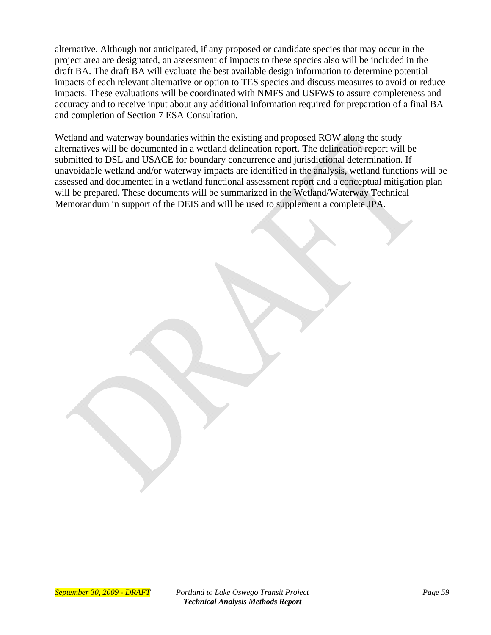alternative. Although not anticipated, if any proposed or candidate species that may occur in the project area are designated, an assessment of impacts to these species also will be included in the draft BA. The draft BA will evaluate the best available design information to determine potential impacts of each relevant alternative or option to TES species and discuss measures to avoid or reduce impacts. These evaluations will be coordinated with NMFS and USFWS to assure completeness and accuracy and to receive input about any additional information required for preparation of a final BA and completion of Section 7 ESA Consultation.

Wetland and waterway boundaries within the existing and proposed ROW along the study alternatives will be documented in a wetland delineation report. The delineation report will be submitted to DSL and USACE for boundary concurrence and jurisdictional determination. If unavoidable wetland and/or waterway impacts are identified in the analysis, wetland functions will be assessed and documented in a wetland functional assessment report and a conceptual mitigation plan will be prepared. These documents will be summarized in the Wetland/Waterway Technical Memorandum in support of the DEIS and will be used to supplement a complete JPA.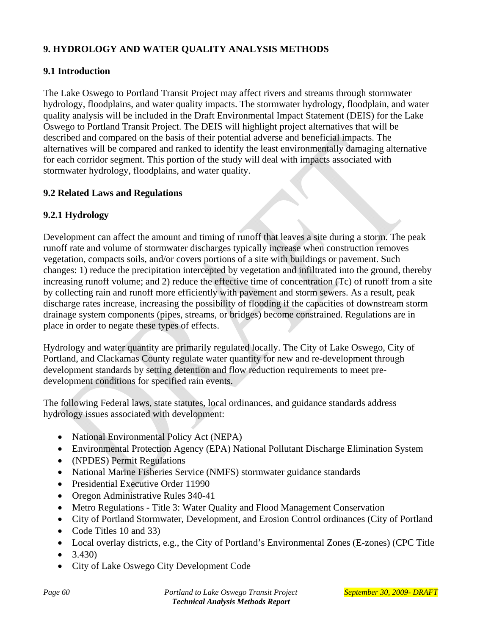### **9. HYDROLOGY AND WATER QUALITY ANALYSIS METHODS**

### **9.1 Introduction**

The Lake Oswego to Portland Transit Project may affect rivers and streams through stormwater hydrology, floodplains, and water quality impacts. The stormwater hydrology, floodplain, and water quality analysis will be included in the Draft Environmental Impact Statement (DEIS) for the Lake Oswego to Portland Transit Project. The DEIS will highlight project alternatives that will be described and compared on the basis of their potential adverse and beneficial impacts. The alternatives will be compared and ranked to identify the least environmentally damaging alternative for each corridor segment. This portion of the study will deal with impacts associated with stormwater hydrology, floodplains, and water quality.

### **9.2 Related Laws and Regulations**

### **9.2.1 Hydrology**

Development can affect the amount and timing of runoff that leaves a site during a storm. The peak runoff rate and volume of stormwater discharges typically increase when construction removes vegetation, compacts soils, and/or covers portions of a site with buildings or pavement. Such changes: 1) reduce the precipitation intercepted by vegetation and infiltrated into the ground, thereby increasing runoff volume; and 2) reduce the effective time of concentration (Tc) of runoff from a site by collecting rain and runoff more efficiently with pavement and storm sewers. As a result, peak discharge rates increase, increasing the possibility of flooding if the capacities of downstream storm drainage system components (pipes, streams, or bridges) become constrained. Regulations are in place in order to negate these types of effects.

Hydrology and water quantity are primarily regulated locally. The City of Lake Oswego, City of Portland, and Clackamas County regulate water quantity for new and re-development through development standards by setting detention and flow reduction requirements to meet predevelopment conditions for specified rain events.

The following Federal laws, state statutes, local ordinances, and guidance standards address hydrology issues associated with development:

- National Environmental Policy Act (NEPA)
- Environmental Protection Agency (EPA) National Pollutant Discharge Elimination System
- (NPDES) Permit Regulations
- National Marine Fisheries Service (NMFS) stormwater guidance standards
- Presidential Executive Order 11990
- Oregon Administrative Rules 340-41
- Metro Regulations Title 3: Water Quality and Flood Management Conservation
- City of Portland Stormwater, Development, and Erosion Control ordinances (City of Portland
- Code Titles 10 and 33)
- Local overlay districts, e.g., the City of Portland's Environmental Zones (E-zones) (CPC Title
- $\bullet$  3.430)
- City of Lake Oswego City Development Code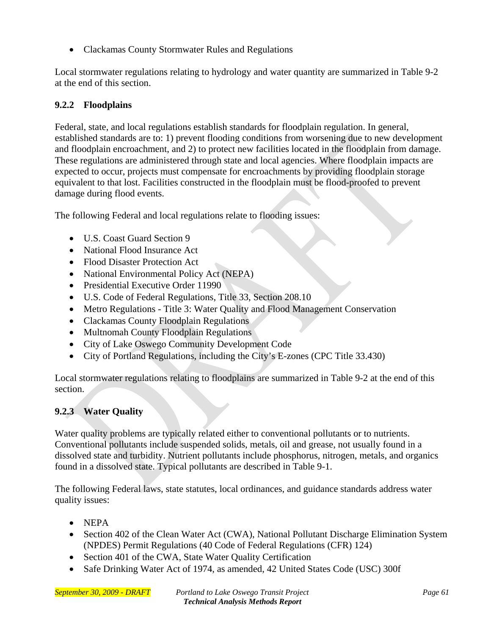• Clackamas County Stormwater Rules and Regulations

Local stormwater regulations relating to hydrology and water quantity are summarized in Table 9-2 at the end of this section.

### **9.2.2 Floodplains**

Federal, state, and local regulations establish standards for floodplain regulation. In general, established standards are to: 1) prevent flooding conditions from worsening due to new development and floodplain encroachment, and 2) to protect new facilities located in the floodplain from damage. These regulations are administered through state and local agencies. Where floodplain impacts are expected to occur, projects must compensate for encroachments by providing floodplain storage equivalent to that lost. Facilities constructed in the floodplain must be flood-proofed to prevent damage during flood events.

The following Federal and local regulations relate to flooding issues:

- U.S. Coast Guard Section 9
- National Flood Insurance Act
- Flood Disaster Protection Act
- National Environmental Policy Act (NEPA)
- Presidential Executive Order 11990
- U.S. Code of Federal Regulations, Title 33, Section 208.10
- Metro Regulations Title 3: Water Quality and Flood Management Conservation
- Clackamas County Floodplain Regulations
- Multnomah County Floodplain Regulations
- City of Lake Oswego Community Development Code
- City of Portland Regulations, including the City's E-zones (CPC Title 33.430)

Local stormwater regulations relating to floodplains are summarized in Table 9-2 at the end of this section.

# **9.2.3 Water Quality**

Water quality problems are typically related either to conventional pollutants or to nutrients. Conventional pollutants include suspended solids, metals, oil and grease, not usually found in a dissolved state and turbidity. Nutrient pollutants include phosphorus, nitrogen, metals, and organics found in a dissolved state. Typical pollutants are described in Table 9-1.

The following Federal laws, state statutes, local ordinances, and guidance standards address water quality issues:

- NEPA
- Section 402 of the Clean Water Act (CWA), National Pollutant Discharge Elimination System (NPDES) Permit Regulations (40 Code of Federal Regulations (CFR) 124)
- Section 401 of the CWA, State Water Quality Certification
- Safe Drinking Water Act of 1974, as amended, 42 United States Code (USC) 300f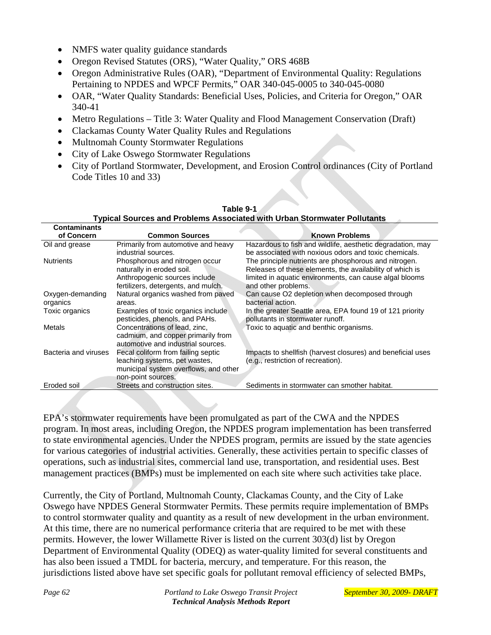- NMFS water quality guidance standards
- Oregon Revised Statutes (ORS), "Water Quality," ORS 468B
- Oregon Administrative Rules (OAR), "Department of Environmental Quality: Regulations Pertaining to NPDES and WPCF Permits," OAR 340-045-0005 to 340-045-0080
- OAR, "Water Quality Standards: Beneficial Uses, Policies, and Criteria for Oregon," OAR 340-41
- Metro Regulations Title 3: Water Quality and Flood Management Conservation (Draft)
- Clackamas County Water Quality Rules and Regulations
- Multnomah County Stormwater Regulations
- City of Lake Oswego Stormwater Regulations
- City of Portland Stormwater, Development, and Erosion Control ordinances (City of Portland Code Titles 10 and 33)

| <b>Contaminants</b>  |                                       |                                                             |
|----------------------|---------------------------------------|-------------------------------------------------------------|
| of Concern           | <b>Common Sources</b>                 | <b>Known Problems</b>                                       |
| Oil and grease       | Primarily from automotive and heavy   | Hazardous to fish and wildlife, aesthetic degradation, may  |
|                      | industrial sources.                   | be associated with noxious odors and toxic chemicals.       |
| <b>Nutrients</b>     | Phosphorous and nitrogen occur        | The principle nutrients are phosphorous and nitrogen.       |
|                      | naturally in eroded soil.             | Releases of these elements, the availability of which is    |
|                      | Anthropogenic sources include         | limited in aquatic environments, can cause algal blooms     |
|                      | fertilizers, detergents, and mulch.   | and other problems.                                         |
| Oxygen-demanding     | Natural organics washed from paved    | Can cause O2 depletion when decomposed through              |
| organics             | areas.                                | bacterial action.                                           |
| Toxic organics       | Examples of toxic organics include    | In the greater Seattle area, EPA found 19 of 121 priority   |
|                      | pesticides, phenols, and PAHs.        | pollutants in stormwater runoff.                            |
| Metals               | Concentrations of lead, zinc,         | Toxic to aquatic and benthic organisms.                     |
|                      | cadmium, and copper primarily from    |                                                             |
|                      | automotive and industrial sources.    |                                                             |
| Bacteria and viruses | Fecal coliform from failing septic    | Impacts to shellfish (harvest closures) and beneficial uses |
|                      | leaching systems, pet wastes,         | (e.g., restriction of recreation).                          |
|                      | municipal system overflows, and other |                                                             |
|                      | non-point sources.                    |                                                             |
| Eroded soil          | Streets and construction sites.       | Sediments in stormwater can smother habitat.                |
|                      |                                       |                                                             |

**Table 9-1 Typical Sources and Problems Associated with Urban Stormwater Pollutants** 

EPA's stormwater requirements have been promulgated as part of the CWA and the NPDES program. In most areas, including Oregon, the NPDES program implementation has been transferred to state environmental agencies. Under the NPDES program, permits are issued by the state agencies for various categories of industrial activities. Generally, these activities pertain to specific classes of operations, such as industrial sites, commercial land use, transportation, and residential uses. Best management practices (BMPs) must be implemented on each site where such activities take place.

Currently, the City of Portland, Multnomah County, Clackamas County, and the City of Lake Oswego have NPDES General Stormwater Permits. These permits require implementation of BMPs to control stormwater quality and quantity as a result of new development in the urban environment. At this time, there are no numerical performance criteria that are required to be met with these permits. However, the lower Willamette River is listed on the current 303(d) list by Oregon Department of Environmental Quality (ODEQ) as water-quality limited for several constituents and has also been issued a TMDL for bacteria, mercury, and temperature. For this reason, the jurisdictions listed above have set specific goals for pollutant removal efficiency of selected BMPs,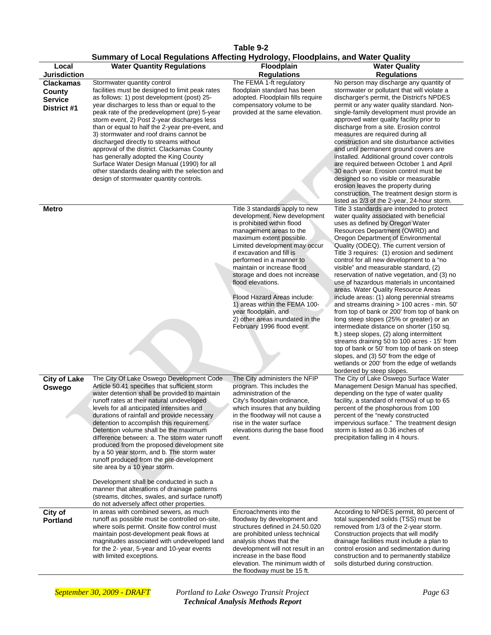#### **Table 9-2 Summary of Local Regulations Affecting Hydrology, Floodplains, and Water Quality**

| Local                                                       | <u>cannial y el Eccal Regulatione Anceling Tiyal olegy; Procapiante; and Mater Quant</u><br><b>Water Quantity Regulations</b>                                                                                                                                                                                                                                                                                                                                                                                                                                                                                                                                                                                                                                                                    | Floodplain                                                                                                                                                                                                                                                                                                                                                                                                                                                                                 | <b>Water Quality</b>                                                                                                                                                                                                                                                                                                                                                                                                                                                                                                                                                                                                                                                                                                                                                                                                                                                                                                                                                                                                    |
|-------------------------------------------------------------|--------------------------------------------------------------------------------------------------------------------------------------------------------------------------------------------------------------------------------------------------------------------------------------------------------------------------------------------------------------------------------------------------------------------------------------------------------------------------------------------------------------------------------------------------------------------------------------------------------------------------------------------------------------------------------------------------------------------------------------------------------------------------------------------------|--------------------------------------------------------------------------------------------------------------------------------------------------------------------------------------------------------------------------------------------------------------------------------------------------------------------------------------------------------------------------------------------------------------------------------------------------------------------------------------------|-------------------------------------------------------------------------------------------------------------------------------------------------------------------------------------------------------------------------------------------------------------------------------------------------------------------------------------------------------------------------------------------------------------------------------------------------------------------------------------------------------------------------------------------------------------------------------------------------------------------------------------------------------------------------------------------------------------------------------------------------------------------------------------------------------------------------------------------------------------------------------------------------------------------------------------------------------------------------------------------------------------------------|
| <b>Jurisdiction</b>                                         |                                                                                                                                                                                                                                                                                                                                                                                                                                                                                                                                                                                                                                                                                                                                                                                                  | <b>Regulations</b>                                                                                                                                                                                                                                                                                                                                                                                                                                                                         | <b>Regulations</b>                                                                                                                                                                                                                                                                                                                                                                                                                                                                                                                                                                                                                                                                                                                                                                                                                                                                                                                                                                                                      |
| <b>Clackamas</b><br>County<br><b>Service</b><br>District #1 | Stormwater quantity control<br>facilities must be designed to limit peak rates<br>as follows: 1) post development (post) 25-<br>year discharges to less than or equal to the<br>peak rate of the predevelopment (pre) 5-year<br>storm event, 2) Post 2-year discharges less<br>than or equal to half the 2-year pre-event, and<br>3) stormwater and roof drains cannot be<br>discharged directly to streams without<br>approval of the district. Clackamas County<br>has generally adopted the King County<br>Surface Water Design Manual (1990) for all<br>other standards dealing with the selection and<br>design of stormwater quantity controls.                                                                                                                                            | The FEMA 1-ft regulatory<br>floodplain standard has been<br>adopted. Floodplain fills require<br>compensatory volume to be<br>provided at the same elevation.                                                                                                                                                                                                                                                                                                                              | No person may discharge any quantity of<br>stormwater or pollutant that will violate a<br>discharger's permit, the District's NPDES<br>permit or any water quality standard. Non-<br>single-family development must provide an<br>approved water quality facility prior to<br>discharge from a site. Erosion control<br>measures are required during all<br>construction and site disturbance activities<br>and until permanent ground covers are<br>installed. Additional ground cover controls<br>are required between October 1 and April<br>30 each year. Erosion control must be<br>designed so no visible or measurable<br>erosion leaves the property during<br>construction. The treatment design storm is<br>listed as 2/3 of the 2-year, 24-hour storm.                                                                                                                                                                                                                                                       |
| <b>Metro</b>                                                |                                                                                                                                                                                                                                                                                                                                                                                                                                                                                                                                                                                                                                                                                                                                                                                                  | Title 3 standards apply to new<br>development. New development<br>is prohibited within flood<br>management areas to the<br>maximum extent possible.<br>Limited development may occur<br>if excavation and fill is<br>performed in a manner to<br>maintain or increase flood<br>storage and does not increase<br>flood elevations.<br>Flood Hazard Areas include:<br>1) areas within the FEMA 100-<br>year floodplain, and<br>2) other areas inundated in the<br>February 1996 flood event. | Title 3 standards are intended to protect<br>water quality associated with beneficial<br>uses as defined by Oregon Water<br>Resources Department (OWRD) and<br>Oregon Department of Environmental<br>Quality (ODEQ). The current version of<br>Title 3 requires: (1) erosion and sediment<br>control for all new development to a "no<br>visible" and measurable standard, (2)<br>reservation of native vegetation, and (3) no<br>use of hazardous materials in uncontained<br>areas. Water Quality Resource Areas<br>include areas: (1) along perennial streams<br>and streams draining > 100 acres - min. 50'<br>from top of bank or 200' from top of bank on<br>long steep slopes (25% or greater) or an<br>intermediate distance on shorter (150 sq.<br>ft.) steep slopes, (2) along intermittent<br>streams draining 50 to 100 acres - 15' from<br>top of bank or 50' from top of bank on steep<br>slopes, and (3) 50' from the edge of<br>wetlands or 200' from the edge of wetlands<br>bordered by steep slopes. |
| <b>City of Lake</b><br>Oswego                               | The City Of Lake Oswego Development Code<br>Article 50.41 specifies that sufficient storm<br>water detention shall be provided to maintain<br>runoff rates at their natural undeveloped<br>levels for all anticipated intensities and<br>durations of rainfall and provide necessary<br>detention to accomplish this requirement.<br>Detention volume shall be the maximum<br>difference between: a. The storm water runoff<br>produced from the proposed development site<br>by a 50 year storm, and b. The storm water<br>runoff produced from the pre-development<br>site area by a 10 year storm.<br>Development shall be conducted in such a<br>manner that alterations of drainage patterns<br>(streams, ditches, swales, and surface runoff)<br>do not adversely affect other properties. | The City administers the NFIP<br>program. This includes the<br>administration of the<br>City's floodplain ordinance,<br>which insures that any building<br>in the floodway will not cause a<br>rise in the water surface<br>elevations during the base flood<br>event.                                                                                                                                                                                                                     | The City of Lake Oswego Surface Water<br>Management Design Manual has specified,<br>depending on the type of water quality<br>facility, a standard of removal of up to 65<br>percent of the phosphorous from 100<br>percent of the "newly constructed<br>impervious surface." The treatment design<br>storm is listed as 0.36 inches of<br>precipitation falling in 4 hours.                                                                                                                                                                                                                                                                                                                                                                                                                                                                                                                                                                                                                                            |
| City of<br>Portland                                         | In areas with combined sewers, as much<br>runoff as possible must be controlled on-site,<br>where soils permit. Onsite flow control must<br>maintain post-development peak flows at<br>magnitudes associated with undeveloped land<br>for the 2-year, 5-year and 10-year events<br>with limited exceptions.                                                                                                                                                                                                                                                                                                                                                                                                                                                                                      | Encroachments into the<br>floodway by development and<br>structures defined in 24.50.020<br>are prohibited unless technical<br>analysis shows that the<br>development will not result in an<br>increase in the base flood<br>elevation. The minimum width of<br>the floodway must be 15 ft.                                                                                                                                                                                                | According to NPDES permit, 80 percent of<br>total suspended solids (TSS) must be<br>removed from 1/3 of the 2-year storm.<br>Construction projects that will modify<br>drainage facilities must include a plan to<br>control erosion and sedimentation during<br>construction and to permanently stabilize<br>soils disturbed during construction.                                                                                                                                                                                                                                                                                                                                                                                                                                                                                                                                                                                                                                                                      |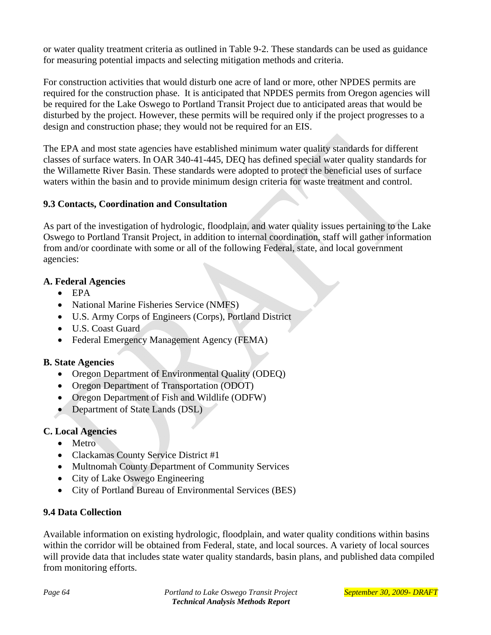or water quality treatment criteria as outlined in Table 9-2. These standards can be used as guidance for measuring potential impacts and selecting mitigation methods and criteria.

For construction activities that would disturb one acre of land or more, other NPDES permits are required for the construction phase. It is anticipated that NPDES permits from Oregon agencies will be required for the Lake Oswego to Portland Transit Project due to anticipated areas that would be disturbed by the project. However, these permits will be required only if the project progresses to a design and construction phase; they would not be required for an EIS.

The EPA and most state agencies have established minimum water quality standards for different classes of surface waters. In OAR 340-41-445, DEQ has defined special water quality standards for the Willamette River Basin. These standards were adopted to protect the beneficial uses of surface waters within the basin and to provide minimum design criteria for waste treatment and control.

### **9.3 Contacts, Coordination and Consultation**

As part of the investigation of hydrologic, floodplain, and water quality issues pertaining to the Lake Oswego to Portland Transit Project, in addition to internal coordination, staff will gather information from and/or coordinate with some or all of the following Federal, state, and local government agencies:

### **A. Federal Agencies**

- $\bullet$  EPA
- National Marine Fisheries Service (NMFS)
- U.S. Army Corps of Engineers (Corps), Portland District
- U.S. Coast Guard
- Federal Emergency Management Agency (FEMA)

### **B. State Agencies**

- Oregon Department of Environmental Quality (ODEQ)
- Oregon Department of Transportation (ODOT)
- Oregon Department of Fish and Wildlife (ODFW)
- Department of State Lands (DSL)

### **C. Local Agencies**

- Metro
- Clackamas County Service District #1
- Multnomah County Department of Community Services
- City of Lake Oswego Engineering
- City of Portland Bureau of Environmental Services (BES)

### **9.4 Data Collection**

Available information on existing hydrologic, floodplain, and water quality conditions within basins within the corridor will be obtained from Federal, state, and local sources. A variety of local sources will provide data that includes state water quality standards, basin plans, and published data compiled from monitoring efforts.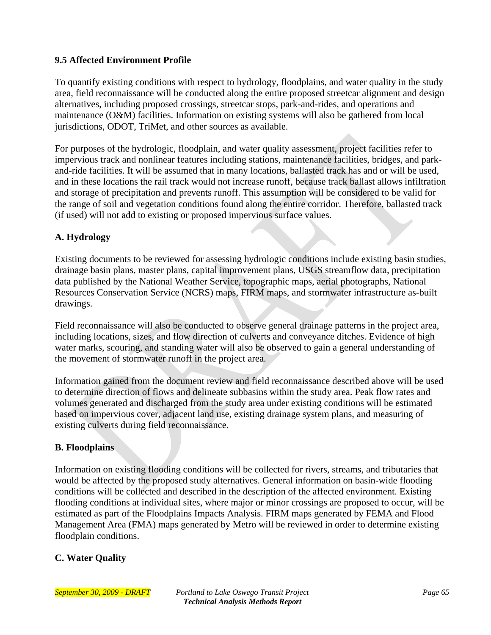### **9.5 Affected Environment Profile**

To quantify existing conditions with respect to hydrology, floodplains, and water quality in the study area, field reconnaissance will be conducted along the entire proposed streetcar alignment and design alternatives, including proposed crossings, streetcar stops, park-and-rides, and operations and maintenance (O&M) facilities. Information on existing systems will also be gathered from local jurisdictions, ODOT, TriMet, and other sources as available.

For purposes of the hydrologic, floodplain, and water quality assessment, project facilities refer to impervious track and nonlinear features including stations, maintenance facilities, bridges, and parkand-ride facilities. It will be assumed that in many locations, ballasted track has and or will be used, and in these locations the rail track would not increase runoff, because track ballast allows infiltration and storage of precipitation and prevents runoff. This assumption will be considered to be valid for the range of soil and vegetation conditions found along the entire corridor. Therefore, ballasted track (if used) will not add to existing or proposed impervious surface values.

### **A. Hydrology**

Existing documents to be reviewed for assessing hydrologic conditions include existing basin studies, drainage basin plans, master plans, capital improvement plans, USGS streamflow data, precipitation data published by the National Weather Service, topographic maps, aerial photographs, National Resources Conservation Service (NCRS) maps, FIRM maps, and stormwater infrastructure as-built drawings.

Field reconnaissance will also be conducted to observe general drainage patterns in the project area, including locations, sizes, and flow direction of culverts and conveyance ditches. Evidence of high water marks, scouring, and standing water will also be observed to gain a general understanding of the movement of stormwater runoff in the project area.

Information gained from the document review and field reconnaissance described above will be used to determine direction of flows and delineate subbasins within the study area. Peak flow rates and volumes generated and discharged from the study area under existing conditions will be estimated based on impervious cover, adjacent land use, existing drainage system plans, and measuring of existing culverts during field reconnaissance.

#### **B. Floodplains**

Information on existing flooding conditions will be collected for rivers, streams, and tributaries that would be affected by the proposed study alternatives. General information on basin-wide flooding conditions will be collected and described in the description of the affected environment. Existing flooding conditions at individual sites, where major or minor crossings are proposed to occur, will be estimated as part of the Floodplains Impacts Analysis. FIRM maps generated by FEMA and Flood Management Area (FMA) maps generated by Metro will be reviewed in order to determine existing floodplain conditions.

### **C. Water Quality**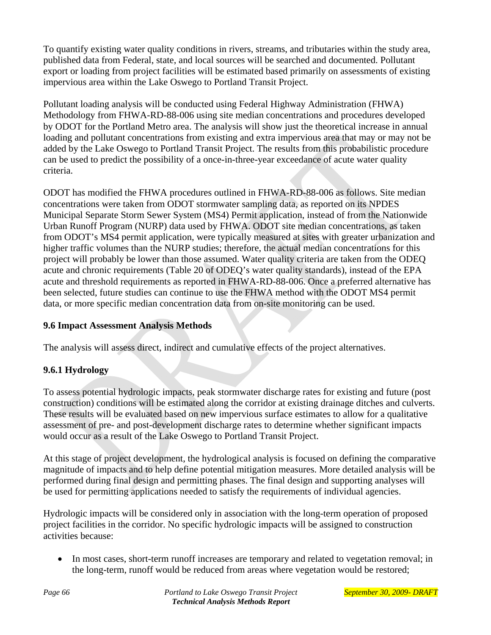To quantify existing water quality conditions in rivers, streams, and tributaries within the study area, published data from Federal, state, and local sources will be searched and documented. Pollutant export or loading from project facilities will be estimated based primarily on assessments of existing impervious area within the Lake Oswego to Portland Transit Project.

Pollutant loading analysis will be conducted using Federal Highway Administration (FHWA) Methodology from FHWA-RD-88-006 using site median concentrations and procedures developed by ODOT for the Portland Metro area. The analysis will show just the theoretical increase in annual loading and pollutant concentrations from existing and extra impervious area that may or may not be added by the Lake Oswego to Portland Transit Project. The results from this probabilistic procedure can be used to predict the possibility of a once-in-three-year exceedance of acute water quality criteria.

ODOT has modified the FHWA procedures outlined in FHWA-RD-88-006 as follows. Site median concentrations were taken from ODOT stormwater sampling data, as reported on its NPDES Municipal Separate Storm Sewer System (MS4) Permit application, instead of from the Nationwide Urban Runoff Program (NURP) data used by FHWA. ODOT site median concentrations, as taken from ODOT's MS4 permit application, were typically measured at sites with greater urbanization and higher traffic volumes than the NURP studies; therefore, the actual median concentrations for this project will probably be lower than those assumed. Water quality criteria are taken from the ODEQ acute and chronic requirements (Table 20 of ODEQ's water quality standards), instead of the EPA acute and threshold requirements as reported in FHWA-RD-88-006. Once a preferred alternative has been selected, future studies can continue to use the FHWA method with the ODOT MS4 permit data, or more specific median concentration data from on-site monitoring can be used.

### **9.6 Impact Assessment Analysis Methods**

The analysis will assess direct, indirect and cumulative effects of the project alternatives.

# **9.6.1 Hydrology**

To assess potential hydrologic impacts, peak stormwater discharge rates for existing and future (post construction) conditions will be estimated along the corridor at existing drainage ditches and culverts. These results will be evaluated based on new impervious surface estimates to allow for a qualitative assessment of pre- and post-development discharge rates to determine whether significant impacts would occur as a result of the Lake Oswego to Portland Transit Project.

At this stage of project development, the hydrological analysis is focused on defining the comparative magnitude of impacts and to help define potential mitigation measures. More detailed analysis will be performed during final design and permitting phases. The final design and supporting analyses will be used for permitting applications needed to satisfy the requirements of individual agencies.

Hydrologic impacts will be considered only in association with the long-term operation of proposed project facilities in the corridor. No specific hydrologic impacts will be assigned to construction activities because:

• In most cases, short-term runoff increases are temporary and related to vegetation removal; in the long-term, runoff would be reduced from areas where vegetation would be restored;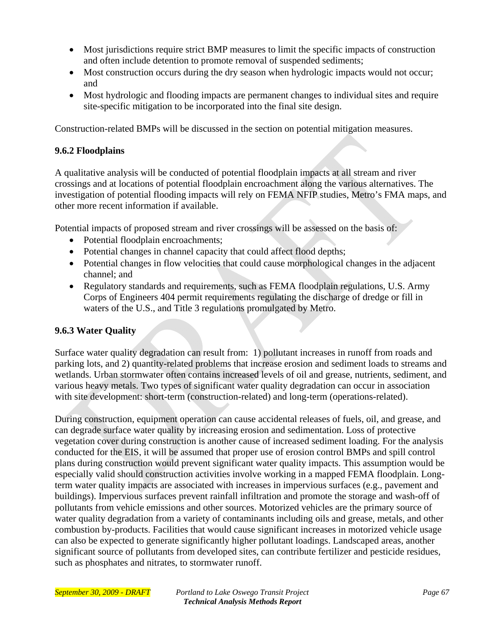- Most jurisdictions require strict BMP measures to limit the specific impacts of construction and often include detention to promote removal of suspended sediments;
- Most construction occurs during the dry season when hydrologic impacts would not occur; and
- Most hydrologic and flooding impacts are permanent changes to individual sites and require site-specific mitigation to be incorporated into the final site design.

Construction-related BMPs will be discussed in the section on potential mitigation measures.

#### **9.6.2 Floodplains**

A qualitative analysis will be conducted of potential floodplain impacts at all stream and river crossings and at locations of potential floodplain encroachment along the various alternatives. The investigation of potential flooding impacts will rely on FEMA NFIP studies, Metro's FMA maps, and other more recent information if available.

Potential impacts of proposed stream and river crossings will be assessed on the basis of:

- Potential floodplain encroachments;
- Potential changes in channel capacity that could affect flood depths;
- Potential changes in flow velocities that could cause morphological changes in the adjacent channel; and
- Regulatory standards and requirements, such as FEMA floodplain regulations, U.S. Army Corps of Engineers 404 permit requirements regulating the discharge of dredge or fill in waters of the U.S., and Title 3 regulations promulgated by Metro.

#### **9.6.3 Water Quality**

Surface water quality degradation can result from: 1) pollutant increases in runoff from roads and parking lots, and 2) quantity-related problems that increase erosion and sediment loads to streams and wetlands. Urban stormwater often contains increased levels of oil and grease, nutrients, sediment, and various heavy metals. Two types of significant water quality degradation can occur in association with site development: short-term (construction-related) and long-term (operations-related).

During construction, equipment operation can cause accidental releases of fuels, oil, and grease, and can degrade surface water quality by increasing erosion and sedimentation. Loss of protective vegetation cover during construction is another cause of increased sediment loading. For the analysis conducted for the EIS, it will be assumed that proper use of erosion control BMPs and spill control plans during construction would prevent significant water quality impacts. This assumption would be especially valid should construction activities involve working in a mapped FEMA floodplain. Longterm water quality impacts are associated with increases in impervious surfaces (e.g., pavement and buildings). Impervious surfaces prevent rainfall infiltration and promote the storage and wash-off of pollutants from vehicle emissions and other sources. Motorized vehicles are the primary source of water quality degradation from a variety of contaminants including oils and grease, metals, and other combustion by-products. Facilities that would cause significant increases in motorized vehicle usage can also be expected to generate significantly higher pollutant loadings. Landscaped areas, another significant source of pollutants from developed sites, can contribute fertilizer and pesticide residues, such as phosphates and nitrates, to stormwater runoff.

*September 30, 2009 - DRAFT Portland to Lake Oswego Transit Project Page 67 Technical Analysis Methods Report*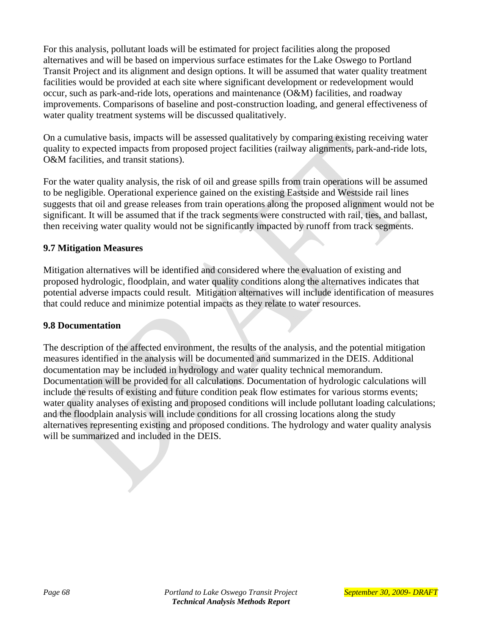For this analysis, pollutant loads will be estimated for project facilities along the proposed alternatives and will be based on impervious surface estimates for the Lake Oswego to Portland Transit Project and its alignment and design options. It will be assumed that water quality treatment facilities would be provided at each site where significant development or redevelopment would occur, such as park-and-ride lots, operations and maintenance (O&M) facilities, and roadway improvements. Comparisons of baseline and post-construction loading, and general effectiveness of water quality treatment systems will be discussed qualitatively.

On a cumulative basis, impacts will be assessed qualitatively by comparing existing receiving water quality to expected impacts from proposed project facilities (railway alignments, park-and-ride lots, O&M facilities, and transit stations).

For the water quality analysis, the risk of oil and grease spills from train operations will be assumed to be negligible. Operational experience gained on the existing Eastside and Westside rail lines suggests that oil and grease releases from train operations along the proposed alignment would not be significant. It will be assumed that if the track segments were constructed with rail, ties, and ballast, then receiving water quality would not be significantly impacted by runoff from track segments.

#### **9.7 Mitigation Measures**

Mitigation alternatives will be identified and considered where the evaluation of existing and proposed hydrologic, floodplain, and water quality conditions along the alternatives indicates that potential adverse impacts could result. Mitigation alternatives will include identification of measures that could reduce and minimize potential impacts as they relate to water resources.

#### **9.8 Documentation**

The description of the affected environment, the results of the analysis, and the potential mitigation measures identified in the analysis will be documented and summarized in the DEIS. Additional documentation may be included in hydrology and water quality technical memorandum. Documentation will be provided for all calculations. Documentation of hydrologic calculations will include the results of existing and future condition peak flow estimates for various storms events; water quality analyses of existing and proposed conditions will include pollutant loading calculations; and the floodplain analysis will include conditions for all crossing locations along the study alternatives representing existing and proposed conditions. The hydrology and water quality analysis will be summarized and included in the DEIS.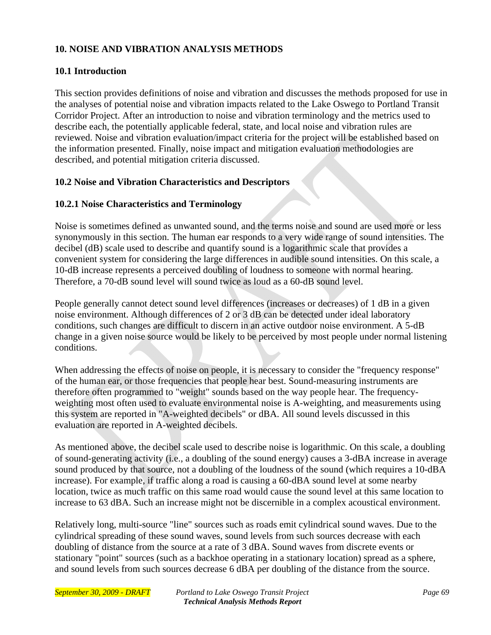### **10. NOISE AND VIBRATION ANALYSIS METHODS**

#### **10.1 Introduction**

This section provides definitions of noise and vibration and discusses the methods proposed for use in the analyses of potential noise and vibration impacts related to the Lake Oswego to Portland Transit Corridor Project. After an introduction to noise and vibration terminology and the metrics used to describe each, the potentially applicable federal, state, and local noise and vibration rules are reviewed. Noise and vibration evaluation/impact criteria for the project will be established based on the information presented. Finally, noise impact and mitigation evaluation methodologies are described, and potential mitigation criteria discussed.

### **10.2 Noise and Vibration Characteristics and Descriptors**

### **10.2.1 Noise Characteristics and Terminology**

Noise is sometimes defined as unwanted sound, and the terms noise and sound are used more or less synonymously in this section. The human ear responds to a very wide range of sound intensities. The decibel (dB) scale used to describe and quantify sound is a logarithmic scale that provides a convenient system for considering the large differences in audible sound intensities. On this scale, a 10-dB increase represents a perceived doubling of loudness to someone with normal hearing. Therefore, a 70-dB sound level will sound twice as loud as a 60-dB sound level.

People generally cannot detect sound level differences (increases or decreases) of 1 dB in a given noise environment. Although differences of 2 or 3 dB can be detected under ideal laboratory conditions, such changes are difficult to discern in an active outdoor noise environment. A 5-dB change in a given noise source would be likely to be perceived by most people under normal listening conditions.

When addressing the effects of noise on people, it is necessary to consider the "frequency response" of the human ear, or those frequencies that people hear best. Sound-measuring instruments are therefore often programmed to "weight" sounds based on the way people hear. The frequencyweighting most often used to evaluate environmental noise is A-weighting, and measurements using this system are reported in "A-weighted decibels" or dBA. All sound levels discussed in this evaluation are reported in A-weighted decibels.

As mentioned above, the decibel scale used to describe noise is logarithmic. On this scale, a doubling of sound-generating activity (i.e., a doubling of the sound energy) causes a 3-dBA increase in average sound produced by that source, not a doubling of the loudness of the sound (which requires a 10-dBA increase). For example, if traffic along a road is causing a 60-dBA sound level at some nearby location, twice as much traffic on this same road would cause the sound level at this same location to increase to 63 dBA. Such an increase might not be discernible in a complex acoustical environment.

Relatively long, multi-source "line" sources such as roads emit cylindrical sound waves. Due to the cylindrical spreading of these sound waves, sound levels from such sources decrease with each doubling of distance from the source at a rate of 3 dBA. Sound waves from discrete events or stationary "point" sources (such as a backhoe operating in a stationary location) spread as a sphere, and sound levels from such sources decrease 6 dBA per doubling of the distance from the source.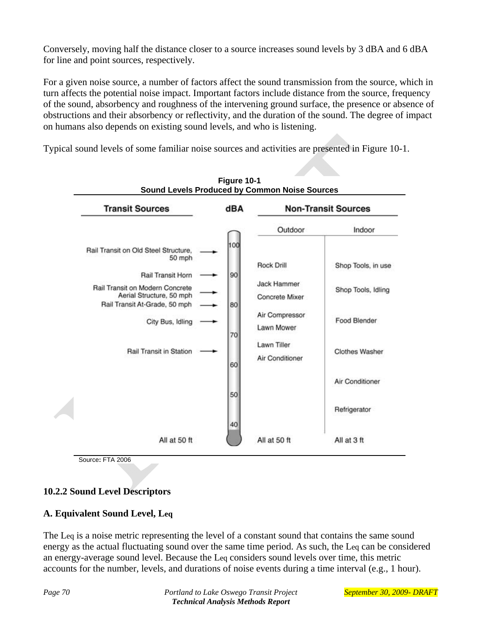Conversely, moving half the distance closer to a source increases sound levels by 3 dBA and 6 dBA for line and point sources, respectively.

For a given noise source, a number of factors affect the sound transmission from the source, which in turn affects the potential noise impact. Important factors include distance from the source, frequency of the sound, absorbency and roughness of the intervening ground surface, the presence or absence of obstructions and their absorbency or reflectivity, and the duration of the sound. The degree of impact on humans also depends on existing sound levels, and who is listening.

Typical sound levels of some familiar noise sources and activities are presented in Figure 10-1.



# **10.2.2 Sound Level Descriptors**

# **A. Equivalent Sound Level, Leq**

The Leq is a noise metric representing the level of a constant sound that contains the same sound energy as the actual fluctuating sound over the same time period. As such, the Leq can be considered an energy-average sound level. Because the Leq considers sound levels over time, this metric accounts for the number, levels, and durations of noise events during a time interval (e.g., 1 hour).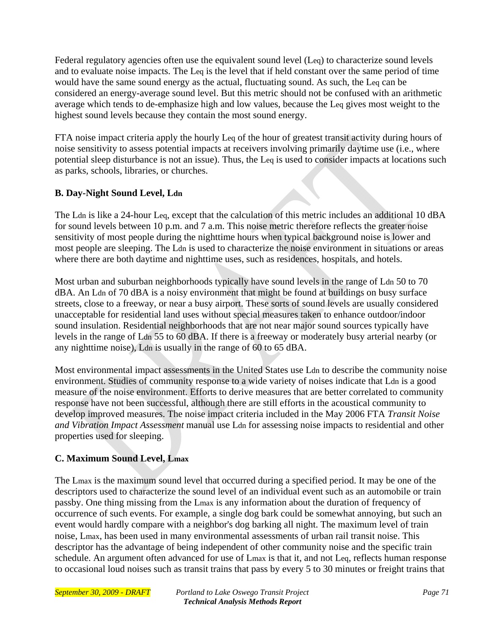Federal regulatory agencies often use the equivalent sound level (Leq) to characterize sound levels and to evaluate noise impacts. The Leq is the level that if held constant over the same period of time would have the same sound energy as the actual, fluctuating sound. As such, the Leq can be considered an energy-average sound level. But this metric should not be confused with an arithmetic average which tends to de-emphasize high and low values, because the Leq gives most weight to the highest sound levels because they contain the most sound energy.

FTA noise impact criteria apply the hourly Leq of the hour of greatest transit activity during hours of noise sensitivity to assess potential impacts at receivers involving primarily daytime use (i.e., where potential sleep disturbance is not an issue). Thus, the Leq is used to consider impacts at locations such as parks, schools, libraries, or churches.

### **B. Day-Night Sound Level, Ldn**

The Ldn is like a 24-hour Leq, except that the calculation of this metric includes an additional 10 dBA for sound levels between 10 p.m. and 7 a.m. This noise metric therefore reflects the greater noise sensitivity of most people during the nighttime hours when typical background noise is lower and most people are sleeping. The Ldn is used to characterize the noise environment in situations or areas where there are both daytime and nighttime uses, such as residences, hospitals, and hotels.

Most urban and suburban neighborhoods typically have sound levels in the range of Ldn 50 to 70 dBA. An Ldn of 70 dBA is a noisy environment that might be found at buildings on busy surface streets, close to a freeway, or near a busy airport. These sorts of sound levels are usually considered unacceptable for residential land uses without special measures taken to enhance outdoor/indoor sound insulation. Residential neighborhoods that are not near major sound sources typically have levels in the range of Ldn 55 to 60 dBA. If there is a freeway or moderately busy arterial nearby (or any nighttime noise), Ldn is usually in the range of 60 to 65 dBA.

Most environmental impact assessments in the United States use Ldn to describe the community noise environment. Studies of community response to a wide variety of noises indicate that Ldn is a good measure of the noise environment. Efforts to derive measures that are better correlated to community response have not been successful, although there are still efforts in the acoustical community to develop improved measures. The noise impact criteria included in the May 2006 FTA *Transit Noise and Vibration Impact Assessment* manual use Ldn for assessing noise impacts to residential and other properties used for sleeping.

# **C. Maximum Sound Level, Lmax**

The Lmax is the maximum sound level that occurred during a specified period. It may be one of the descriptors used to characterize the sound level of an individual event such as an automobile or train passby. One thing missing from the Lmax is any information about the duration of frequency of occurrence of such events. For example, a single dog bark could be somewhat annoying, but such an event would hardly compare with a neighbor's dog barking all night. The maximum level of train noise, Lmax, has been used in many environmental assessments of urban rail transit noise. This descriptor has the advantage of being independent of other community noise and the specific train schedule. An argument often advanced for use of Lmax is that it, and not Leq, reflects human response to occasional loud noises such as transit trains that pass by every 5 to 30 minutes or freight trains that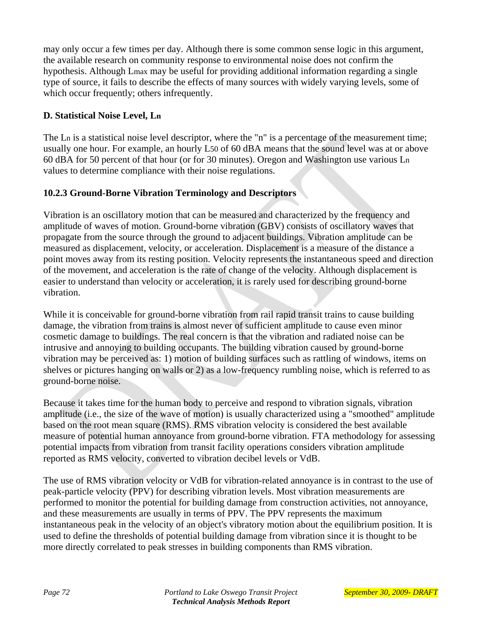may only occur a few times per day. Although there is some common sense logic in this argument, the available research on community response to environmental noise does not confirm the hypothesis. Although Lmax may be useful for providing additional information regarding a single type of source, it fails to describe the effects of many sources with widely varying levels, some of which occur frequently; others infrequently.

### **D. Statistical Noise Level, Ln**

The Ln is a statistical noise level descriptor, where the "n" is a percentage of the measurement time; usually one hour. For example, an hourly L50 of 60 dBA means that the sound level was at or above 60 dBA for 50 percent of that hour (or for 30 minutes). Oregon and Washington use various Ln values to determine compliance with their noise regulations.

### **10.2.3 Ground-Borne Vibration Terminology and Descriptors**

Vibration is an oscillatory motion that can be measured and characterized by the frequency and amplitude of waves of motion. Ground-borne vibration (GBV) consists of oscillatory waves that propagate from the source through the ground to adjacent buildings. Vibration amplitude can be measured as displacement, velocity, or acceleration. Displacement is a measure of the distance a point moves away from its resting position. Velocity represents the instantaneous speed and direction of the movement, and acceleration is the rate of change of the velocity. Although displacement is easier to understand than velocity or acceleration, it is rarely used for describing ground-borne vibration.

While it is conceivable for ground-borne vibration from rail rapid transit trains to cause building damage, the vibration from trains is almost never of sufficient amplitude to cause even minor cosmetic damage to buildings. The real concern is that the vibration and radiated noise can be intrusive and annoying to building occupants. The building vibration caused by ground-borne vibration may be perceived as: 1) motion of building surfaces such as rattling of windows, items on shelves or pictures hanging on walls or 2) as a low-frequency rumbling noise, which is referred to as ground-borne noise.

Because it takes time for the human body to perceive and respond to vibration signals, vibration amplitude (i.e., the size of the wave of motion) is usually characterized using a "smoothed" amplitude based on the root mean square (RMS). RMS vibration velocity is considered the best available measure of potential human annoyance from ground-borne vibration. FTA methodology for assessing potential impacts from vibration from transit facility operations considers vibration amplitude reported as RMS velocity, converted to vibration decibel levels or VdB.

The use of RMS vibration velocity or VdB for vibration-related annoyance is in contrast to the use of peak-particle velocity (PPV) for describing vibration levels. Most vibration measurements are performed to monitor the potential for building damage from construction activities, not annoyance, and these measurements are usually in terms of PPV. The PPV represents the maximum instantaneous peak in the velocity of an object's vibratory motion about the equilibrium position. It is used to define the thresholds of potential building damage from vibration since it is thought to be more directly correlated to peak stresses in building components than RMS vibration.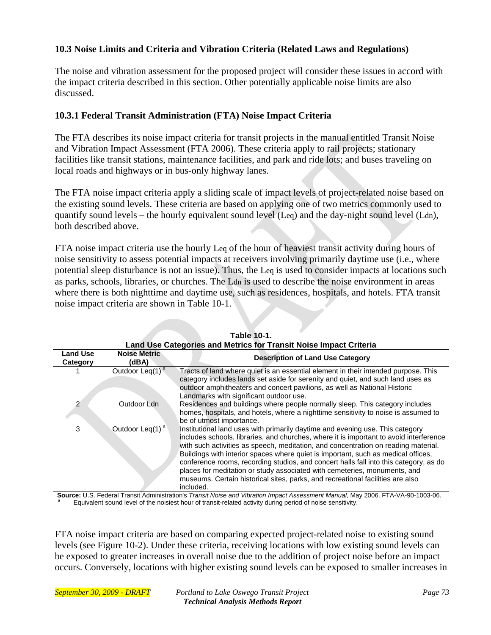#### **10.3 Noise Limits and Criteria and Vibration Criteria (Related Laws and Regulations)**

The noise and vibration assessment for the proposed project will consider these issues in accord with the impact criteria described in this section. Other potentially applicable noise limits are also discussed.

#### **10.3.1 Federal Transit Administration (FTA) Noise Impact Criteria**

The FTA describes its noise impact criteria for transit projects in the manual entitled Transit Noise and Vibration Impact Assessment (FTA 2006). These criteria apply to rail projects; stationary facilities like transit stations, maintenance facilities, and park and ride lots; and buses traveling on local roads and highways or in bus-only highway lanes.

The FTA noise impact criteria apply a sliding scale of impact levels of project-related noise based on the existing sound levels. These criteria are based on applying one of two metrics commonly used to quantify sound levels – the hourly equivalent sound level (Leq) and the day-night sound level (Ldn), both described above.

FTA noise impact criteria use the hourly Leq of the hour of heaviest transit activity during hours of noise sensitivity to assess potential impacts at receivers involving primarily daytime use (i.e., where potential sleep disturbance is not an issue). Thus, the Leq is used to consider impacts at locations such as parks, schools, libraries, or churches. The Ldn is used to describe the noise environment in areas where there is both nighttime and daytime use, such as residences, hospitals, and hotels. FTA transit noise impact criteria are shown in Table 10-1.

| Land Use Categories and Metrics for Transit Noise Impact Criteria |                              |                                                                                                                                                                                                                                                                                                                                                                                                                                                                                                                                                                                                                         |  |
|-------------------------------------------------------------------|------------------------------|-------------------------------------------------------------------------------------------------------------------------------------------------------------------------------------------------------------------------------------------------------------------------------------------------------------------------------------------------------------------------------------------------------------------------------------------------------------------------------------------------------------------------------------------------------------------------------------------------------------------------|--|
| <b>Land Use</b><br>Category                                       | <b>Noise Metric</b><br>(dBA) | <b>Description of Land Use Category</b>                                                                                                                                                                                                                                                                                                                                                                                                                                                                                                                                                                                 |  |
|                                                                   | Outdoor Leq(1) $a$           | Tracts of land where quiet is an essential element in their intended purpose. This<br>category includes lands set aside for serenity and quiet, and such land uses as<br>outdoor amphitheaters and concert pavilions, as well as National Historic<br>Landmarks with significant outdoor use.                                                                                                                                                                                                                                                                                                                           |  |
| 2                                                                 | Outdoor Ldn                  | Residences and buildings where people normally sleep. This category includes<br>homes, hospitals, and hotels, where a nighttime sensitivity to noise is assumed to<br>be of utmost importance.                                                                                                                                                                                                                                                                                                                                                                                                                          |  |
| 3                                                                 | Outdoor Leg(1) <sup>a</sup>  | Institutional land uses with primarily daytime and evening use. This category<br>includes schools, libraries, and churches, where it is important to avoid interference<br>with such activities as speech, meditation, and concentration on reading material.<br>Buildings with interior spaces where quiet is important, such as medical offices,<br>conference rooms, recording studios, and concert halls fall into this category, as do<br>places for meditation or study associated with cemeteries, monuments, and<br>museums. Certain historical sites, parks, and recreational facilities are also<br>included. |  |

**Table 10-1.** 

Source: U.S. Federal Transit Administration's Transit Noise and Vibration Impact Assessment Manual, May 2006. FTA-VA-90-1003-06.<br><sup>a</sup> Equivalent sound level of the noisiest hour of transit-related activity during period of

FTA noise impact criteria are based on comparing expected project-related noise to existing sound levels (see Figure 10-2). Under these criteria, receiving locations with low existing sound levels can be exposed to greater increases in overall noise due to the addition of project noise before an impact occurs. Conversely, locations with higher existing sound levels can be exposed to smaller increases in

*September 30, 2009 - DRAFT Portland to Lake Oswego Transit Project Page 73 Technical Analysis Methods Report*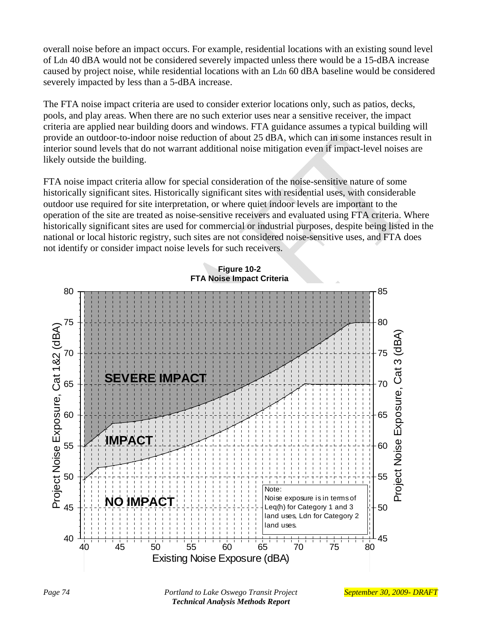overall noise before an impact occurs. For example, residential locations with an existing sound level of Ldn 40 dBA would not be considered severely impacted unless there would be a 15-dBA increase caused by project noise, while residential locations with an Ldn 60 dBA baseline would be considered severely impacted by less than a 5-dBA increase.

The FTA noise impact criteria are used to consider exterior locations only, such as patios, decks, pools, and play areas. When there are no such exterior uses near a sensitive receiver, the impact criteria are applied near building doors and windows. FTA guidance assumes a typical building will provide an outdoor-to-indoor noise reduction of about 25 dBA, which can in some instances result in interior sound levels that do not warrant additional noise mitigation even if impact-level noises are likely outside the building.

FTA noise impact criteria allow for special consideration of the noise-sensitive nature of some historically significant sites. Historically significant sites with residential uses, with considerable outdoor use required for site interpretation, or where quiet indoor levels are important to the operation of the site are treated as noise-sensitive receivers and evaluated using FTA criteria. Where historically significant sites are used for commercial or industrial purposes, despite being listed in the national or local historic registry, such sites are not considered noise-sensitive uses, and FTA does not identify or consider impact noise levels for such receivers.



*Page 74 Portland to Lake Oswego Transit Project September 30, 2009- DRAFT Technical Analysis Methods Report*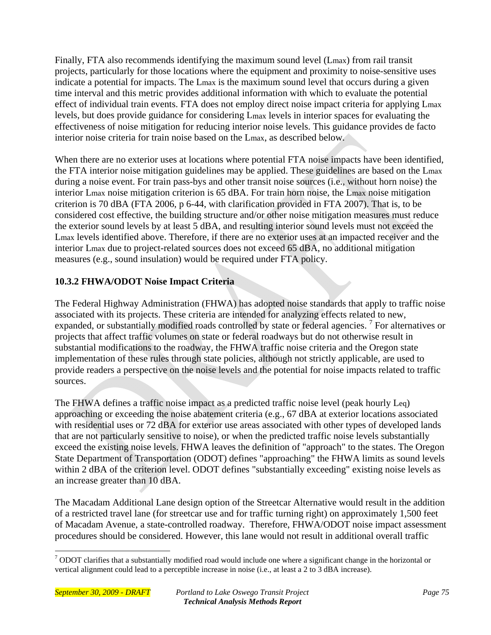Finally, FTA also recommends identifying the maximum sound level (Lmax) from rail transit projects, particularly for those locations where the equipment and proximity to noise-sensitive uses indicate a potential for impacts. The Lmax is the maximum sound level that occurs during a given time interval and this metric provides additional information with which to evaluate the potential effect of individual train events. FTA does not employ direct noise impact criteria for applying Lmax levels, but does provide guidance for considering Lmax levels in interior spaces for evaluating the effectiveness of noise mitigation for reducing interior noise levels. This guidance provides de facto interior noise criteria for train noise based on the Lmax, as described below.

When there are no exterior uses at locations where potential FTA noise impacts have been identified, the FTA interior noise mitigation guidelines may be applied. These guidelines are based on the Lmax during a noise event. For train pass-bys and other transit noise sources (i.e., without horn noise) the interior Lmax noise mitigation criterion is 65 dBA. For train horn noise, the Lmax noise mitigation criterion is 70 dBA (FTA 2006, p 6-44, with clarification provided in FTA 2007). That is, to be considered cost effective, the building structure and/or other noise mitigation measures must reduce the exterior sound levels by at least 5 dBA, and resulting interior sound levels must not exceed the Lmax levels identified above. Therefore, if there are no exterior uses at an impacted receiver and the interior Lmax due to project-related sources does not exceed 65 dBA, no additional mitigation measures (e.g., sound insulation) would be required under FTA policy.

# **10.3.2 FHWA/ODOT Noise Impact Criteria**

The Federal Highway Administration (FHWA) has adopted noise standards that apply to traffic noise associated with its projects. These criteria are intended for analyzing effects related to new, expanded, or substantially modified roads controlled by state or federal agencies.<sup>7</sup> For alternatives or projects that affect traffic volumes on state or federal roadways but do not otherwise result in substantial modifications to the roadway, the FHWA traffic noise criteria and the Oregon state implementation of these rules through state policies, although not strictly applicable, are used to provide readers a perspective on the noise levels and the potential for noise impacts related to traffic sources.

The FHWA defines a traffic noise impact as a predicted traffic noise level (peak hourly Leq) approaching or exceeding the noise abatement criteria (e.g., 67 dBA at exterior locations associated with residential uses or 72 dBA for exterior use areas associated with other types of developed lands that are not particularly sensitive to noise), or when the predicted traffic noise levels substantially exceed the existing noise levels. FHWA leaves the definition of "approach" to the states. The Oregon State Department of Transportation (ODOT) defines "approaching" the FHWA limits as sound levels within 2 dBA of the criterion level. ODOT defines "substantially exceeding" existing noise levels as an increase greater than 10 dBA.

The Macadam Additional Lane design option of the Streetcar Alternative would result in the addition of a restricted travel lane (for streetcar use and for traffic turning right) on approximately 1,500 feet of Macadam Avenue, a state-controlled roadway. Therefore, FHWA/ODOT noise impact assessment procedures should be considered. However, this lane would not result in additional overall traffic

 $\overline{a}$ 

 $7$  ODOT clarifies that a substantially modified road would include one where a significant change in the horizontal or vertical alignment could lead to a perceptible increase in noise (i.e., at least a 2 to 3 dBA increase).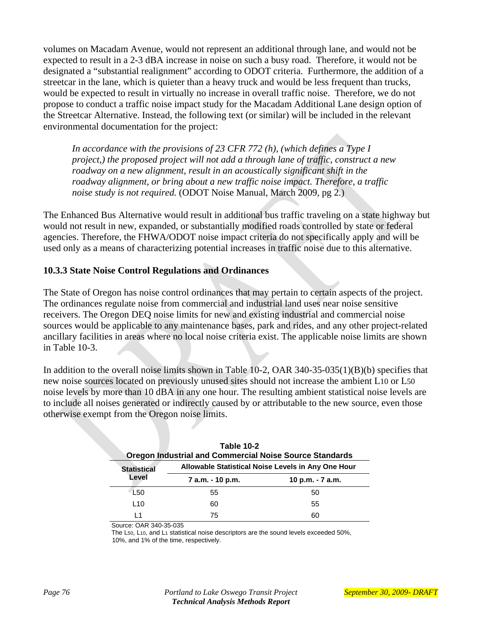volumes on Macadam Avenue, would not represent an additional through lane, and would not be expected to result in a 2-3 dBA increase in noise on such a busy road. Therefore, it would not be designated a "substantial realignment" according to ODOT criteria. Furthermore, the addition of a streetcar in the lane, which is quieter than a heavy truck and would be less frequent than trucks, would be expected to result in virtually no increase in overall traffic noise. Therefore, we do not propose to conduct a traffic noise impact study for the Macadam Additional Lane design option of the Streetcar Alternative. Instead, the following text (or similar) will be included in the relevant environmental documentation for the project:

In accordance with the provisions of 23 CFR 772 (h), (which defines a Type I *project,) the proposed project will not add a through lane of traffic, construct a new roadway on a new alignment, result in an acoustically significant shift in the roadway alignment, or bring about a new traffic noise impact. Therefore, a traffic noise study is not required.* (ODOT Noise Manual, March 2009, pg 2.)

The Enhanced Bus Alternative would result in additional bus traffic traveling on a state highway but would not result in new, expanded, or substantially modified roads controlled by state or federal agencies. Therefore, the FHWA/ODOT noise impact criteria do not specifically apply and will be used only as a means of characterizing potential increases in traffic noise due to this alternative.

### **10.3.3 State Noise Control Regulations and Ordinances**

The State of Oregon has noise control ordinances that may pertain to certain aspects of the project. The ordinances regulate noise from commercial and industrial land uses near noise sensitive receivers. The Oregon DEQ noise limits for new and existing industrial and commercial noise sources would be applicable to any maintenance bases, park and rides, and any other project-related ancillary facilities in areas where no local noise criteria exist. The applicable noise limits are shown in Table 10-3.

In addition to the overall noise limits shown in Table 10-2, OAR 340-35-035(1)(B)(b) specifies that new noise sources located on previously unused sites should not increase the ambient L10 or L50 noise levels by more than 10 dBA in any one hour. The resulting ambient statistical noise levels are to include all noises generated or indirectly caused by or attributable to the new source, even those otherwise exempt from the Oregon noise limits.

| <b>Statistical</b><br>Level | Allowable Statistical Noise Levels in Any One Hour |                  |  |
|-----------------------------|----------------------------------------------------|------------------|--|
|                             | 7 a.m. - 10 p.m.                                   | 10 p.m. - 7 a.m. |  |
| L50                         | 55                                                 | 50               |  |
| L10                         | 60                                                 | 55               |  |
| l 1                         | 75                                                 | 60               |  |

Source: OAR 340-35-035

The L50, L10, and L1 statistical noise descriptors are the sound levels exceeded 50%, 10%, and 1% of the time, respectively.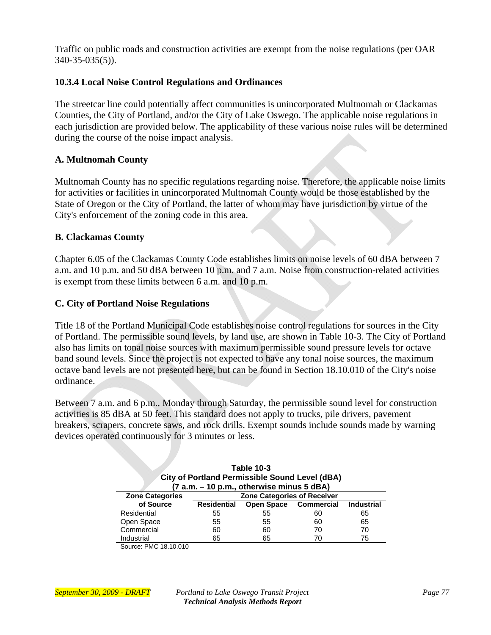Traffic on public roads and construction activities are exempt from the noise regulations (per OAR 340-35-035(5)).

#### **10.3.4 Local Noise Control Regulations and Ordinances**

The streetcar line could potentially affect communities is unincorporated Multnomah or Clackamas Counties, the City of Portland, and/or the City of Lake Oswego. The applicable noise regulations in each jurisdiction are provided below. The applicability of these various noise rules will be determined during the course of the noise impact analysis.

#### **A. Multnomah County**

Multnomah County has no specific regulations regarding noise. Therefore, the applicable noise limits for activities or facilities in unincorporated Multnomah County would be those established by the State of Oregon or the City of Portland, the latter of whom may have jurisdiction by virtue of the City's enforcement of the zoning code in this area.

#### **B. Clackamas County**

Chapter 6.05 of the Clackamas County Code establishes limits on noise levels of 60 dBA between 7 a.m. and 10 p.m. and 50 dBA between 10 p.m. and 7 a.m. Noise from construction-related activities is exempt from these limits between 6 a.m. and 10 p.m.

#### **C. City of Portland Noise Regulations**

Title 18 of the Portland Municipal Code establishes noise control regulations for sources in the City of Portland. The permissible sound levels, by land use, are shown in Table 10-3. The City of Portland also has limits on tonal noise sources with maximum permissible sound pressure levels for octave band sound levels. Since the project is not expected to have any tonal noise sources, the maximum octave band levels are not presented here, but can be found in Section 18.10.010 of the City's noise ordinance.

Between 7 a.m. and 6 p.m., Monday through Saturday, the permissible sound level for construction activities is 85 dBA at 50 feet. This standard does not apply to trucks, pile drivers, pavement breakers, scrapers, concrete saws, and rock drills. Exempt sounds include sounds made by warning devices operated continuously for 3 minutes or less.

| Table 10-3<br>City of Portland Permissible Sound Level (dBA)<br>(7 a.m. - 10 p.m., otherwise minus 5 dBA) |                                    |                   |            |                   |
|-----------------------------------------------------------------------------------------------------------|------------------------------------|-------------------|------------|-------------------|
| <b>Zone Categories</b>                                                                                    | <b>Zone Categories of Receiver</b> |                   |            |                   |
| of Source                                                                                                 | <b>Residential</b>                 | <b>Open Space</b> | Commercial | <b>Industrial</b> |
| Residential                                                                                               | 55                                 | 55                | 60         | 65                |
| Open Space                                                                                                | 55                                 | 55                | 60         | 65                |
| Commercial                                                                                                | 60                                 | 60                | 70         | 70                |
| Industrial                                                                                                | 65                                 | 65                | 70         | 75                |

Source: PMC 18.10.010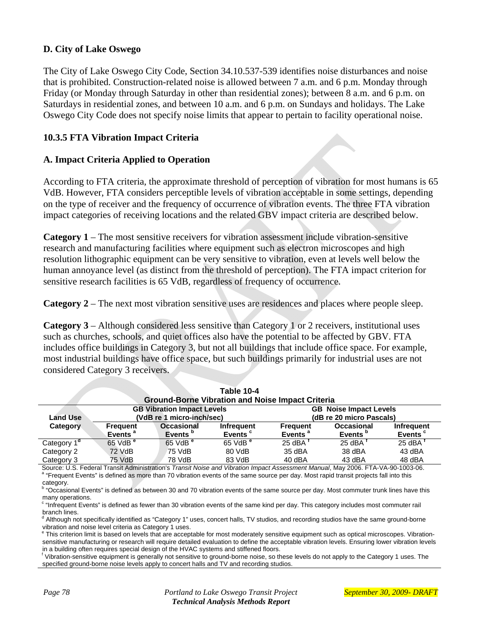#### **D. City of Lake Oswego**

The City of Lake Oswego City Code, Section 34.10.537-539 identifies noise disturbances and noise that is prohibited. Construction-related noise is allowed between 7 a.m. and 6 p.m. Monday through Friday (or Monday through Saturday in other than residential zones); between 8 a.m. and 6 p.m. on Saturdays in residential zones, and between 10 a.m. and 6 p.m. on Sundays and holidays. The Lake Oswego City Code does not specify noise limits that appear to pertain to facility operational noise.

#### **10.3.5 FTA Vibration Impact Criteria**

#### **A. Impact Criteria Applied to Operation**

According to FTA criteria, the approximate threshold of perception of vibration for most humans is 65 VdB. However, FTA considers perceptible levels of vibration acceptable in some settings, depending on the type of receiver and the frequency of occurrence of vibration events. The three FTA vibration impact categories of receiving locations and the related GBV impact criteria are described below.

**Category 1** – The most sensitive receivers for vibration assessment include vibration-sensitive research and manufacturing facilities where equipment such as electron microscopes and high resolution lithographic equipment can be very sensitive to vibration, even at levels well below the human annoyance level (as distinct from the threshold of perception). The FTA impact criterion for sensitive research facilities is 65 VdB, regardless of frequency of occurrence.

**Category 2** – The next most vibration sensitive uses are residences and places where people sleep.

**Category 3** – Although considered less sensitive than Category 1 or 2 receivers, institutional uses such as churches, schools, and quiet offices also have the potential to be affected by GBV. FTA includes office buildings in Category 3, but not all buildings that include office space. For example, most industrial buildings have office space, but such buildings primarily for industrial uses are not considered Category 3 receivers.

| Table 10-4              |                           |                                                         |                     |                          |                               |                     |
|-------------------------|---------------------------|---------------------------------------------------------|---------------------|--------------------------|-------------------------------|---------------------|
|                         |                           | <b>Ground-Borne Vibration and Noise Impact Criteria</b> |                     |                          |                               |                     |
|                         |                           | <b>GB Vibration Impact Levels</b>                       |                     |                          | <b>GB</b> Noise Impact Levels |                     |
| <b>Land Use</b>         | (VdB re 1 micro-inch/sec) |                                                         |                     | (dB re 20 micro Pascals) |                               |                     |
| <b>Category</b>         | <b>Frequent</b>           | <b>Occasional</b>                                       | <b>Infrequent</b>   | <b>Frequent</b>          | <b>Occasional</b>             | <b>Infrequent</b>   |
|                         | Events <sup>a</sup>       | Events <sup>p</sup>                                     | Events <sup>c</sup> | Events <sup>a</sup>      | Events <sup>p</sup>           | Events <sup>c</sup> |
| Category 1 <sup>ª</sup> | $65$ VdB <sup>e</sup>     | $65$ VdB <sup>e</sup>                                   | $65$ VdB $^e$       | $25$ dBA                 | $25$ dBA $^{\circ}$           | $25$ dBA            |
| Category 2              | 72 VdB                    | 75 VdB                                                  | 80 VdB              | 35 dBA                   | 38 dBA                        | 43 dBA              |
| Category 3              | 75 VdB                    | 78 VdB                                                  | 83 VdB              | 40 dBA                   | 43 dBA                        | 48 dBA              |

Source: U.S. Federal Transit Administration's *Transit Noise and Vibration Impact Assessment Manual*, May 2006. FTA-VA-90-1003-06. <sup>a</sup> "Frequent Events" is defined as more than 70 vibration events of the same source per day. Most rapid transit projects fall into this category.

<sup>b</sup> "Occasional Events" is defined as between 30 and 70 vibration events of the same source per day. Most commuter trunk lines have this many operations.

<sup>c</sup> "Infrequent Events" is defined as fewer than 30 vibration events of the same kind per day. This category includes most commuter rail branch lines.

<sup>d</sup> Although not specifically identified as "Category 1" uses, concert halls, TV studios, and recording studios have the same ground-borne vibration and noise level criteria as Category 1 uses.

<sup>e</sup> This criterion limit is based on levels that are acceptable for most moderately sensitive equipment such as optical microscopes. Vibrationsensitive manufacturing or research will require detailed evaluation to define the acceptable vibration levels. Ensuring lower vibration levels in a building often requires special design of the HVAC systems and stiffened floors.

 $<sup>f</sup>$  Vibration-sensitive equipment is generally not sensitive to ground-borne noise, so these levels do not apply to the Category 1 uses. The</sup> specified ground-borne noise levels apply to concert halls and TV and recording studios.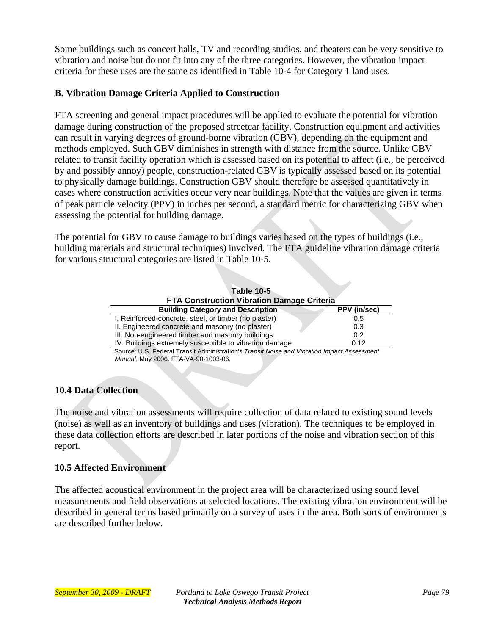Some buildings such as concert halls, TV and recording studios, and theaters can be very sensitive to vibration and noise but do not fit into any of the three categories. However, the vibration impact criteria for these uses are the same as identified in Table 10-4 for Category 1 land uses.

### **B. Vibration Damage Criteria Applied to Construction**

FTA screening and general impact procedures will be applied to evaluate the potential for vibration damage during construction of the proposed streetcar facility. Construction equipment and activities can result in varying degrees of ground-borne vibration (GBV), depending on the equipment and methods employed. Such GBV diminishes in strength with distance from the source. Unlike GBV related to transit facility operation which is assessed based on its potential to affect (i.e., be perceived by and possibly annoy) people, construction-related GBV is typically assessed based on its potential to physically damage buildings. Construction GBV should therefore be assessed quantitatively in cases where construction activities occur very near buildings. Note that the values are given in terms of peak particle velocity (PPV) in inches per second, a standard metric for characterizing GBV when assessing the potential for building damage.

The potential for GBV to cause damage to buildings varies based on the types of buildings (i.e., building materials and structural techniques) involved. The FTA guideline vibration damage criteria for various structural categories are listed in Table 10-5.

| <b>FTA Construction Vibration Damage Criteria</b>                                           |
|---------------------------------------------------------------------------------------------|
| PPV (in/sec)                                                                                |
| 0.5                                                                                         |
| 0.3                                                                                         |
| 0.2                                                                                         |
| 0.12                                                                                        |
| Source: U.S. Federal Transit Administration's Transit Noise and Vibration Impact Assessment |
|                                                                                             |

# **10.4 Data Collection**

The noise and vibration assessments will require collection of data related to existing sound levels (noise) as well as an inventory of buildings and uses (vibration). The techniques to be employed in these data collection efforts are described in later portions of the noise and vibration section of this report.

### **10.5 Affected Environment**

The affected acoustical environment in the project area will be characterized using sound level measurements and field observations at selected locations. The existing vibration environment will be described in general terms based primarily on a survey of uses in the area. Both sorts of environments are described further below.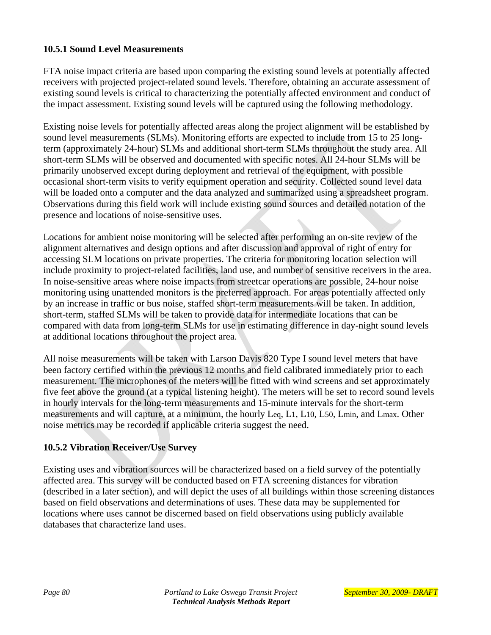### **10.5.1 Sound Level Measurements**

FTA noise impact criteria are based upon comparing the existing sound levels at potentially affected receivers with projected project-related sound levels. Therefore, obtaining an accurate assessment of existing sound levels is critical to characterizing the potentially affected environment and conduct of the impact assessment. Existing sound levels will be captured using the following methodology.

Existing noise levels for potentially affected areas along the project alignment will be established by sound level measurements (SLMs). Monitoring efforts are expected to include from 15 to 25 longterm (approximately 24-hour) SLMs and additional short-term SLMs throughout the study area. All short-term SLMs will be observed and documented with specific notes. All 24-hour SLMs will be primarily unobserved except during deployment and retrieval of the equipment, with possible occasional short-term visits to verify equipment operation and security. Collected sound level data will be loaded onto a computer and the data analyzed and summarized using a spreadsheet program. Observations during this field work will include existing sound sources and detailed notation of the presence and locations of noise-sensitive uses.

Locations for ambient noise monitoring will be selected after performing an on-site review of the alignment alternatives and design options and after discussion and approval of right of entry for accessing SLM locations on private properties. The criteria for monitoring location selection will include proximity to project-related facilities, land use, and number of sensitive receivers in the area. In noise-sensitive areas where noise impacts from streetcar operations are possible, 24-hour noise monitoring using unattended monitors is the preferred approach. For areas potentially affected only by an increase in traffic or bus noise, staffed short-term measurements will be taken. In addition, short-term, staffed SLMs will be taken to provide data for intermediate locations that can be compared with data from long-term SLMs for use in estimating difference in day-night sound levels at additional locations throughout the project area.

All noise measurements will be taken with Larson Davis 820 Type I sound level meters that have been factory certified within the previous 12 months and field calibrated immediately prior to each measurement. The microphones of the meters will be fitted with wind screens and set approximately five feet above the ground (at a typical listening height). The meters will be set to record sound levels in hourly intervals for the long-term measurements and 15-minute intervals for the short-term measurements and will capture, at a minimum, the hourly Leq, L1, L10, L50, Lmin, and Lmax. Other noise metrics may be recorded if applicable criteria suggest the need.

# **10.5.2 Vibration Receiver/Use Survey**

Existing uses and vibration sources will be characterized based on a field survey of the potentially affected area. This survey will be conducted based on FTA screening distances for vibration (described in a later section), and will depict the uses of all buildings within those screening distances based on field observations and determinations of uses. These data may be supplemented for locations where uses cannot be discerned based on field observations using publicly available databases that characterize land uses.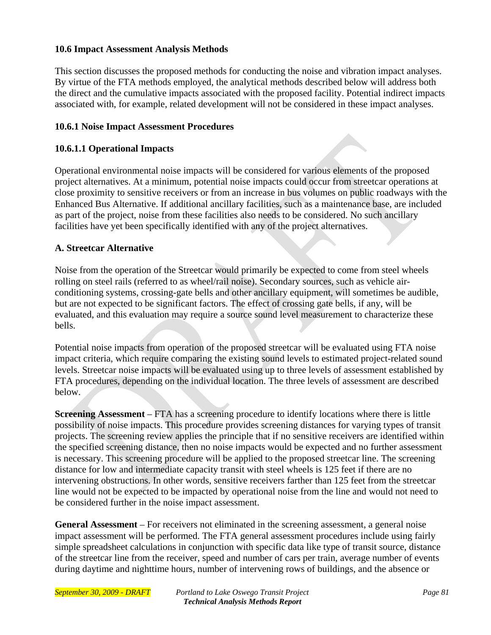#### **10.6 Impact Assessment Analysis Methods**

This section discusses the proposed methods for conducting the noise and vibration impact analyses. By virtue of the FTA methods employed, the analytical methods described below will address both the direct and the cumulative impacts associated with the proposed facility. Potential indirect impacts associated with, for example, related development will not be considered in these impact analyses.

#### **10.6.1 Noise Impact Assessment Procedures**

#### **10.6.1.1 Operational Impacts**

Operational environmental noise impacts will be considered for various elements of the proposed project alternatives. At a minimum, potential noise impacts could occur from streetcar operations at close proximity to sensitive receivers or from an increase in bus volumes on public roadways with the Enhanced Bus Alternative. If additional ancillary facilities, such as a maintenance base, are included as part of the project, noise from these facilities also needs to be considered. No such ancillary facilities have yet been specifically identified with any of the project alternatives.

#### **A. Streetcar Alternative**

Noise from the operation of the Streetcar would primarily be expected to come from steel wheels rolling on steel rails (referred to as wheel/rail noise). Secondary sources, such as vehicle airconditioning systems, crossing-gate bells and other ancillary equipment, will sometimes be audible, but are not expected to be significant factors. The effect of crossing gate bells, if any, will be evaluated, and this evaluation may require a source sound level measurement to characterize these bells.

Potential noise impacts from operation of the proposed streetcar will be evaluated using FTA noise impact criteria, which require comparing the existing sound levels to estimated project-related sound levels. Streetcar noise impacts will be evaluated using up to three levels of assessment established by FTA procedures, depending on the individual location. The three levels of assessment are described below.

**Screening Assessment** – FTA has a screening procedure to identify locations where there is little possibility of noise impacts. This procedure provides screening distances for varying types of transit projects. The screening review applies the principle that if no sensitive receivers are identified within the specified screening distance, then no noise impacts would be expected and no further assessment is necessary. This screening procedure will be applied to the proposed streetcar line. The screening distance for low and intermediate capacity transit with steel wheels is 125 feet if there are no intervening obstructions. In other words, sensitive receivers farther than 125 feet from the streetcar line would not be expected to be impacted by operational noise from the line and would not need to be considered further in the noise impact assessment.

**General Assessment** – For receivers not eliminated in the screening assessment, a general noise impact assessment will be performed. The FTA general assessment procedures include using fairly simple spreadsheet calculations in conjunction with specific data like type of transit source, distance of the streetcar line from the receiver, speed and number of cars per train, average number of events during daytime and nighttime hours, number of intervening rows of buildings, and the absence or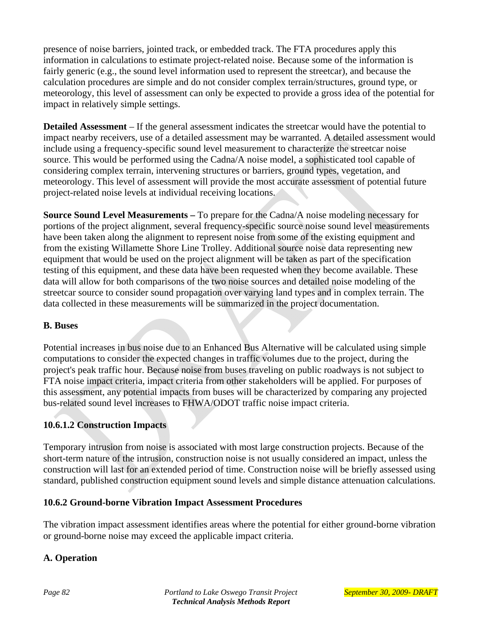presence of noise barriers, jointed track, or embedded track. The FTA procedures apply this information in calculations to estimate project-related noise. Because some of the information is fairly generic (e.g., the sound level information used to represent the streetcar), and because the calculation procedures are simple and do not consider complex terrain/structures, ground type, or meteorology, this level of assessment can only be expected to provide a gross idea of the potential for impact in relatively simple settings.

**Detailed Assessment** – If the general assessment indicates the streetcar would have the potential to impact nearby receivers, use of a detailed assessment may be warranted. A detailed assessment would include using a frequency-specific sound level measurement to characterize the streetcar noise source. This would be performed using the Cadna/A noise model, a sophisticated tool capable of considering complex terrain, intervening structures or barriers, ground types, vegetation, and meteorology. This level of assessment will provide the most accurate assessment of potential future project-related noise levels at individual receiving locations.

**Source Sound Level Measurements –** To prepare for the Cadna/A noise modeling necessary for portions of the project alignment, several frequency-specific source noise sound level measurements have been taken along the alignment to represent noise from some of the existing equipment and from the existing Willamette Shore Line Trolley. Additional source noise data representing new equipment that would be used on the project alignment will be taken as part of the specification testing of this equipment, and these data have been requested when they become available. These data will allow for both comparisons of the two noise sources and detailed noise modeling of the streetcar source to consider sound propagation over varying land types and in complex terrain. The data collected in these measurements will be summarized in the project documentation.

### **B. Buses**

Potential increases in bus noise due to an Enhanced Bus Alternative will be calculated using simple computations to consider the expected changes in traffic volumes due to the project, during the project's peak traffic hour. Because noise from buses traveling on public roadways is not subject to FTA noise impact criteria, impact criteria from other stakeholders will be applied. For purposes of this assessment, any potential impacts from buses will be characterized by comparing any projected bus-related sound level increases to FHWA/ODOT traffic noise impact criteria.

# **10.6.1.2 Construction Impacts**

Temporary intrusion from noise is associated with most large construction projects. Because of the short-term nature of the intrusion, construction noise is not usually considered an impact, unless the construction will last for an extended period of time. Construction noise will be briefly assessed using standard, published construction equipment sound levels and simple distance attenuation calculations.

# **10.6.2 Ground-borne Vibration Impact Assessment Procedures**

The vibration impact assessment identifies areas where the potential for either ground-borne vibration or ground-borne noise may exceed the applicable impact criteria.

### **A. Operation**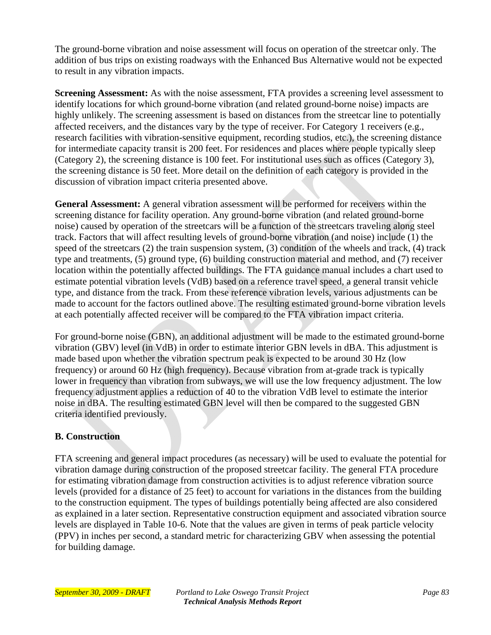The ground-borne vibration and noise assessment will focus on operation of the streetcar only. The addition of bus trips on existing roadways with the Enhanced Bus Alternative would not be expected to result in any vibration impacts.

**Screening Assessment:** As with the noise assessment, FTA provides a screening level assessment to identify locations for which ground-borne vibration (and related ground-borne noise) impacts are highly unlikely. The screening assessment is based on distances from the streetcar line to potentially affected receivers, and the distances vary by the type of receiver. For Category 1 receivers (e.g., research facilities with vibration-sensitive equipment, recording studios, etc.), the screening distance for intermediate capacity transit is 200 feet. For residences and places where people typically sleep (Category 2), the screening distance is 100 feet. For institutional uses such as offices (Category 3), the screening distance is 50 feet. More detail on the definition of each category is provided in the discussion of vibration impact criteria presented above.

**General Assessment:** A general vibration assessment will be performed for receivers within the screening distance for facility operation. Any ground-borne vibration (and related ground-borne noise) caused by operation of the streetcars will be a function of the streetcars traveling along steel track. Factors that will affect resulting levels of ground-borne vibration (and noise) include (1) the speed of the streetcars (2) the train suspension system, (3) condition of the wheels and track, (4) track type and treatments, (5) ground type, (6) building construction material and method, and (7) receiver location within the potentially affected buildings. The FTA guidance manual includes a chart used to estimate potential vibration levels (VdB) based on a reference travel speed, a general transit vehicle type, and distance from the track. From these reference vibration levels, various adjustments can be made to account for the factors outlined above. The resulting estimated ground-borne vibration levels at each potentially affected receiver will be compared to the FTA vibration impact criteria.

For ground-borne noise (GBN), an additional adjustment will be made to the estimated ground-borne vibration (GBV) level (in VdB) in order to estimate interior GBN levels in dBA. This adjustment is made based upon whether the vibration spectrum peak is expected to be around 30 Hz (low frequency) or around 60 Hz (high frequency). Because vibration from at-grade track is typically lower in frequency than vibration from subways, we will use the low frequency adjustment. The low frequency adjustment applies a reduction of 40 to the vibration VdB level to estimate the interior noise in dBA. The resulting estimated GBN level will then be compared to the suggested GBN criteria identified previously.

# **B. Construction**

FTA screening and general impact procedures (as necessary) will be used to evaluate the potential for vibration damage during construction of the proposed streetcar facility. The general FTA procedure for estimating vibration damage from construction activities is to adjust reference vibration source levels (provided for a distance of 25 feet) to account for variations in the distances from the building to the construction equipment. The types of buildings potentially being affected are also considered as explained in a later section. Representative construction equipment and associated vibration source levels are displayed in Table 10-6. Note that the values are given in terms of peak particle velocity (PPV) in inches per second, a standard metric for characterizing GBV when assessing the potential for building damage.

*September 30, 2009 - DRAFT Portland to Lake Oswego Transit Project Page 83 Technical Analysis Methods Report*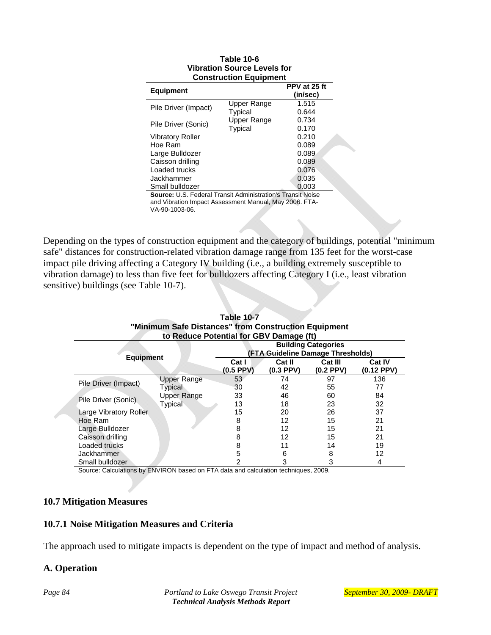| <b>Equipment</b>        |                    | PPV at 25 ft<br>(in/sec) |
|-------------------------|--------------------|--------------------------|
| Pile Driver (Impact)    | Upper Range        | 1.515                    |
|                         | Typical            | 0.644                    |
| Pile Driver (Sonic)     | <b>Upper Range</b> | 0.734                    |
|                         | Typical            | 0.170                    |
| <b>Vibratory Roller</b> |                    | 0.210                    |
| Hoe Ram                 |                    | 0.089                    |
| Large Bulldozer         |                    | 0.089                    |
| Caisson drilling        |                    | 0.089                    |
| Loaded trucks           |                    | 0.076                    |
| Jackhammer              |                    | 0.035                    |
| Small bulldozer         |                    | 0.003                    |
|                         |                    | $-$<br>.                 |

#### **Table 10-6 Vibration Source Levels for Construction Equipment**

**Source:** U.S. Federal Transit Administration's Transit Noise and Vibration Impact Assessment Manual, May 2006. FTA-VA-90-1003-06.

Depending on the types of construction equipment and the category of buildings, potential "minimum safe" distances for construction-related vibration damage range from 135 feet for the worst-case impact pile driving affecting a Category IV building (i.e., a building extremely susceptible to vibration damage) to less than five feet for bulldozers affecting Category I (i.e., least vibration sensitive) buildings (see Table 10-7).

|                        | to Reduce Potential for GBV Damage (ft)                                             |                    |                     |                               |                             |
|------------------------|-------------------------------------------------------------------------------------|--------------------|---------------------|-------------------------------|-----------------------------|
|                        | <b>Building Categories</b><br>(FTA Guideline Damage Thresholds)<br><b>Equipment</b> |                    |                     |                               |                             |
|                        |                                                                                     | Cat I<br>(0.5 PPV) | Cat II<br>(0.3 PPV) | <b>Cat III</b><br>$(0.2$ PPV) | <b>Cat IV</b><br>(0.12 PPV) |
| Pile Driver (Impact)   | Upper Range                                                                         | 53                 | 74                  | 97                            | 136                         |
|                        | Typical                                                                             | 30                 | 42                  | 55                            | 77                          |
| Pile Driver (Sonic)    | Upper Range                                                                         | 33                 | 46                  | 60                            | 84                          |
|                        | <b>Typical</b>                                                                      | 13                 | 18                  | 23                            | 32                          |
| Large Vibratory Roller |                                                                                     | 15                 | 20                  | 26                            | 37                          |
| Hoe Ram                |                                                                                     | 8                  | 12                  | 15                            | 21                          |
| Large Bulldozer        |                                                                                     | 8                  | 12                  | 15                            | 21                          |
| Caisson drilling       |                                                                                     |                    | 12                  | 15                            | 21                          |
| Loaded trucks          |                                                                                     |                    | 11                  | 14                            | 19                          |
| Jackhammer             |                                                                                     | 5                  | 6                   | 8                             | 12                          |
| Small bulldozer        |                                                                                     |                    | 3                   | 3                             | 4                           |

# **Table 10-7 "Minimum Safe Distances" from Construction Equipment**

Source: Calculations by ENVIRON based on FTA data and calculation techniques, 2009.

#### **10.7 Mitigation Measures**

#### **10.7.1 Noise Mitigation Measures and Criteria**

The approach used to mitigate impacts is dependent on the type of impact and method of analysis.

### **A. Operation**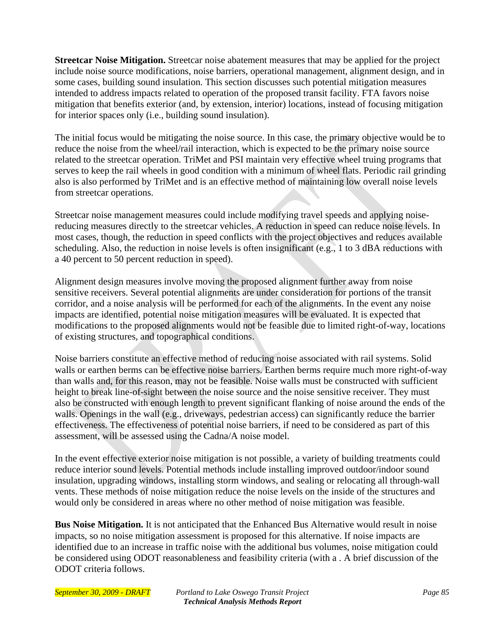**Streetcar Noise Mitigation.** Streetcar noise abatement measures that may be applied for the project include noise source modifications, noise barriers, operational management, alignment design, and in some cases, building sound insulation. This section discusses such potential mitigation measures intended to address impacts related to operation of the proposed transit facility. FTA favors noise mitigation that benefits exterior (and, by extension, interior) locations, instead of focusing mitigation for interior spaces only (i.e., building sound insulation).

The initial focus would be mitigating the noise source. In this case, the primary objective would be to reduce the noise from the wheel/rail interaction, which is expected to be the primary noise source related to the streetcar operation. TriMet and PSI maintain very effective wheel truing programs that serves to keep the rail wheels in good condition with a minimum of wheel flats. Periodic rail grinding also is also performed by TriMet and is an effective method of maintaining low overall noise levels from streetcar operations.

Streetcar noise management measures could include modifying travel speeds and applying noisereducing measures directly to the streetcar vehicles. A reduction in speed can reduce noise levels. In most cases, though, the reduction in speed conflicts with the project objectives and reduces available scheduling. Also, the reduction in noise levels is often insignificant (e.g., 1 to 3 dBA reductions with a 40 percent to 50 percent reduction in speed).

Alignment design measures involve moving the proposed alignment further away from noise sensitive receivers. Several potential alignments are under consideration for portions of the transit corridor, and a noise analysis will be performed for each of the alignments. In the event any noise impacts are identified, potential noise mitigation measures will be evaluated. It is expected that modifications to the proposed alignments would not be feasible due to limited right-of-way, locations of existing structures, and topographical conditions.

Noise barriers constitute an effective method of reducing noise associated with rail systems. Solid walls or earthen berms can be effective noise barriers. Earthen berms require much more right-of-way than walls and, for this reason, may not be feasible. Noise walls must be constructed with sufficient height to break line-of-sight between the noise source and the noise sensitive receiver. They must also be constructed with enough length to prevent significant flanking of noise around the ends of the walls. Openings in the wall (e.g., driveways, pedestrian access) can significantly reduce the barrier effectiveness. The effectiveness of potential noise barriers, if need to be considered as part of this assessment, will be assessed using the Cadna/A noise model.

In the event effective exterior noise mitigation is not possible, a variety of building treatments could reduce interior sound levels. Potential methods include installing improved outdoor/indoor sound insulation, upgrading windows, installing storm windows, and sealing or relocating all through-wall vents. These methods of noise mitigation reduce the noise levels on the inside of the structures and would only be considered in areas where no other method of noise mitigation was feasible.

**Bus Noise Mitigation.** It is not anticipated that the Enhanced Bus Alternative would result in noise impacts, so no noise mitigation assessment is proposed for this alternative. If noise impacts are identified due to an increase in traffic noise with the additional bus volumes, noise mitigation could be considered using ODOT reasonableness and feasibility criteria (with a . A brief discussion of the ODOT criteria follows.

*September 30, 2009 - DRAFT Portland to Lake Oswego Transit Project Page 85 Technical Analysis Methods Report*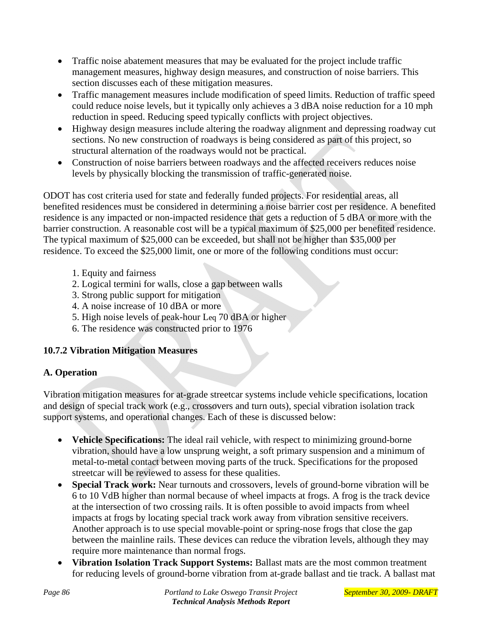- Traffic noise abatement measures that may be evaluated for the project include traffic management measures, highway design measures, and construction of noise barriers. This section discusses each of these mitigation measures.
- Traffic management measures include modification of speed limits. Reduction of traffic speed could reduce noise levels, but it typically only achieves a 3 dBA noise reduction for a 10 mph reduction in speed. Reducing speed typically conflicts with project objectives.
- Highway design measures include altering the roadway alignment and depressing roadway cut sections. No new construction of roadways is being considered as part of this project, so structural alternation of the roadways would not be practical.
- Construction of noise barriers between roadways and the affected receivers reduces noise levels by physically blocking the transmission of traffic-generated noise.

ODOT has cost criteria used for state and federally funded projects. For residential areas, all benefited residences must be considered in determining a noise barrier cost per residence. A benefited residence is any impacted or non-impacted residence that gets a reduction of 5 dBA or more with the barrier construction. A reasonable cost will be a typical maximum of \$25,000 per benefited residence. The typical maximum of \$25,000 can be exceeded, but shall not be higher than \$35,000 per residence. To exceed the \$25,000 limit, one or more of the following conditions must occur:

- 1. Equity and fairness
- 2. Logical termini for walls, close a gap between walls
- 3. Strong public support for mitigation
- 4. A noise increase of 10 dBA or more
- 5. High noise levels of peak-hour Leq 70 dBA or higher
- 6. The residence was constructed prior to 1976

# **10.7.2 Vibration Mitigation Measures**

# **A. Operation**

Vibration mitigation measures for at-grade streetcar systems include vehicle specifications, location and design of special track work (e.g., crossovers and turn outs), special vibration isolation track support systems, and operational changes. Each of these is discussed below:

- **Vehicle Specifications:** The ideal rail vehicle, with respect to minimizing ground-borne vibration, should have a low unsprung weight, a soft primary suspension and a minimum of metal-to-metal contact between moving parts of the truck. Specifications for the proposed streetcar will be reviewed to assess for these qualities.
- **Special Track work:** Near turnouts and crossovers, levels of ground-borne vibration will be 6 to 10 VdB higher than normal because of wheel impacts at frogs. A frog is the track device at the intersection of two crossing rails. It is often possible to avoid impacts from wheel impacts at frogs by locating special track work away from vibration sensitive receivers. Another approach is to use special movable-point or spring-nose frogs that close the gap between the mainline rails. These devices can reduce the vibration levels, although they may require more maintenance than normal frogs.
- **Vibration Isolation Track Support Systems:** Ballast mats are the most common treatment for reducing levels of ground-borne vibration from at-grade ballast and tie track. A ballast mat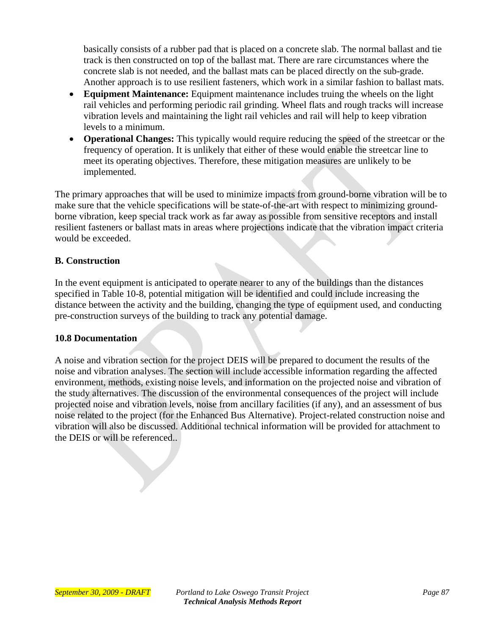basically consists of a rubber pad that is placed on a concrete slab. The normal ballast and tie track is then constructed on top of the ballast mat. There are rare circumstances where the concrete slab is not needed, and the ballast mats can be placed directly on the sub-grade. Another approach is to use resilient fasteners, which work in a similar fashion to ballast mats.

- **Equipment Maintenance:** Equipment maintenance includes truing the wheels on the light rail vehicles and performing periodic rail grinding. Wheel flats and rough tracks will increase vibration levels and maintaining the light rail vehicles and rail will help to keep vibration levels to a minimum.
- **Operational Changes:** This typically would require reducing the speed of the streetcar or the frequency of operation. It is unlikely that either of these would enable the streetcar line to meet its operating objectives. Therefore, these mitigation measures are unlikely to be implemented.

The primary approaches that will be used to minimize impacts from ground-borne vibration will be to make sure that the vehicle specifications will be state-of-the-art with respect to minimizing groundborne vibration, keep special track work as far away as possible from sensitive receptors and install resilient fasteners or ballast mats in areas where projections indicate that the vibration impact criteria would be exceeded.

### **B. Construction**

In the event equipment is anticipated to operate nearer to any of the buildings than the distances specified in Table 10-8, potential mitigation will be identified and could include increasing the distance between the activity and the building, changing the type of equipment used, and conducting pre-construction surveys of the building to track any potential damage.

### **10.8 Documentation**

A noise and vibration section for the project DEIS will be prepared to document the results of the noise and vibration analyses. The section will include accessible information regarding the affected environment, methods, existing noise levels, and information on the projected noise and vibration of the study alternatives. The discussion of the environmental consequences of the project will include projected noise and vibration levels, noise from ancillary facilities (if any), and an assessment of bus noise related to the project (for the Enhanced Bus Alternative). Project-related construction noise and vibration will also be discussed. Additional technical information will be provided for attachment to the DEIS or will be referenced..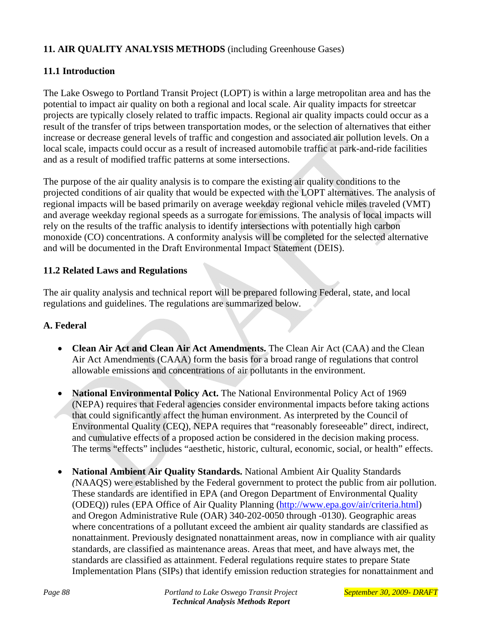# **11. AIR QUALITY ANALYSIS METHODS** (including Greenhouse Gases)

# **11.1 Introduction**

The Lake Oswego to Portland Transit Project (LOPT) is within a large metropolitan area and has the potential to impact air quality on both a regional and local scale. Air quality impacts for streetcar projects are typically closely related to traffic impacts. Regional air quality impacts could occur as a result of the transfer of trips between transportation modes, or the selection of alternatives that either increase or decrease general levels of traffic and congestion and associated air pollution levels. On a local scale, impacts could occur as a result of increased automobile traffic at park-and-ride facilities and as a result of modified traffic patterns at some intersections.

The purpose of the air quality analysis is to compare the existing air quality conditions to the projected conditions of air quality that would be expected with the LOPT alternatives. The analysis of regional impacts will be based primarily on average weekday regional vehicle miles traveled (VMT) and average weekday regional speeds as a surrogate for emissions. The analysis of local impacts will rely on the results of the traffic analysis to identify intersections with potentially high carbon monoxide (CO) concentrations. A conformity analysis will be completed for the selected alternative and will be documented in the Draft Environmental Impact Statement (DEIS).

### **11.2 Related Laws and Regulations**

The air quality analysis and technical report will be prepared following Federal, state, and local regulations and guidelines. The regulations are summarized below.

### **A. Federal**

- **Clean Air Act and Clean Air Act Amendments.** The Clean Air Act (CAA) and the Clean Air Act Amendments (CAAA) form the basis for a broad range of regulations that control allowable emissions and concentrations of air pollutants in the environment.
- **National Environmental Policy Act.** The National Environmental Policy Act of 1969 (NEPA) requires that Federal agencies consider environmental impacts before taking actions that could significantly affect the human environment. As interpreted by the Council of Environmental Quality (CEQ), NEPA requires that "reasonably foreseeable" direct, indirect, and cumulative effects of a proposed action be considered in the decision making process. The terms "effects" includes "aesthetic, historic, cultural, economic, social, or health" effects.
- **National Ambient Air Quality Standards.** National Ambient Air Quality Standards *(*NAAQS) were established by the Federal government to protect the public from air pollution. These standards are identified in EPA (and Oregon Department of Environmental Quality (ODEQ)) rules (EPA Office of Air Quality Planning (http://www.epa.gov/air/criteria.html) and Oregon Administrative Rule (OAR) 340-202-0050 through -0130). Geographic areas where concentrations of a pollutant exceed the ambient air quality standards are classified as nonattainment. Previously designated nonattainment areas, now in compliance with air quality standards, are classified as maintenance areas. Areas that meet, and have always met, the standards are classified as attainment. Federal regulations require states to prepare State Implementation Plans (SIPs) that identify emission reduction strategies for nonattainment and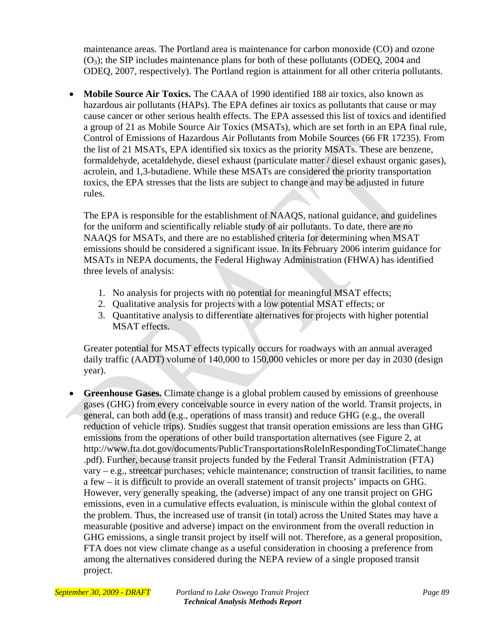maintenance areas. The Portland area is maintenance for carbon monoxide (CO) and ozone  $(O<sub>3</sub>)$ ; the SIP includes maintenance plans for both of these pollutants (ODEQ, 2004 and ODEQ, 2007, respectively). The Portland region is attainment for all other criteria pollutants.

 **Mobile Source Air Toxics.** The CAAA of 1990 identified 188 air toxics, also known as hazardous air pollutants (HAPs). The EPA defines air toxics as pollutants that cause or may cause cancer or other serious health effects. The EPA assessed this list of toxics and identified a group of 21 as Mobile Source Air Toxics (MSATs), which are set forth in an EPA final rule, Control of Emissions of Hazardous Air Pollutants from Mobile Sources (66 FR 17235). From the list of 21 MSATs, EPA identified six toxics as the priority MSATs. These are benzene, formaldehyde, acetaldehyde, diesel exhaust (particulate matter / diesel exhaust organic gases), acrolein, and 1,3-butadiene. While these MSATs are considered the priority transportation toxics, the EPA stresses that the lists are subject to change and may be adjusted in future rules.

The EPA is responsible for the establishment of NAAQS, national guidance, and guidelines for the uniform and scientifically reliable study of air pollutants. To date, there are no NAAQS for MSATs, and there are no established criteria for determining when MSAT emissions should be considered a significant issue. In its February 2006 interim guidance for MSATs in NEPA documents, the Federal Highway Administration (FHWA) has identified three levels of analysis:

- 1. No analysis for projects with no potential for meaningful MSAT effects;
- 2. Qualitative analysis for projects with a low potential MSAT effects; or
- 3. Quantitative analysis to differentiate alternatives for projects with higher potential MSAT effects.

Greater potential for MSAT effects typically occurs for roadways with an annual averaged daily traffic (AADT) volume of 140,000 to 150,000 vehicles or more per day in 2030 (design year).

 **Greenhouse Gases.** Climate change is a global problem caused by emissions of greenhouse gases (GHG) from every conceivable source in every nation of the world. Transit projects, in general, can both add (e.g., operations of mass transit) and reduce GHG (e.g., the overall reduction of vehicle trips). Studies suggest that transit operation emissions are less than GHG emissions from the operations of other build transportation alternatives (see Figure 2, at http://www.fta.dot.gov/documents/PublicTransportationsRoleInRespondingToClimateChange .pdf). Further, because transit projects funded by the Federal Transit Administration (FTA) vary – e.g., streetcar purchases; vehicle maintenance; construction of transit facilities, to name a few – it is difficult to provide an overall statement of transit projects' impacts on GHG. However, very generally speaking, the (adverse) impact of any one transit project on GHG emissions, even in a cumulative effects evaluation, is miniscule within the global context of the problem. Thus, the increased use of transit (in total) across the United States may have a measurable (positive and adverse) impact on the environment from the overall reduction in GHG emissions, a single transit project by itself will not. Therefore, as a general proposition, FTA does not view climate change as a useful consideration in choosing a preference from among the alternatives considered during the NEPA review of a single proposed transit project.

*September 30, 2009 - DRAFT Portland to Lake Oswego Transit Project Page 89 Technical Analysis Methods Report*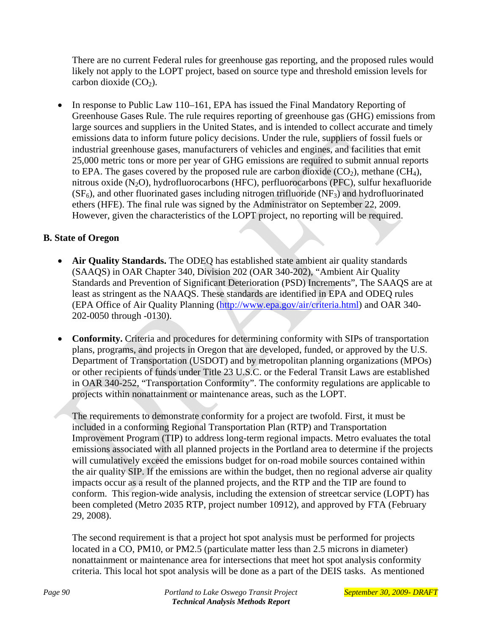There are no current Federal rules for greenhouse gas reporting, and the proposed rules would likely not apply to the LOPT project, based on source type and threshold emission levels for carbon dioxide  $(CO<sub>2</sub>)$ .

• In response to Public Law 110–161, EPA has issued the Final Mandatory Reporting of Greenhouse Gases Rule. The rule requires reporting of greenhouse gas (GHG) emissions from large sources and suppliers in the United States, and is intended to collect accurate and timely emissions data to inform future policy decisions. Under the rule, suppliers of fossil fuels or industrial greenhouse gases, manufacturers of vehicles and engines, and facilities that emit 25,000 metric tons or more per year of GHG emissions are required to submit annual reports to EPA. The gases covered by the proposed rule are carbon dioxide  $(CO_2)$ , methane  $CH_4$ ), nitrous oxide  $(N_2O)$ , hydrofluorocarbons (HFC), perfluorocarbons (PFC), sulfur hexafluoride  $(SF_6)$ , and other fluorinated gases including nitrogen trifluoride  $(NF_3)$  and hydrofluorinated ethers (HFE). The final rule was signed by the Administrator on September 22, 2009. However, given the characteristics of the LOPT project, no reporting will be required.

### **B. State of Oregon**

- **Air Quality Standards.** The ODEQ has established state ambient air quality standards (SAAQS) in OAR Chapter 340, Division 202 (OAR 340-202), "Ambient Air Quality Standards and Prevention of Significant Deterioration (PSD) Increments", The SAAQS are at least as stringent as the NAAQS. These standards are identified in EPA and ODEQ rules (EPA Office of Air Quality Planning (http://www.epa.gov/air/criteria.html) and OAR 340- 202-0050 through -0130).
- **Conformity.** Criteria and procedures for determining conformity with SIPs of transportation plans, programs, and projects in Oregon that are developed, funded, or approved by the U.S. Department of Transportation (USDOT) and by metropolitan planning organizations (MPOs) or other recipients of funds under Title 23 U.S.C. or the Federal Transit Laws are established in OAR 340-252, "Transportation Conformity". The conformity regulations are applicable to projects within nonattainment or maintenance areas, such as the LOPT.

The requirements to demonstrate conformity for a project are twofold. First, it must be included in a conforming Regional Transportation Plan (RTP) and Transportation Improvement Program (TIP) to address long-term regional impacts. Metro evaluates the total emissions associated with all planned projects in the Portland area to determine if the projects will cumulatively exceed the emissions budget for on-road mobile sources contained within the air quality SIP. If the emissions are within the budget, then no regional adverse air quality impacts occur as a result of the planned projects, and the RTP and the TIP are found to conform. This region-wide analysis, including the extension of streetcar service (LOPT) has been completed (Metro 2035 RTP, project number 10912), and approved by FTA (February 29, 2008).

The second requirement is that a project hot spot analysis must be performed for projects located in a CO, PM10, or PM2.5 (particulate matter less than 2.5 microns in diameter) nonattainment or maintenance area for intersections that meet hot spot analysis conformity criteria. This local hot spot analysis will be done as a part of the DEIS tasks. As mentioned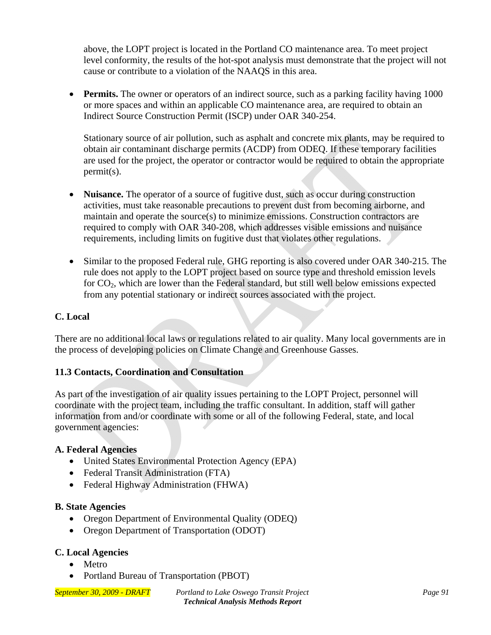above, the LOPT project is located in the Portland CO maintenance area. To meet project level conformity, the results of the hot-spot analysis must demonstrate that the project will not cause or contribute to a violation of the NAAQS in this area.

• **Permits.** The owner or operators of an indirect source, such as a parking facility having 1000 or more spaces and within an applicable CO maintenance area, are required to obtain an Indirect Source Construction Permit (ISCP) under OAR 340-254.

Stationary source of air pollution, such as asphalt and concrete mix plants, may be required to obtain air contaminant discharge permits (ACDP) from ODEQ. If these temporary facilities are used for the project, the operator or contractor would be required to obtain the appropriate permit(s).

- **Nuisance.** The operator of a source of fugitive dust, such as occur during construction activities, must take reasonable precautions to prevent dust from becoming airborne, and maintain and operate the source(s) to minimize emissions. Construction contractors are required to comply with OAR 340-208, which addresses visible emissions and nuisance requirements, including limits on fugitive dust that violates other regulations.
- Similar to the proposed Federal rule, GHG reporting is also covered under OAR 340-215. The rule does not apply to the LOPT project based on source type and threshold emission levels for CO2, which are lower than the Federal standard, but still well below emissions expected from any potential stationary or indirect sources associated with the project.

#### **C. Local**

There are no additional local laws or regulations related to air quality. Many local governments are in the process of developing policies on Climate Change and Greenhouse Gasses.

#### **11.3 Contacts, Coordination and Consultation**

As part of the investigation of air quality issues pertaining to the LOPT Project, personnel will coordinate with the project team, including the traffic consultant. In addition, staff will gather information from and/or coordinate with some or all of the following Federal, state, and local government agencies:

#### **A. Federal Agencies**

- United States Environmental Protection Agency (EPA)
- Federal Transit Administration (FTA)
- Federal Highway Administration (FHWA)

#### **B. State Agencies**

- Oregon Department of Environmental Quality (ODEQ)
- Oregon Department of Transportation (ODOT)

#### **C. Local Agencies**

- Metro
- Portland Bureau of Transportation (PBOT)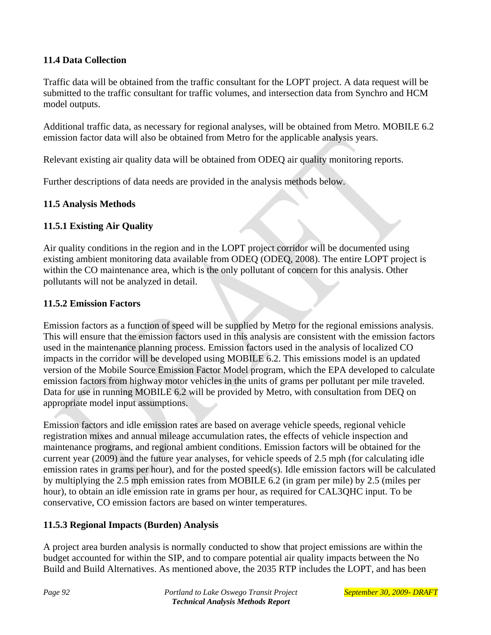### **11.4 Data Collection**

Traffic data will be obtained from the traffic consultant for the LOPT project. A data request will be submitted to the traffic consultant for traffic volumes, and intersection data from Synchro and HCM model outputs.

Additional traffic data, as necessary for regional analyses, will be obtained from Metro. MOBILE 6.2 emission factor data will also be obtained from Metro for the applicable analysis years.

Relevant existing air quality data will be obtained from ODEQ air quality monitoring reports.

Further descriptions of data needs are provided in the analysis methods below.

### **11.5 Analysis Methods**

# **11.5.1 Existing Air Quality**

Air quality conditions in the region and in the LOPT project corridor will be documented using existing ambient monitoring data available from ODEQ (ODEQ, 2008). The entire LOPT project is within the CO maintenance area, which is the only pollutant of concern for this analysis. Other pollutants will not be analyzed in detail.

### **11.5.2 Emission Factors**

Emission factors as a function of speed will be supplied by Metro for the regional emissions analysis. This will ensure that the emission factors used in this analysis are consistent with the emission factors used in the maintenance planning process. Emission factors used in the analysis of localized CO impacts in the corridor will be developed using MOBILE 6.2. This emissions model is an updated version of the Mobile Source Emission Factor Model program, which the EPA developed to calculate emission factors from highway motor vehicles in the units of grams per pollutant per mile traveled. Data for use in running MOBILE 6.2 will be provided by Metro, with consultation from DEQ on appropriate model input assumptions.

Emission factors and idle emission rates are based on average vehicle speeds, regional vehicle registration mixes and annual mileage accumulation rates, the effects of vehicle inspection and maintenance programs, and regional ambient conditions. Emission factors will be obtained for the current year (2009) and the future year analyses, for vehicle speeds of 2.5 mph (for calculating idle emission rates in grams per hour), and for the posted speed(s). Idle emission factors will be calculated by multiplying the 2.5 mph emission rates from MOBILE 6.2 (in gram per mile) by 2.5 (miles per hour), to obtain an idle emission rate in grams per hour, as required for CAL3QHC input. To be conservative, CO emission factors are based on winter temperatures.

# **11.5.3 Regional Impacts (Burden) Analysis**

A project area burden analysis is normally conducted to show that project emissions are within the budget accounted for within the SIP, and to compare potential air quality impacts between the No Build and Build Alternatives. As mentioned above, the 2035 RTP includes the LOPT, and has been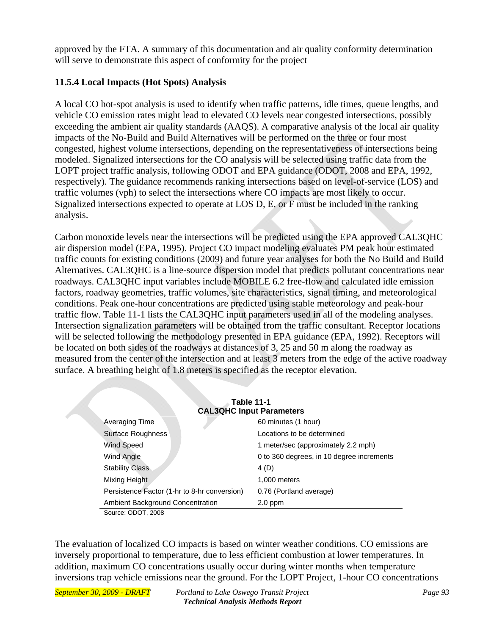approved by the FTA. A summary of this documentation and air quality conformity determination will serve to demonstrate this aspect of conformity for the project

### **11.5.4 Local Impacts (Hot Spots) Analysis**

A local CO hot-spot analysis is used to identify when traffic patterns, idle times, queue lengths, and vehicle CO emission rates might lead to elevated CO levels near congested intersections, possibly exceeding the ambient air quality standards (AAQS). A comparative analysis of the local air quality impacts of the No-Build and Build Alternatives will be performed on the three or four most congested, highest volume intersections, depending on the representativeness of intersections being modeled. Signalized intersections for the CO analysis will be selected using traffic data from the LOPT project traffic analysis, following ODOT and EPA guidance (ODOT, 2008 and EPA, 1992, respectively). The guidance recommends ranking intersections based on level-of-service (LOS) and traffic volumes (vph) to select the intersections where CO impacts are most likely to occur. Signalized intersections expected to operate at LOS D, E, or F must be included in the ranking analysis.

Carbon monoxide levels near the intersections will be predicted using the EPA approved CAL3QHC air dispersion model (EPA, 1995). Project CO impact modeling evaluates PM peak hour estimated traffic counts for existing conditions (2009) and future year analyses for both the No Build and Build Alternatives. CAL3QHC is a line-source dispersion model that predicts pollutant concentrations near roadways. CAL3QHC input variables include MOBILE 6.2 free-flow and calculated idle emission factors, roadway geometries, traffic volumes, site characteristics, signal timing, and meteorological conditions. Peak one-hour concentrations are predicted using stable meteorology and peak-hour traffic flow. Table 11-1 lists the CAL3QHC input parameters used in all of the modeling analyses. Intersection signalization parameters will be obtained from the traffic consultant. Receptor locations will be selected following the methodology presented in EPA guidance (EPA, 1992). Receptors will be located on both sides of the roadways at distances of 3, 25 and 50 m along the roadway as measured from the center of the intersection and at least 3 meters from the edge of the active roadway surface. A breathing height of 1.8 meters is specified as the receptor elevation.

| Table 11-1<br><b>CAL3QHC Input Parameters</b> |                                           |  |  |
|-----------------------------------------------|-------------------------------------------|--|--|
| <b>Averaging Time</b>                         | 60 minutes (1 hour)                       |  |  |
| Surface Roughness                             | Locations to be determined                |  |  |
| Wind Speed                                    | 1 meter/sec (approximately 2.2 mph)       |  |  |
| Wind Angle                                    | 0 to 360 degrees, in 10 degree increments |  |  |
| <b>Stability Class</b>                        | 4 (D)                                     |  |  |
| Mixing Height                                 | 1,000 meters                              |  |  |
| Persistence Factor (1-hr to 8-hr conversion)  | 0.76 (Portland average)                   |  |  |
| <b>Ambient Background Concentration</b>       | $2.0$ ppm                                 |  |  |
| Source: ODOT, 2008                            |                                           |  |  |

The evaluation of localized CO impacts is based on winter weather conditions. CO emissions are inversely proportional to temperature, due to less efficient combustion at lower temperatures. In addition, maximum CO concentrations usually occur during winter months when temperature inversions trap vehicle emissions near the ground. For the LOPT Project, 1-hour CO concentrations

*September 30, 2009 - DRAFT Portland to Lake Oswego Transit Project Page 93 Technical Analysis Methods Report*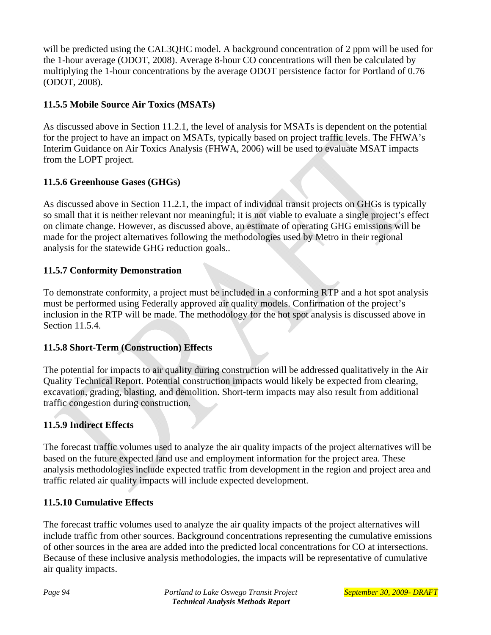will be predicted using the CAL3QHC model. A background concentration of 2 ppm will be used for the 1-hour average (ODOT, 2008). Average 8-hour CO concentrations will then be calculated by multiplying the 1-hour concentrations by the average ODOT persistence factor for Portland of 0.76 (ODOT, 2008).

### **11.5.5 Mobile Source Air Toxics (MSATs)**

As discussed above in Section 11.2.1, the level of analysis for MSATs is dependent on the potential for the project to have an impact on MSATs, typically based on project traffic levels. The FHWA's Interim Guidance on Air Toxics Analysis (FHWA, 2006) will be used to evaluate MSAT impacts from the LOPT project.

### **11.5.6 Greenhouse Gases (GHGs)**

As discussed above in Section 11.2.1, the impact of individual transit projects on GHGs is typically so small that it is neither relevant nor meaningful; it is not viable to evaluate a single project's effect on climate change. However, as discussed above, an estimate of operating GHG emissions will be made for the project alternatives following the methodologies used by Metro in their regional analysis for the statewide GHG reduction goals..

### **11.5.7 Conformity Demonstration**

To demonstrate conformity, a project must be included in a conforming RTP and a hot spot analysis must be performed using Federally approved air quality models. Confirmation of the project's inclusion in the RTP will be made. The methodology for the hot spot analysis is discussed above in Section 11.5.4.

# **11.5.8 Short-Term (Construction) Effects**

The potential for impacts to air quality during construction will be addressed qualitatively in the Air Quality Technical Report. Potential construction impacts would likely be expected from clearing, excavation, grading, blasting, and demolition. Short-term impacts may also result from additional traffic congestion during construction.

# **11.5.9 Indirect Effects**

The forecast traffic volumes used to analyze the air quality impacts of the project alternatives will be based on the future expected land use and employment information for the project area. These analysis methodologies include expected traffic from development in the region and project area and traffic related air quality impacts will include expected development.

### **11.5.10 Cumulative Effects**

The forecast traffic volumes used to analyze the air quality impacts of the project alternatives will include traffic from other sources. Background concentrations representing the cumulative emissions of other sources in the area are added into the predicted local concentrations for CO at intersections. Because of these inclusive analysis methodologies, the impacts will be representative of cumulative air quality impacts.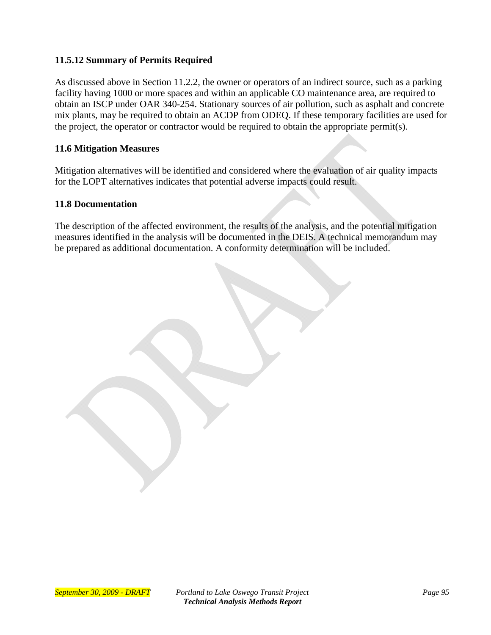#### **11.5.12 Summary of Permits Required**

As discussed above in Section 11.2.2, the owner or operators of an indirect source, such as a parking facility having 1000 or more spaces and within an applicable CO maintenance area, are required to obtain an ISCP under OAR 340-254. Stationary sources of air pollution, such as asphalt and concrete mix plants, may be required to obtain an ACDP from ODEQ. If these temporary facilities are used for the project, the operator or contractor would be required to obtain the appropriate permit(s).

#### **11.6 Mitigation Measures**

Mitigation alternatives will be identified and considered where the evaluation of air quality impacts for the LOPT alternatives indicates that potential adverse impacts could result.

#### **11.8 Documentation**

The description of the affected environment, the results of the analysis, and the potential mitigation measures identified in the analysis will be documented in the DEIS. A technical memorandum may be prepared as additional documentation. A conformity determination will be included.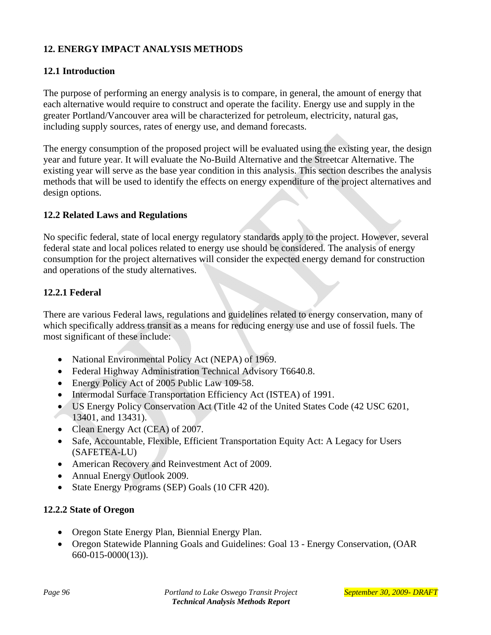# **12. ENERGY IMPACT ANALYSIS METHODS**

### **12.1 Introduction**

The purpose of performing an energy analysis is to compare, in general, the amount of energy that each alternative would require to construct and operate the facility. Energy use and supply in the greater Portland/Vancouver area will be characterized for petroleum, electricity, natural gas, including supply sources, rates of energy use, and demand forecasts.

The energy consumption of the proposed project will be evaluated using the existing year, the design year and future year. It will evaluate the No-Build Alternative and the Streetcar Alternative. The existing year will serve as the base year condition in this analysis. This section describes the analysis methods that will be used to identify the effects on energy expenditure of the project alternatives and design options.

#### **12.2 Related Laws and Regulations**

No specific federal, state of local energy regulatory standards apply to the project. However, several federal state and local polices related to energy use should be considered. The analysis of energy consumption for the project alternatives will consider the expected energy demand for construction and operations of the study alternatives.

#### **12.2.1 Federal**

There are various Federal laws, regulations and guidelines related to energy conservation, many of which specifically address transit as a means for reducing energy use and use of fossil fuels. The most significant of these include:

- National Environmental Policy Act (NEPA) of 1969.
- Federal Highway Administration Technical Advisory T6640.8.
- Energy Policy Act of 2005 Public Law 109-58.
- Intermodal Surface Transportation Efficiency Act (ISTEA) of 1991.
- US Energy Policy Conservation Act (Title 42 of the United States Code (42 USC 6201, 13401, and 13431).
- Clean Energy Act (CEA) of 2007.
- Safe, Accountable, Flexible, Efficient Transportation Equity Act: A Legacy for Users (SAFETEA-LU)
- American Recovery and Reinvestment Act of 2009.
- Annual Energy Outlook 2009.
- State Energy Programs (SEP) Goals (10 CFR 420).

#### **12.2.2 State of Oregon**

- Oregon State Energy Plan, Biennial Energy Plan.
- Oregon Statewide Planning Goals and Guidelines: Goal 13 Energy Conservation, (OAR 660-015-0000(13)).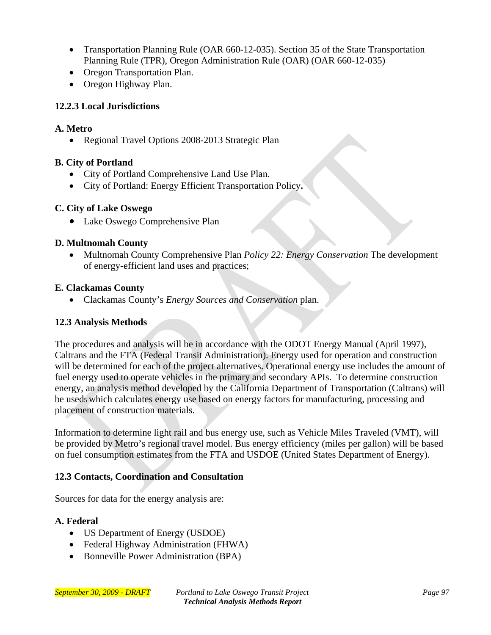- Transportation Planning Rule (OAR 660-12-035). Section 35 of the State Transportation Planning Rule (TPR), Oregon Administration Rule (OAR) (OAR 660-12-035)
- Oregon Transportation Plan.
- Oregon Highway Plan.

### **12.2.3 Local Jurisdictions**

#### **A. Metro**

• Regional Travel Options 2008-2013 Strategic Plan

### **B. City of Portland**

- City of Portland Comprehensive Land Use Plan.
- City of Portland: Energy Efficient Transportation Policy**.**

#### **C. City of Lake Oswego**

Lake Oswego Comprehensive Plan

#### **D. Multnomah County**

 Multnomah County Comprehensive Plan *Policy 22: Energy Conservation* The development of energy-efficient land uses and practices;

#### **E. Clackamas County**

Clackamas County's *Energy Sources and Conservation* plan.

#### **12.3 Analysis Methods**

The procedures and analysis will be in accordance with the ODOT Energy Manual (April 1997), Caltrans and the FTA (Federal Transit Administration). Energy used for operation and construction will be determined for each of the project alternatives. Operational energy use includes the amount of fuel energy used to operate vehicles in the primary and secondary APIs. To determine construction energy, an analysis method developed by the California Department of Transportation (Caltrans) will be useds which calculates energy use based on energy factors for manufacturing, processing and placement of construction materials.

Information to determine light rail and bus energy use, such as Vehicle Miles Traveled (VMT), will be provided by Metro's regional travel model. Bus energy efficiency (miles per gallon) will be based on fuel consumption estimates from the FTA and USDOE (United States Department of Energy).

#### **12.3 Contacts, Coordination and Consultation**

Sources for data for the energy analysis are:

### **A. Federal**

- US Department of Energy (USDOE)
- Federal Highway Administration (FHWA)
- Bonneville Power Administration (BPA)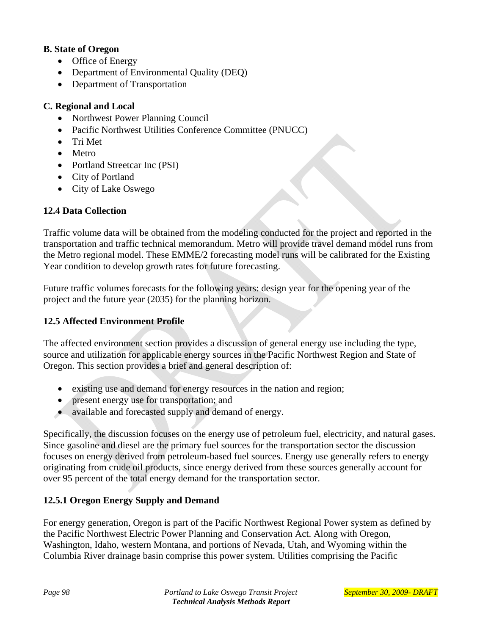### **B. State of Oregon**

- Office of Energy
- Department of Environmental Quality (DEQ)
- Department of Transportation

### **C. Regional and Local**

- Northwest Power Planning Council
- Pacific Northwest Utilities Conference Committee (PNUCC)
- Tri Met
- Metro
- Portland Streetcar Inc (PSI)
- City of Portland
- City of Lake Oswego

### **12.4 Data Collection**

Traffic volume data will be obtained from the modeling conducted for the project and reported in the transportation and traffic technical memorandum. Metro will provide travel demand model runs from the Metro regional model. These EMME/2 forecasting model runs will be calibrated for the Existing Year condition to develop growth rates for future forecasting.

Future traffic volumes forecasts for the following years: design year for the opening year of the project and the future year (2035) for the planning horizon.

### **12.5 Affected Environment Profile**

The affected environment section provides a discussion of general energy use including the type, source and utilization for applicable energy sources in the Pacific Northwest Region and State of Oregon. This section provides a brief and general description of:

- existing use and demand for energy resources in the nation and region;
- present energy use for transportation; and
- available and forecasted supply and demand of energy.

Specifically, the discussion focuses on the energy use of petroleum fuel, electricity, and natural gases. Since gasoline and diesel are the primary fuel sources for the transportation sector the discussion focuses on energy derived from petroleum-based fuel sources. Energy use generally refers to energy originating from crude oil products, since energy derived from these sources generally account for over 95 percent of the total energy demand for the transportation sector.

# **12.5.1 Oregon Energy Supply and Demand**

For energy generation, Oregon is part of the Pacific Northwest Regional Power system as defined by the Pacific Northwest Electric Power Planning and Conservation Act. Along with Oregon, Washington, Idaho, western Montana, and portions of Nevada, Utah, and Wyoming within the Columbia River drainage basin comprise this power system. Utilities comprising the Pacific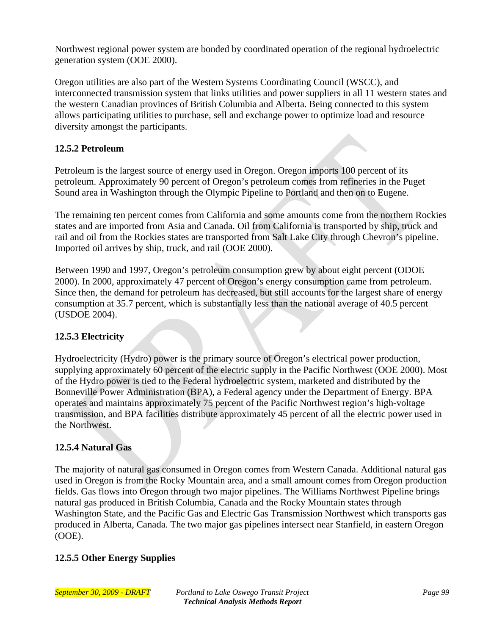Northwest regional power system are bonded by coordinated operation of the regional hydroelectric generation system (OOE 2000).

Oregon utilities are also part of the Western Systems Coordinating Council (WSCC), and interconnected transmission system that links utilities and power suppliers in all 11 western states and the western Canadian provinces of British Columbia and Alberta. Being connected to this system allows participating utilities to purchase, sell and exchange power to optimize load and resource diversity amongst the participants.

### **12.5.2 Petroleum**

Petroleum is the largest source of energy used in Oregon. Oregon imports 100 percent of its petroleum. Approximately 90 percent of Oregon's petroleum comes from refineries in the Puget Sound area in Washington through the Olympic Pipeline to Portland and then on to Eugene.

The remaining ten percent comes from California and some amounts come from the northern Rockies states and are imported from Asia and Canada. Oil from California is transported by ship, truck and rail and oil from the Rockies states are transported from Salt Lake City through Chevron's pipeline. Imported oil arrives by ship, truck, and rail (OOE 2000).

Between 1990 and 1997, Oregon's petroleum consumption grew by about eight percent (ODOE 2000). In 2000, approximately 47 percent of Oregon's energy consumption came from petroleum. Since then, the demand for petroleum has decreased, but still accounts for the largest share of energy consumption at 35.7 percent, which is substantially less than the national average of 40.5 percent (USDOE 2004).

### **12.5.3 Electricity**

Hydroelectricity (Hydro) power is the primary source of Oregon's electrical power production, supplying approximately 60 percent of the electric supply in the Pacific Northwest (OOE 2000). Most of the Hydro power is tied to the Federal hydroelectric system, marketed and distributed by the Bonneville Power Administration (BPA), a Federal agency under the Department of Energy. BPA operates and maintains approximately 75 percent of the Pacific Northwest region's high-voltage transmission, and BPA facilities distribute approximately 45 percent of all the electric power used in the Northwest.

# **12.5.4 Natural Gas**

The majority of natural gas consumed in Oregon comes from Western Canada. Additional natural gas used in Oregon is from the Rocky Mountain area, and a small amount comes from Oregon production fields. Gas flows into Oregon through two major pipelines. The Williams Northwest Pipeline brings natural gas produced in British Columbia, Canada and the Rocky Mountain states through Washington State, and the Pacific Gas and Electric Gas Transmission Northwest which transports gas produced in Alberta, Canada. The two major gas pipelines intersect near Stanfield, in eastern Oregon (OOE).

### **12.5.5 Other Energy Supplies**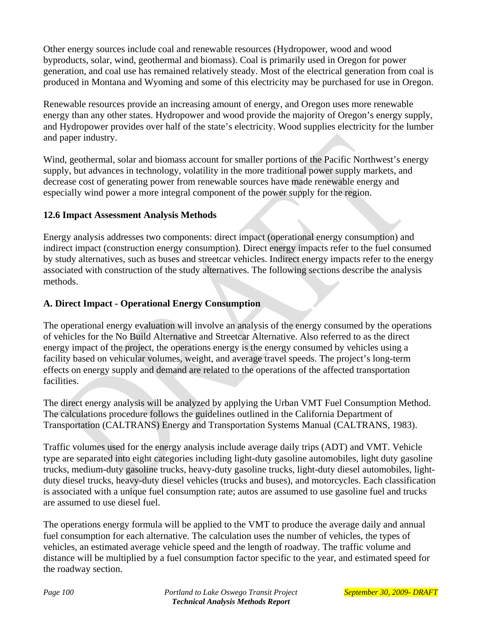Other energy sources include coal and renewable resources (Hydropower, wood and wood byproducts, solar, wind, geothermal and biomass). Coal is primarily used in Oregon for power generation, and coal use has remained relatively steady. Most of the electrical generation from coal is produced in Montana and Wyoming and some of this electricity may be purchased for use in Oregon.

Renewable resources provide an increasing amount of energy, and Oregon uses more renewable energy than any other states. Hydropower and wood provide the majority of Oregon's energy supply, and Hydropower provides over half of the state's electricity. Wood supplies electricity for the lumber and paper industry.

Wind, geothermal, solar and biomass account for smaller portions of the Pacific Northwest's energy supply, but advances in technology, volatility in the more traditional power supply markets, and decrease cost of generating power from renewable sources have made renewable energy and especially wind power a more integral component of the power supply for the region.

### **12.6 Impact Assessment Analysis Methods**

Energy analysis addresses two components: direct impact (operational energy consumption) and indirect impact (construction energy consumption). Direct energy impacts refer to the fuel consumed by study alternatives, such as buses and streetcar vehicles. Indirect energy impacts refer to the energy associated with construction of the study alternatives. The following sections describe the analysis methods.

### **A. Direct Impact - Operational Energy Consumption**

The operational energy evaluation will involve an analysis of the energy consumed by the operations of vehicles for the No Build Alternative and Streetcar Alternative. Also referred to as the direct energy impact of the project, the operations energy is the energy consumed by vehicles using a facility based on vehicular volumes, weight, and average travel speeds. The project's long-term effects on energy supply and demand are related to the operations of the affected transportation facilities.

The direct energy analysis will be analyzed by applying the Urban VMT Fuel Consumption Method. The calculations procedure follows the guidelines outlined in the California Department of Transportation (CALTRANS) Energy and Transportation Systems Manual (CALTRANS, 1983).

Traffic volumes used for the energy analysis include average daily trips (ADT) and VMT. Vehicle type are separated into eight categories including light-duty gasoline automobiles, light duty gasoline trucks, medium-duty gasoline trucks, heavy-duty gasoline trucks, light-duty diesel automobiles, lightduty diesel trucks, heavy-duty diesel vehicles (trucks and buses), and motorcycles. Each classification is associated with a unique fuel consumption rate; autos are assumed to use gasoline fuel and trucks are assumed to use diesel fuel.

The operations energy formula will be applied to the VMT to produce the average daily and annual fuel consumption for each alternative. The calculation uses the number of vehicles, the types of vehicles, an estimated average vehicle speed and the length of roadway. The traffic volume and distance will be multiplied by a fuel consumption factor specific to the year, and estimated speed for the roadway section.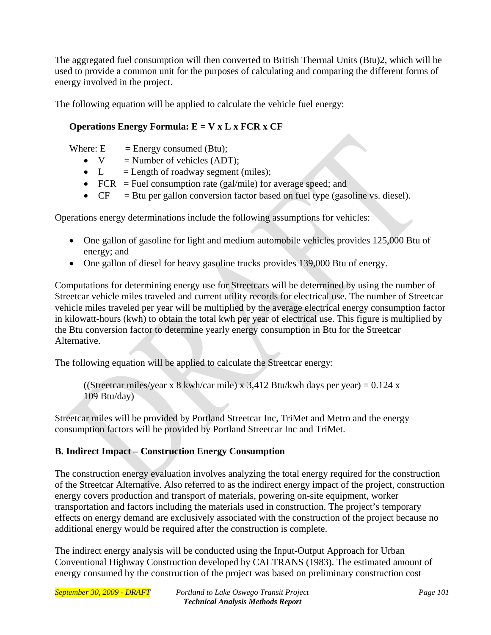The aggregated fuel consumption will then converted to British Thermal Units (Btu)2, which will be used to provide a common unit for the purposes of calculating and comparing the different forms of energy involved in the project.

The following equation will be applied to calculate the vehicle fuel energy:

# **Operations Energy Formula: E = V x L x FCR x CF**

Where:  $E =$  Energy consumed (Btu);

- $V =$  Number of vehicles (ADT);
- $\bullet$  L = Length of roadway segment (miles);
- FCR  $=$  Fuel consumption rate (gal/mile) for average speed; and
- $\bullet$  CF = Btu per gallon conversion factor based on fuel type (gasoline vs. diesel).

Operations energy determinations include the following assumptions for vehicles:

- One gallon of gasoline for light and medium automobile vehicles provides 125,000 Btu of energy; and
- One gallon of diesel for heavy gasoline trucks provides 139,000 Btu of energy.

Computations for determining energy use for Streetcars will be determined by using the number of Streetcar vehicle miles traveled and current utility records for electrical use. The number of Streetcar vehicle miles traveled per year will be multiplied by the average electrical energy consumption factor in kilowatt-hours (kwh) to obtain the total kwh per year of electrical use. This figure is multiplied by the Btu conversion factor to determine yearly energy consumption in Btu for the Streetcar Alternative.

The following equation will be applied to calculate the Streetcar energy:

((Streetcar miles/year x 8 kwh/car mile) x 3,412 Btu/kwh days per year) =  $0.124$  x 109 Btu/day)

Streetcar miles will be provided by Portland Streetcar Inc, TriMet and Metro and the energy consumption factors will be provided by Portland Streetcar Inc and TriMet.

# **B. Indirect Impact – Construction Energy Consumption**

The construction energy evaluation involves analyzing the total energy required for the construction of the Streetcar Alternative. Also referred to as the indirect energy impact of the project, construction energy covers production and transport of materials, powering on-site equipment, worker transportation and factors including the materials used in construction. The project's temporary effects on energy demand are exclusively associated with the construction of the project because no additional energy would be required after the construction is complete.

The indirect energy analysis will be conducted using the Input-Output Approach for Urban Conventional Highway Construction developed by CALTRANS (1983). The estimated amount of energy consumed by the construction of the project was based on preliminary construction cost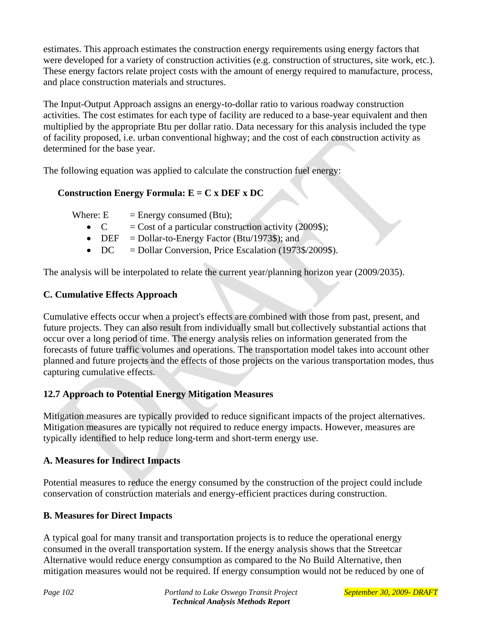estimates. This approach estimates the construction energy requirements using energy factors that were developed for a variety of construction activities (e.g. construction of structures, site work, etc.). These energy factors relate project costs with the amount of energy required to manufacture, process, and place construction materials and structures.

The Input-Output Approach assigns an energy-to-dollar ratio to various roadway construction activities. The cost estimates for each type of facility are reduced to a base-year equivalent and then multiplied by the appropriate Btu per dollar ratio. Data necessary for this analysis included the type of facility proposed, i.e. urban conventional highway; and the cost of each construction activity as determined for the base year.

The following equation was applied to calculate the construction fuel energy:

# **Construction Energy Formula: E = C x DEF x DC**

Where:  $E =$  Energy consumed (Btu);

- $\bullet$  C = Cost of a particular construction activity (2009\$);
- DEF  $=$  Dollar-to-Energy Factor (Btu/1973\$); and
- $\bullet$  DC = Dollar Conversion, Price Escalation (1973\$/2009\$).

The analysis will be interpolated to relate the current year/planning horizon year (2009/2035).

### **C. Cumulative Effects Approach**

Cumulative effects occur when a project's effects are combined with those from past, present, and future projects. They can also result from individually small but collectively substantial actions that occur over a long period of time. The energy analysis relies on information generated from the forecasts of future traffic volumes and operations. The transportation model takes into account other planned and future projects and the effects of those projects on the various transportation modes, thus capturing cumulative effects.

# **12.7 Approach to Potential Energy Mitigation Measures**

Mitigation measures are typically provided to reduce significant impacts of the project alternatives. Mitigation measures are typically not required to reduce energy impacts. However, measures are typically identified to help reduce long-term and short-term energy use.

# **A. Measures for Indirect Impacts**

Potential measures to reduce the energy consumed by the construction of the project could include conservation of construction materials and energy-efficient practices during construction.

# **B. Measures for Direct Impacts**

A typical goal for many transit and transportation projects is to reduce the operational energy consumed in the overall transportation system. If the energy analysis shows that the Streetcar Alternative would reduce energy consumption as compared to the No Build Alternative, then mitigation measures would not be required. If energy consumption would not be reduced by one of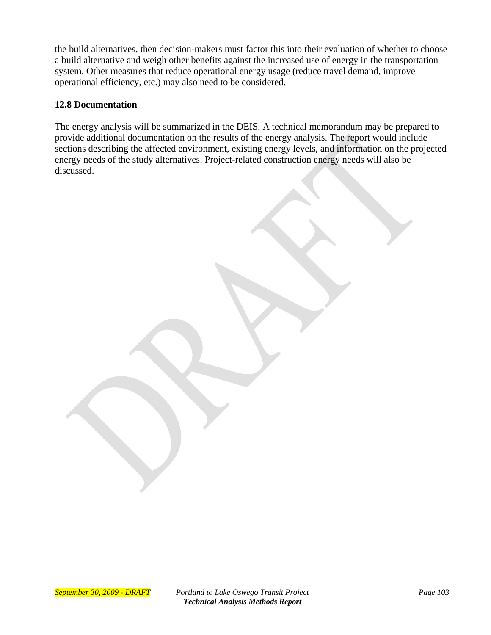the build alternatives, then decision-makers must factor this into their evaluation of whether to choose a build alternative and weigh other benefits against the increased use of energy in the transportation system. Other measures that reduce operational energy usage (reduce travel demand, improve operational efficiency, etc.) may also need to be considered.

#### **12.8 Documentation**

The energy analysis will be summarized in the DEIS. A technical memorandum may be prepared to provide additional documentation on the results of the energy analysis. The report would include sections describing the affected environment, existing energy levels, and information on the projected energy needs of the study alternatives. Project-related construction energy needs will also be discussed.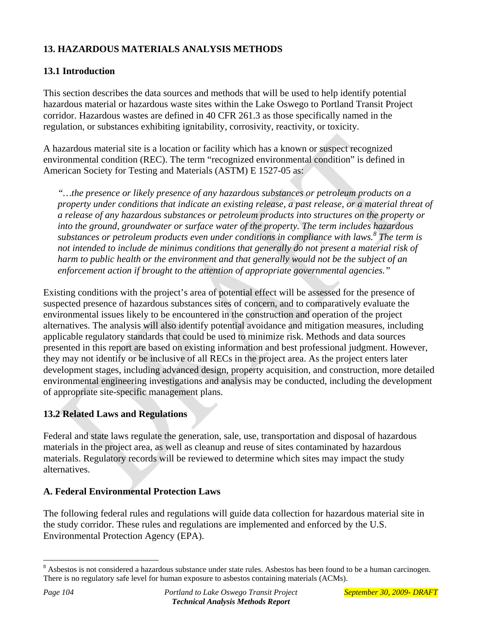# **13. HAZARDOUS MATERIALS ANALYSIS METHODS**

### **13.1 Introduction**

This section describes the data sources and methods that will be used to help identify potential hazardous material or hazardous waste sites within the Lake Oswego to Portland Transit Project corridor. Hazardous wastes are defined in 40 CFR 261.3 as those specifically named in the regulation, or substances exhibiting ignitability, corrosivity, reactivity, or toxicity.

A hazardous material site is a location or facility which has a known or suspect recognized environmental condition (REC). The term "recognized environmental condition" is defined in American Society for Testing and Materials (ASTM) E 1527-05 as:

*"…the presence or likely presence of any hazardous substances or petroleum products on a property under conditions that indicate an existing release, a past release, or a material threat of a release of any hazardous substances or petroleum products into structures on the property or into the ground, groundwater or surface water of the property. The term includes hazardous*  substances or petroleum products even under conditions in compliance with laws.<sup>8</sup> The term is *not intended to include de minimus conditions that generally do not present a material risk of harm to public health or the environment and that generally would not be the subject of an enforcement action if brought to the attention of appropriate governmental agencies."* 

Existing conditions with the project's area of potential effect will be assessed for the presence of suspected presence of hazardous substances sites of concern, and to comparatively evaluate the environmental issues likely to be encountered in the construction and operation of the project alternatives. The analysis will also identify potential avoidance and mitigation measures, including applicable regulatory standards that could be used to minimize risk. Methods and data sources presented in this report are based on existing information and best professional judgment. However, they may not identify or be inclusive of all RECs in the project area. As the project enters later development stages, including advanced design, property acquisition, and construction, more detailed environmental engineering investigations and analysis may be conducted, including the development of appropriate site-specific management plans.

# **13.2 Related Laws and Regulations**

Federal and state laws regulate the generation, sale, use, transportation and disposal of hazardous materials in the project area, as well as cleanup and reuse of sites contaminated by hazardous materials. Regulatory records will be reviewed to determine which sites may impact the study alternatives.

### **A. Federal Environmental Protection Laws**

The following federal rules and regulations will guide data collection for hazardous material site in the study corridor. These rules and regulations are implemented and enforced by the U.S. Environmental Protection Agency (EPA).

 $\overline{a}$ 

<sup>&</sup>lt;sup>8</sup> Asbestos is not considered a hazardous substance under state rules. Asbestos has been found to be a human carcinogen. There is no regulatory safe level for human exposure to asbestos containing materials (ACMs).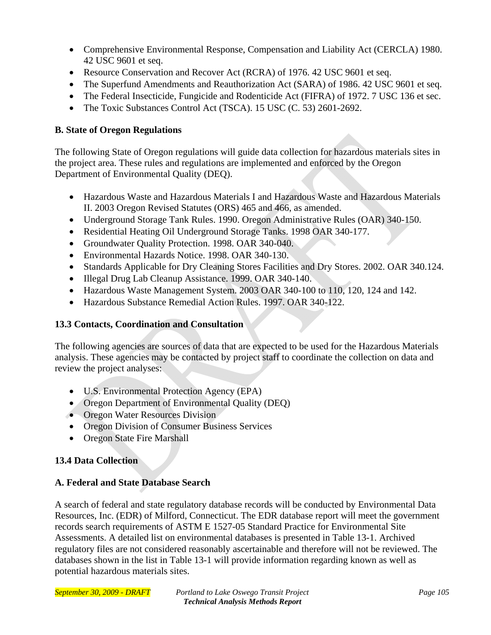- Comprehensive Environmental Response, Compensation and Liability Act (CERCLA) 1980. 42 USC 9601 et seq.
- Resource Conservation and Recover Act (RCRA) of 1976. 42 USC 9601 et seq.
- The Superfund Amendments and Reauthorization Act (SARA) of 1986. 42 USC 9601 et seq.
- The Federal Insecticide, Fungicide and Rodenticide Act (FIFRA) of 1972. 7 USC 136 et sec.
- The Toxic Substances Control Act (TSCA). 15 USC (C. 53) 2601-2692.

# **B. State of Oregon Regulations**

The following State of Oregon regulations will guide data collection for hazardous materials sites in the project area. These rules and regulations are implemented and enforced by the Oregon Department of Environmental Quality (DEQ).

- Hazardous Waste and Hazardous Materials I and Hazardous Waste and Hazardous Materials II. 2003 Oregon Revised Statutes (ORS) 465 and 466, as amended.
- Underground Storage Tank Rules. 1990. Oregon Administrative Rules (OAR) 340-150.
- Residential Heating Oil Underground Storage Tanks. 1998 OAR 340-177.
- Groundwater Ouality Protection. 1998. OAR 340-040.
- Environmental Hazards Notice. 1998. OAR 340-130.
- Standards Applicable for Dry Cleaning Stores Facilities and Dry Stores. 2002. OAR 340.124.
- Illegal Drug Lab Cleanup Assistance. 1999. OAR 340-140.
- Hazardous Waste Management System. 2003 OAR 340-100 to 110, 120, 124 and 142.
- Hazardous Substance Remedial Action Rules. 1997. OAR 340-122.

# **13.3 Contacts, Coordination and Consultation**

The following agencies are sources of data that are expected to be used for the Hazardous Materials analysis. These agencies may be contacted by project staff to coordinate the collection on data and review the project analyses:

- U.S. Environmental Protection Agency (EPA)
- Oregon Department of Environmental Quality (DEQ)
- Oregon Water Resources Division
- Oregon Division of Consumer Business Services
- Oregon State Fire Marshall

# **13.4 Data Collection**

# **A. Federal and State Database Search**

A search of federal and state regulatory database records will be conducted by Environmental Data Resources, Inc. (EDR) of Milford, Connecticut. The EDR database report will meet the government records search requirements of ASTM E 1527-05 Standard Practice for Environmental Site Assessments. A detailed list on environmental databases is presented in Table 13-1. Archived regulatory files are not considered reasonably ascertainable and therefore will not be reviewed. The databases shown in the list in Table 13-1 will provide information regarding known as well as potential hazardous materials sites.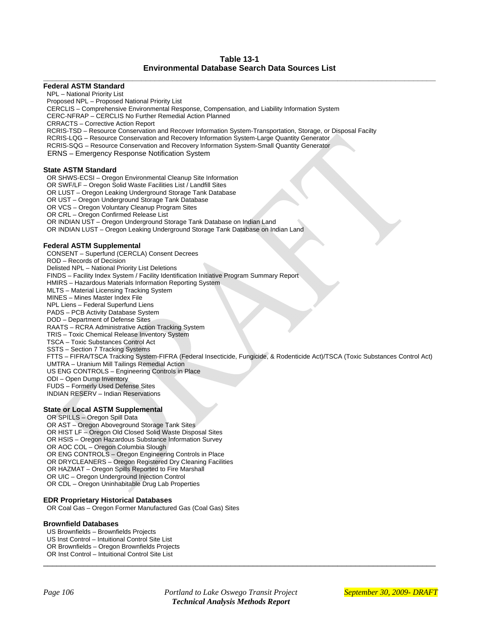#### **Table 13-1 Environmental Database Search Data Sources List \_\_\_\_\_\_\_\_\_\_\_\_\_\_\_\_\_\_\_\_\_\_\_\_\_\_\_\_\_\_\_\_\_\_\_\_\_\_\_\_\_\_\_\_\_\_\_\_\_\_\_\_\_\_\_\_\_\_\_\_\_\_\_\_\_\_\_\_\_\_\_\_\_\_\_\_\_\_\_\_\_\_\_\_\_\_\_\_**

#### **Federal ASTM Standard**

 NPL – National Priority List Proposed NPL – Proposed National Priority List CERCLIS – Comprehensive Environmental Response, Compensation, and Liability Information System CERC-NFRAP – CERCLIS No Further Remedial Action Planned CRRACTS – Corrective Action Report RCRIS-TSD – Resource Conservation and Recover Information System-Transportation, Storage, or Disposal Facilty RCRIS-LQG – Resource Conservation and Recovery Information System-Large Quantity Generator RCRIS-SQG – Resource Conservation and Recovery Information System-Small Quantity Generator ERNS – Emergency Response Notification System

#### **State ASTM Standard**

 OR SHWS-ECSI – Oregon Environmental Cleanup Site Information OR SWF/LF – Oregon Solid Waste Facilities List / Landfill Sites OR LUST – Oregon Leaking Underground Storage Tank Database OR UST – Oregon Underground Storage Tank Database OR VCS – Oregon Voluntary Cleanup Program Sites OR CRL – Oregon Confirmed Release List OR INDIAN UST – Oregon Underground Storage Tank Database on Indian Land OR INDIAN LUST – Oregon Leaking Underground Storage Tank Database on Indian Land

#### **Federal ASTM Supplemental**

 CONSENT – Superfund (CERCLA) Consent Decrees ROD – Records of Decision Delisted NPL – National Priority List Deletions FINDS – Facility Index System / Facility Identification Initiative Program Summary Report HMIRS – Hazardous Materials Information Reporting System MLTS – Material Licensing Tracking System MINES – Mines Master Index File NPL Liens – Federal Superfund Liens PADS – PCB Activity Database System DOD – Department of Defense Sites RAATS – RCRA Administrative Action Tracking System TRIS – Toxic Chemical Release Inventory System TSCA – Toxic Substances Control Act SSTS – Section 7 Tracking Systems FTTS – FIFRA/TSCA Tracking System-FIFRA (Federal Insecticide, Fungicide, & Rodenticide Act)/TSCA (Toxic Substances Control Act) UMTRA – Uranium Mill Tailings Remedial Action US ENG CONTROLS – Engineering Controls in Place ODI – Open Dump Inventory FUDS – Formerly Used Defense Sites INDIAN RESERV – Indian Reservations

#### **State or Local ASTM Supplemental**

OR SPILLS – Oregon Spill Data

 OR AST – Oregon Aboveground Storage Tank Sites OR HIST LF – Oregon Old Closed Solid Waste Disposal Sites OR HSIS – Oregon Hazardous Substance Information Survey OR AOC COL – Oregon Columbia Slough OR ENG CONTROLS – Oregon Engineering Controls in Place OR DRYCLEANERS – Oregon Registered Dry Cleaning Facilities OR HAZMAT – Oregon Spills Reported to Fire Marshall OR UIC – Oregon Underground Injection Control OR CDL – Oregon Uninhabitable Drug Lab Properties

#### **EDR Proprietary Historical Databases**

OR Coal Gas – Oregon Former Manufactured Gas (Coal Gas) Sites

#### **Brownfield Databases**

 US Brownfields – Brownfields Projects US Inst Control – Intuitional Control Site List OR Brownfields – Oregon Brownfields Projects

 OR Inst Control – Intuitional Control Site List \_\_\_\_\_\_\_\_\_\_\_\_\_\_\_\_\_\_\_\_\_\_\_\_\_\_\_\_\_\_\_\_\_\_\_\_\_\_\_\_\_\_\_\_\_\_\_\_\_\_\_\_\_\_\_\_\_\_\_\_\_\_\_\_\_\_\_\_\_\_\_\_\_\_\_\_\_\_\_\_\_\_\_\_\_\_\_\_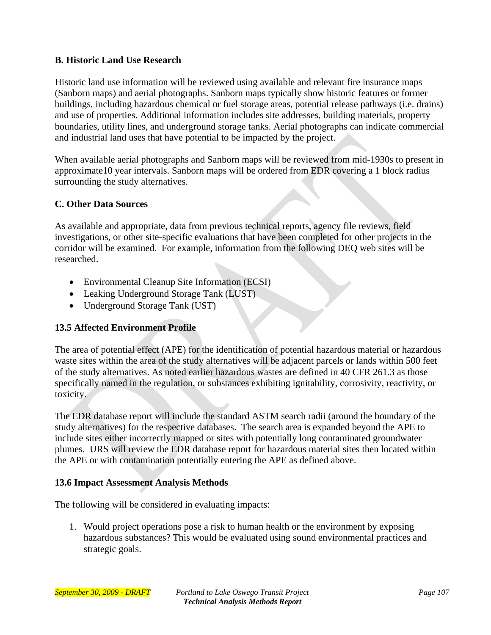## **B. Historic Land Use Research**

Historic land use information will be reviewed using available and relevant fire insurance maps (Sanborn maps) and aerial photographs. Sanborn maps typically show historic features or former buildings, including hazardous chemical or fuel storage areas, potential release pathways (i.e. drains) and use of properties. Additional information includes site addresses, building materials, property boundaries, utility lines, and underground storage tanks. Aerial photographs can indicate commercial and industrial land uses that have potential to be impacted by the project.

When available aerial photographs and Sanborn maps will be reviewed from mid-1930s to present in approximate10 year intervals. Sanborn maps will be ordered from EDR covering a 1 block radius surrounding the study alternatives.

## **C. Other Data Sources**

As available and appropriate, data from previous technical reports, agency file reviews, field investigations, or other site-specific evaluations that have been completed for other projects in the corridor will be examined. For example, information from the following DEQ web sites will be researched.

- Environmental Cleanup Site Information (ECSI)
- Leaking Underground Storage Tank (LUST)
- Underground Storage Tank (UST)

# **13.5 Affected Environment Profile**

The area of potential effect (APE) for the identification of potential hazardous material or hazardous waste sites within the area of the study alternatives will be adjacent parcels or lands within 500 feet of the study alternatives. As noted earlier hazardous wastes are defined in 40 CFR 261.3 as those specifically named in the regulation, or substances exhibiting ignitability, corrosivity, reactivity, or toxicity.

The EDR database report will include the standard ASTM search radii (around the boundary of the study alternatives) for the respective databases. The search area is expanded beyond the APE to include sites either incorrectly mapped or sites with potentially long contaminated groundwater plumes. URS will review the EDR database report for hazardous material sites then located within the APE or with contamination potentially entering the APE as defined above.

#### **13.6 Impact Assessment Analysis Methods**

The following will be considered in evaluating impacts:

1. Would project operations pose a risk to human health or the environment by exposing hazardous substances? This would be evaluated using sound environmental practices and strategic goals.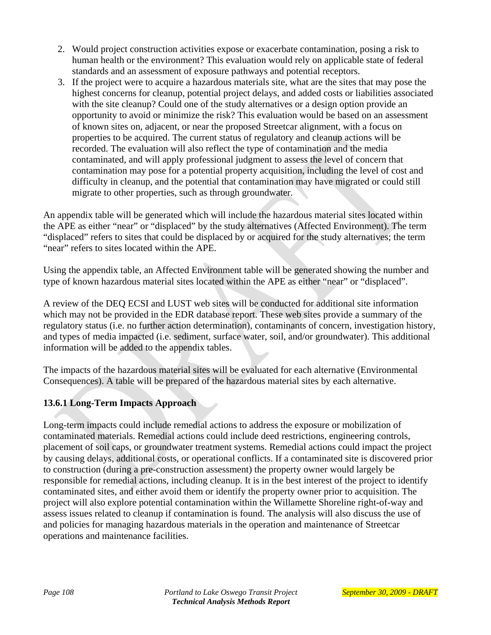- 2. Would project construction activities expose or exacerbate contamination, posing a risk to human health or the environment? This evaluation would rely on applicable state of federal standards and an assessment of exposure pathways and potential receptors.
- 3. If the project were to acquire a hazardous materials site, what are the sites that may pose the highest concerns for cleanup, potential project delays, and added costs or liabilities associated with the site cleanup? Could one of the study alternatives or a design option provide an opportunity to avoid or minimize the risk? This evaluation would be based on an assessment of known sites on, adjacent, or near the proposed Streetcar alignment, with a focus on properties to be acquired. The current status of regulatory and cleanup actions will be recorded. The evaluation will also reflect the type of contamination and the media contaminated, and will apply professional judgment to assess the level of concern that contamination may pose for a potential property acquisition, including the level of cost and difficulty in cleanup, and the potential that contamination may have migrated or could still migrate to other properties, such as through groundwater.

An appendix table will be generated which will include the hazardous material sites located within the APE as either "near" or "displaced" by the study alternatives (Affected Environment). The term "displaced" refers to sites that could be displaced by or acquired for the study alternatives; the term "near" refers to sites located within the APE.

Using the appendix table, an Affected Environment table will be generated showing the number and type of known hazardous material sites located within the APE as either "near" or "displaced".

A review of the DEQ ECSI and LUST web sites will be conducted for additional site information which may not be provided in the EDR database report. These web sites provide a summary of the regulatory status (i.e. no further action determination), contaminants of concern, investigation history, and types of media impacted (i.e. sediment, surface water, soil, and/or groundwater). This additional information will be added to the appendix tables.

The impacts of the hazardous material sites will be evaluated for each alternative (Environmental Consequences). A table will be prepared of the hazardous material sites by each alternative.

# **13.6.1 Long-Term Impacts Approach**

Long-term impacts could include remedial actions to address the exposure or mobilization of contaminated materials. Remedial actions could include deed restrictions, engineering controls, placement of soil caps, or groundwater treatment systems. Remedial actions could impact the project by causing delays, additional costs, or operational conflicts. If a contaminated site is discovered prior to construction (during a pre-construction assessment) the property owner would largely be responsible for remedial actions, including cleanup. It is in the best interest of the project to identify contaminated sites, and either avoid them or identify the property owner prior to acquisition. The project will also explore potential contamination within the Willamette Shoreline right-of-way and assess issues related to cleanup if contamination is found. The analysis will also discuss the use of and policies for managing hazardous materials in the operation and maintenance of Streetcar operations and maintenance facilities.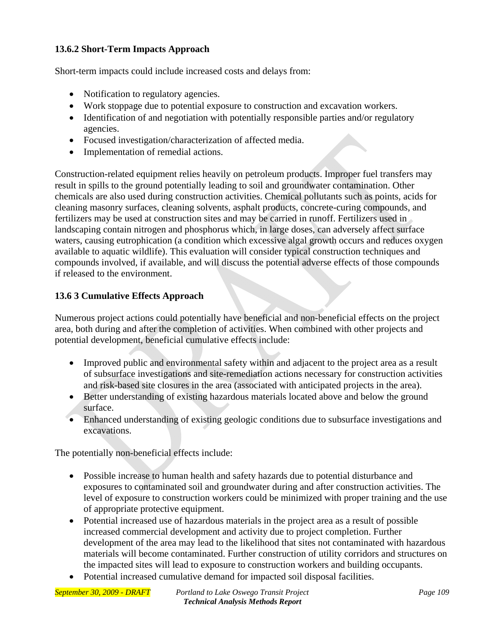# **13.6.2 Short-Term Impacts Approach**

Short-term impacts could include increased costs and delays from:

- Notification to regulatory agencies.
- Work stoppage due to potential exposure to construction and excavation workers.
- Identification of and negotiation with potentially responsible parties and/or regulatory agencies.
- Focused investigation/characterization of affected media.
- Implementation of remedial actions.

Construction-related equipment relies heavily on petroleum products. Improper fuel transfers may result in spills to the ground potentially leading to soil and groundwater contamination. Other chemicals are also used during construction activities. Chemical pollutants such as points, acids for cleaning masonry surfaces, cleaning solvents, asphalt products, concrete-curing compounds, and fertilizers may be used at construction sites and may be carried in runoff. Fertilizers used in landscaping contain nitrogen and phosphorus which, in large doses, can adversely affect surface waters, causing eutrophication (a condition which excessive algal growth occurs and reduces oxygen available to aquatic wildlife). This evaluation will consider typical construction techniques and compounds involved, if available, and will discuss the potential adverse effects of those compounds if released to the environment.

# **13.6 3 Cumulative Effects Approach**

Numerous project actions could potentially have beneficial and non-beneficial effects on the project area, both during and after the completion of activities. When combined with other projects and potential development, beneficial cumulative effects include:

- Improved public and environmental safety within and adjacent to the project area as a result of subsurface investigations and site-remediation actions necessary for construction activities and risk-based site closures in the area (associated with anticipated projects in the area).
- Better understanding of existing hazardous materials located above and below the ground surface.
- Enhanced understanding of existing geologic conditions due to subsurface investigations and excavations.

The potentially non-beneficial effects include:

- Possible increase to human health and safety hazards due to potential disturbance and exposures to contaminated soil and groundwater during and after construction activities. The level of exposure to construction workers could be minimized with proper training and the use of appropriate protective equipment.
- Potential increased use of hazardous materials in the project area as a result of possible increased commercial development and activity due to project completion. Further development of the area may lead to the likelihood that sites not contaminated with hazardous materials will become contaminated. Further construction of utility corridors and structures on the impacted sites will lead to exposure to construction workers and building occupants.
- Potential increased cumulative demand for impacted soil disposal facilities.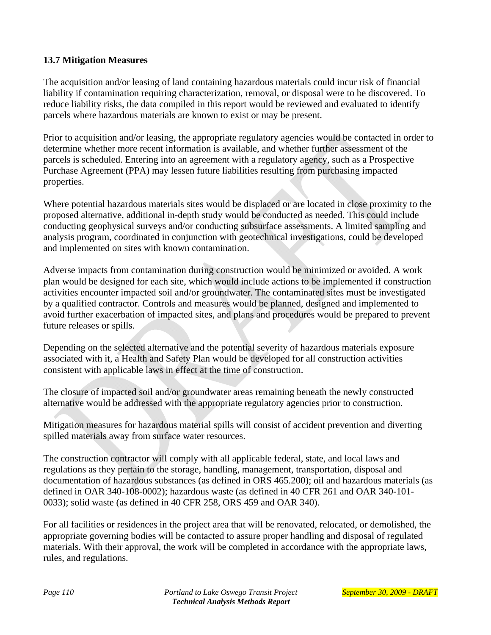# **13.7 Mitigation Measures**

The acquisition and/or leasing of land containing hazardous materials could incur risk of financial liability if contamination requiring characterization, removal, or disposal were to be discovered. To reduce liability risks, the data compiled in this report would be reviewed and evaluated to identify parcels where hazardous materials are known to exist or may be present.

Prior to acquisition and/or leasing, the appropriate regulatory agencies would be contacted in order to determine whether more recent information is available, and whether further assessment of the parcels is scheduled. Entering into an agreement with a regulatory agency, such as a Prospective Purchase Agreement (PPA) may lessen future liabilities resulting from purchasing impacted properties.

Where potential hazardous materials sites would be displaced or are located in close proximity to the proposed alternative, additional in-depth study would be conducted as needed. This could include conducting geophysical surveys and/or conducting subsurface assessments. A limited sampling and analysis program, coordinated in conjunction with geotechnical investigations, could be developed and implemented on sites with known contamination.

Adverse impacts from contamination during construction would be minimized or avoided. A work plan would be designed for each site, which would include actions to be implemented if construction activities encounter impacted soil and/or groundwater. The contaminated sites must be investigated by a qualified contractor. Controls and measures would be planned, designed and implemented to avoid further exacerbation of impacted sites, and plans and procedures would be prepared to prevent future releases or spills.

Depending on the selected alternative and the potential severity of hazardous materials exposure associated with it, a Health and Safety Plan would be developed for all construction activities consistent with applicable laws in effect at the time of construction.

The closure of impacted soil and/or groundwater areas remaining beneath the newly constructed alternative would be addressed with the appropriate regulatory agencies prior to construction.

Mitigation measures for hazardous material spills will consist of accident prevention and diverting spilled materials away from surface water resources.

The construction contractor will comply with all applicable federal, state, and local laws and regulations as they pertain to the storage, handling, management, transportation, disposal and documentation of hazardous substances (as defined in ORS 465.200); oil and hazardous materials (as defined in OAR 340-108-0002); hazardous waste (as defined in 40 CFR 261 and OAR 340-101- 0033); solid waste (as defined in 40 CFR 258, ORS 459 and OAR 340).

For all facilities or residences in the project area that will be renovated, relocated, or demolished, the appropriate governing bodies will be contacted to assure proper handling and disposal of regulated materials. With their approval, the work will be completed in accordance with the appropriate laws, rules, and regulations.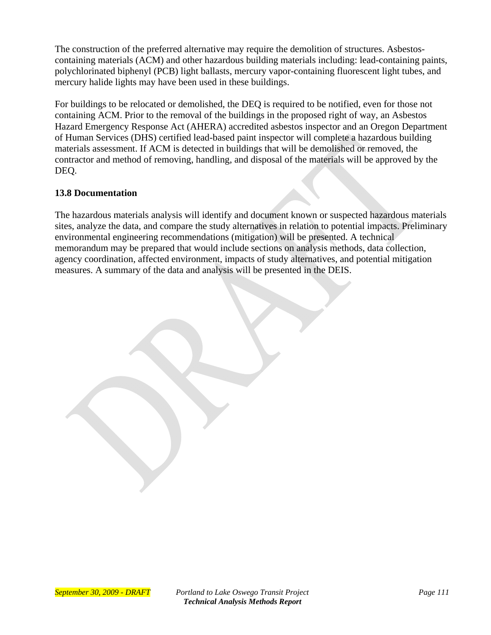The construction of the preferred alternative may require the demolition of structures. Asbestoscontaining materials (ACM) and other hazardous building materials including: lead-containing paints, polychlorinated biphenyl (PCB) light ballasts, mercury vapor-containing fluorescent light tubes, and mercury halide lights may have been used in these buildings.

For buildings to be relocated or demolished, the DEQ is required to be notified, even for those not containing ACM. Prior to the removal of the buildings in the proposed right of way, an Asbestos Hazard Emergency Response Act (AHERA) accredited asbestos inspector and an Oregon Department of Human Services (DHS) certified lead-based paint inspector will complete a hazardous building materials assessment. If ACM is detected in buildings that will be demolished or removed, the contractor and method of removing, handling, and disposal of the materials will be approved by the DEQ.

## **13.8 Documentation**

The hazardous materials analysis will identify and document known or suspected hazardous materials sites, analyze the data, and compare the study alternatives in relation to potential impacts. Preliminary environmental engineering recommendations (mitigation) will be presented. A technical memorandum may be prepared that would include sections on analysis methods, data collection, agency coordination, affected environment, impacts of study alternatives, and potential mitigation measures. A summary of the data and analysis will be presented in the DEIS.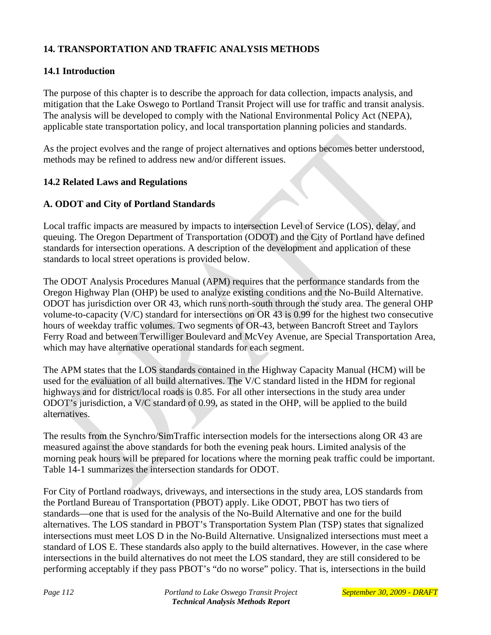# **14. TRANSPORTATION AND TRAFFIC ANALYSIS METHODS**

# **14.1 Introduction**

The purpose of this chapter is to describe the approach for data collection, impacts analysis, and mitigation that the Lake Oswego to Portland Transit Project will use for traffic and transit analysis. The analysis will be developed to comply with the National Environmental Policy Act (NEPA), applicable state transportation policy, and local transportation planning policies and standards.

As the project evolves and the range of project alternatives and options becomes better understood, methods may be refined to address new and/or different issues.

# **14.2 Related Laws and Regulations**

# **A. ODOT and City of Portland Standards**

Local traffic impacts are measured by impacts to intersection Level of Service (LOS), delay, and queuing. The Oregon Department of Transportation (ODOT) and the City of Portland have defined standards for intersection operations. A description of the development and application of these standards to local street operations is provided below.

The ODOT Analysis Procedures Manual (APM) requires that the performance standards from the Oregon Highway Plan (OHP) be used to analyze existing conditions and the No-Build Alternative. ODOT has jurisdiction over OR 43, which runs north-south through the study area. The general OHP volume-to-capacity (V/C) standard for intersections on OR 43 is 0.99 for the highest two consecutive hours of weekday traffic volumes. Two segments of OR-43, between Bancroft Street and Taylors Ferry Road and between Terwilliger Boulevard and McVey Avenue, are Special Transportation Area, which may have alternative operational standards for each segment.

The APM states that the LOS standards contained in the Highway Capacity Manual (HCM) will be used for the evaluation of all build alternatives. The V/C standard listed in the HDM for regional highways and for district/local roads is 0.85. For all other intersections in the study area under ODOT's jurisdiction, a V/C standard of 0.99, as stated in the OHP, will be applied to the build alternatives.

The results from the Synchro/SimTraffic intersection models for the intersections along OR 43 are measured against the above standards for both the evening peak hours. Limited analysis of the morning peak hours will be prepared for locations where the morning peak traffic could be important. Table 14-1 summarizes the intersection standards for ODOT.

For City of Portland roadways, driveways, and intersections in the study area, LOS standards from the Portland Bureau of Transportation (PBOT) apply. Like ODOT, PBOT has two tiers of standards—one that is used for the analysis of the No-Build Alternative and one for the build alternatives. The LOS standard in PBOT's Transportation System Plan (TSP) states that signalized intersections must meet LOS D in the No-Build Alternative. Unsignalized intersections must meet a standard of LOS E. These standards also apply to the build alternatives. However, in the case where intersections in the build alternatives do not meet the LOS standard, they are still considered to be performing acceptably if they pass PBOT's "do no worse" policy. That is, intersections in the build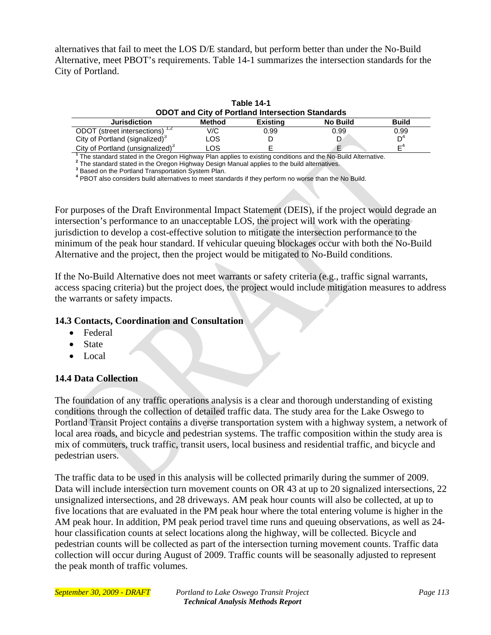alternatives that fail to meet the LOS D/E standard, but perform better than under the No-Build Alternative, meet PBOT's requirements. Table 14-1 summarizes the intersection standards for the City of Portland.

| Table 14-1<br><b>ODOT and City of Portland Intersection Standards</b> |               |                 |                 |                |  |  |
|-----------------------------------------------------------------------|---------------|-----------------|-----------------|----------------|--|--|
| <b>Jurisdiction</b>                                                   | <b>Method</b> | <b>Existing</b> | <b>No Build</b> | <b>Build</b>   |  |  |
| ODOT (street intersections) $7,2$                                     | V/C           | 0.99            | 0.99            | 0.99           |  |  |
| City of Portland (signalized) <sup>3</sup>                            | LOS           |                 |                 | $D^4$          |  |  |
| City of Portland (unsignalized) <sup>3</sup>                          | ∟OS           |                 |                 | E <sup>4</sup> |  |  |

**Table 14-1** 

**1** The standard stated in the Oregon Highway Plan applies to existing conditions and the No-Build Alternative.<br><sup>2</sup> The standard stated in the Oregon Highway Design Manual applies to the huild elternatives.

The standard stated in the Oregon Highway Design Manual applies to the build alternatives.

**3** Based on the Portland Transportation System Plan.

**4** PBOT also considers build alternatives to meet standards if they perform no worse than the No Build.

For purposes of the Draft Environmental Impact Statement (DEIS), if the project would degrade an intersection's performance to an unacceptable LOS, the project will work with the operating jurisdiction to develop a cost-effective solution to mitigate the intersection performance to the minimum of the peak hour standard. If vehicular queuing blockages occur with both the No-Build Alternative and the project, then the project would be mitigated to No-Build conditions.

If the No-Build Alternative does not meet warrants or safety criteria (e.g., traffic signal warrants, access spacing criteria) but the project does, the project would include mitigation measures to address the warrants or safety impacts.

## **14.3 Contacts, Coordination and Consultation**

- Federal
- State
- Local

#### **14.4 Data Collection**

The foundation of any traffic operations analysis is a clear and thorough understanding of existing conditions through the collection of detailed traffic data. The study area for the Lake Oswego to Portland Transit Project contains a diverse transportation system with a highway system, a network of local area roads, and bicycle and pedestrian systems. The traffic composition within the study area is mix of commuters, truck traffic, transit users, local business and residential traffic, and bicycle and pedestrian users.

The traffic data to be used in this analysis will be collected primarily during the summer of 2009. Data will include intersection turn movement counts on OR 43 at up to 20 signalized intersections, 22 unsignalized intersections, and 28 driveways. AM peak hour counts will also be collected, at up to five locations that are evaluated in the PM peak hour where the total entering volume is higher in the AM peak hour. In addition, PM peak period travel time runs and queuing observations, as well as 24 hour classification counts at select locations along the highway, will be collected. Bicycle and pedestrian counts will be collected as part of the intersection turning movement counts. Traffic data collection will occur during August of 2009. Traffic counts will be seasonally adjusted to represent the peak month of traffic volumes.

*September 30, 2009 - DRAFT Portland to Lake Oswego Transit Project Page 113 Technical Analysis Methods Report*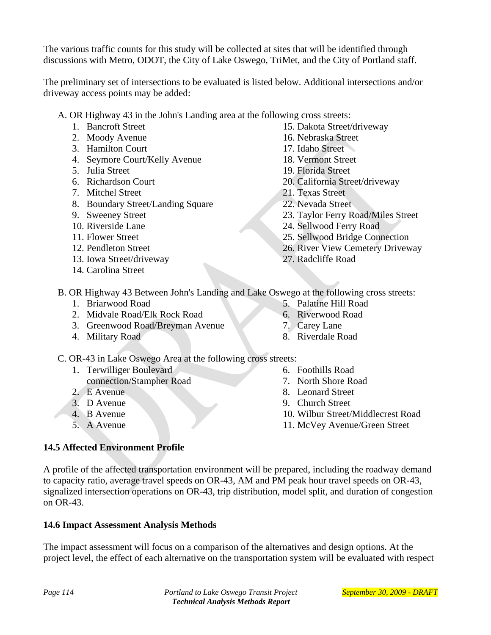The various traffic counts for this study will be collected at sites that will be identified through discussions with Metro, ODOT, the City of Lake Oswego, TriMet, and the City of Portland staff.

The preliminary set of intersections to be evaluated is listed below. Additional intersections and/or driveway access points may be added:

- A. OR Highway 43 in the John's Landing area at the following cross streets:
	- 1. Bancroft Street
	- 2. Moody Avenue
	- 3. Hamilton Court
	- 4. Seymore Court/Kelly Avenue
	- 5. Julia Street
	- 6. Richardson Court
	- 7. Mitchel Street
	- 8. Boundary Street/Landing Square
	- 9. Sweeney Street
	- 10. Riverside Lane
	- 11. Flower Street
	- 12. Pendleton Street
	- 13. Iowa Street/driveway
	- 14. Carolina Street
- 15. Dakota Street/driveway
- 16. Nebraska Street
- 17. Idaho Street
- 18. Vermont Street
- 19. Florida Street
- 20. California Street/driveway
- 21. Texas Street
- 22. Nevada Street
- 23. Taylor Ferry Road/Miles Street
- 24. Sellwood Ferry Road
- 25. Sellwood Bridge Connection
- 26. River View Cemetery Driveway
- 27. Radcliffe Road

5. Palatine Hill Road 6. Riverwood Road

## B. OR Highway 43 Between John's Landing and Lake Oswego at the following cross streets:

- 1. Briarwood Road
- 2. Midvale Road/Elk Rock Road
- 3. Greenwood Road/Breyman Avenue
- 4. Military Road
- 7. Carey Lane
- 8. Riverdale Road
- C. OR-43 in Lake Oswego Area at the following cross streets:
	- 1. Terwilliger Boulevard connection/Stampher Road
	- 2. E Avenue
	- 3. D Avenue
	- 4. B Avenue
	- 5. A Avenue

# **14.5 Affected Environment Profile**

- 6. Foothills Road
- 7. North Shore Road
- 8. Leonard Street
- 9. Church Street
- 10. Wilbur Street/Middlecrest Road
- 11. McVey Avenue/Green Street

A profile of the affected transportation environment will be prepared, including the roadway demand to capacity ratio, average travel speeds on OR-43, AM and PM peak hour travel speeds on OR-43, signalized intersection operations on OR-43, trip distribution, model split, and duration of congestion on OR-43.

# **14.6 Impact Assessment Analysis Methods**

The impact assessment will focus on a comparison of the alternatives and design options. At the project level, the effect of each alternative on the transportation system will be evaluated with respect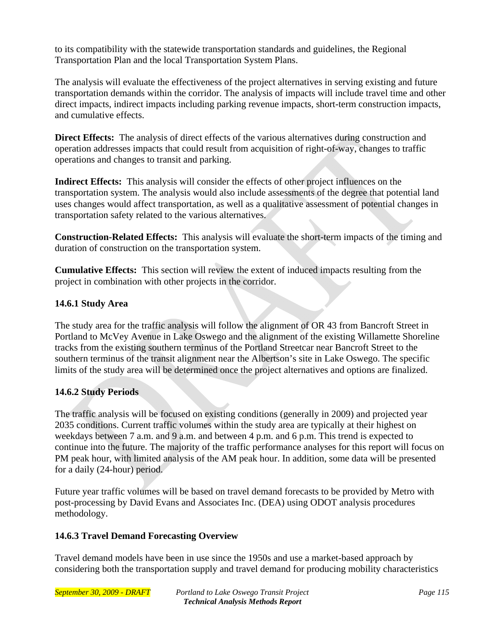to its compatibility with the statewide transportation standards and guidelines, the Regional Transportation Plan and the local Transportation System Plans.

The analysis will evaluate the effectiveness of the project alternatives in serving existing and future transportation demands within the corridor. The analysis of impacts will include travel time and other direct impacts, indirect impacts including parking revenue impacts, short-term construction impacts, and cumulative effects.

**Direct Effects:** The analysis of direct effects of the various alternatives during construction and operation addresses impacts that could result from acquisition of right-of-way, changes to traffic operations and changes to transit and parking.

**Indirect Effects:** This analysis will consider the effects of other project influences on the transportation system. The analysis would also include assessments of the degree that potential land uses changes would affect transportation, as well as a qualitative assessment of potential changes in transportation safety related to the various alternatives.

**Construction-Related Effects:** This analysis will evaluate the short-term impacts of the timing and duration of construction on the transportation system.

**Cumulative Effects:** This section will review the extent of induced impacts resulting from the project in combination with other projects in the corridor.

# **14.6.1 Study Area**

The study area for the traffic analysis will follow the alignment of OR 43 from Bancroft Street in Portland to McVey Avenue in Lake Oswego and the alignment of the existing Willamette Shoreline tracks from the existing southern terminus of the Portland Streetcar near Bancroft Street to the southern terminus of the transit alignment near the Albertson's site in Lake Oswego. The specific limits of the study area will be determined once the project alternatives and options are finalized.

#### **14.6.2 Study Periods**

The traffic analysis will be focused on existing conditions (generally in 2009) and projected year 2035 conditions. Current traffic volumes within the study area are typically at their highest on weekdays between 7 a.m. and 9 a.m. and between 4 p.m. and 6 p.m. This trend is expected to continue into the future. The majority of the traffic performance analyses for this report will focus on PM peak hour, with limited analysis of the AM peak hour. In addition, some data will be presented for a daily (24-hour) period.

Future year traffic volumes will be based on travel demand forecasts to be provided by Metro with post-processing by David Evans and Associates Inc. (DEA) using ODOT analysis procedures methodology.

# **14.6.3 Travel Demand Forecasting Overview**

Travel demand models have been in use since the 1950s and use a market-based approach by considering both the transportation supply and travel demand for producing mobility characteristics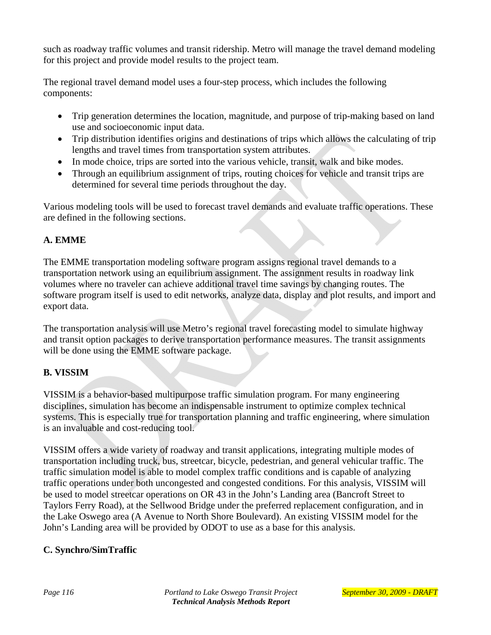such as roadway traffic volumes and transit ridership. Metro will manage the travel demand modeling for this project and provide model results to the project team.

The regional travel demand model uses a four-step process, which includes the following components:

- Trip generation determines the location, magnitude, and purpose of trip-making based on land use and socioeconomic input data.
- Trip distribution identifies origins and destinations of trips which allows the calculating of trip lengths and travel times from transportation system attributes.
- In mode choice, trips are sorted into the various vehicle, transit, walk and bike modes.
- Through an equilibrium assignment of trips, routing choices for vehicle and transit trips are determined for several time periods throughout the day.

Various modeling tools will be used to forecast travel demands and evaluate traffic operations. These are defined in the following sections.

# **A. EMME**

The EMME transportation modeling software program assigns regional travel demands to a transportation network using an equilibrium assignment. The assignment results in roadway link volumes where no traveler can achieve additional travel time savings by changing routes. The software program itself is used to edit networks, analyze data, display and plot results, and import and export data.

The transportation analysis will use Metro's regional travel forecasting model to simulate highway and transit option packages to derive transportation performance measures. The transit assignments will be done using the EMME software package.

# **B. VISSIM**

VISSIM is a behavior-based multipurpose traffic simulation program. For many engineering disciplines, simulation has become an indispensable instrument to optimize complex technical systems. This is especially true for transportation planning and traffic engineering, where simulation is an invaluable and cost-reducing tool.

VISSIM offers a wide variety of roadway and transit applications, integrating multiple modes of transportation including truck, bus, streetcar, bicycle, pedestrian, and general vehicular traffic. The traffic simulation model is able to model complex traffic conditions and is capable of analyzing traffic operations under both uncongested and congested conditions. For this analysis, VISSIM will be used to model streetcar operations on OR 43 in the John's Landing area (Bancroft Street to Taylors Ferry Road), at the Sellwood Bridge under the preferred replacement configuration, and in the Lake Oswego area (A Avenue to North Shore Boulevard). An existing VISSIM model for the John's Landing area will be provided by ODOT to use as a base for this analysis.

# **C. Synchro/SimTraffic**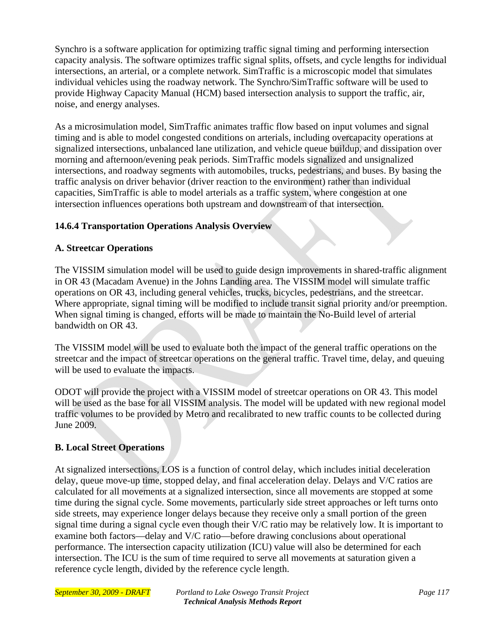Synchro is a software application for optimizing traffic signal timing and performing intersection capacity analysis. The software optimizes traffic signal splits, offsets, and cycle lengths for individual intersections, an arterial, or a complete network. SimTraffic is a microscopic model that simulates individual vehicles using the roadway network. The Synchro/SimTraffic software will be used to provide Highway Capacity Manual (HCM) based intersection analysis to support the traffic, air, noise, and energy analyses.

As a microsimulation model, SimTraffic animates traffic flow based on input volumes and signal timing and is able to model congested conditions on arterials, including overcapacity operations at signalized intersections, unbalanced lane utilization, and vehicle queue buildup, and dissipation over morning and afternoon/evening peak periods. SimTraffic models signalized and unsignalized intersections, and roadway segments with automobiles, trucks, pedestrians, and buses. By basing the traffic analysis on driver behavior (driver reaction to the environment) rather than individual capacities, SimTraffic is able to model arterials as a traffic system, where congestion at one intersection influences operations both upstream and downstream of that intersection.

# **14.6.4 Transportation Operations Analysis Overview**

## **A. Streetcar Operations**

The VISSIM simulation model will be used to guide design improvements in shared-traffic alignment in OR 43 (Macadam Avenue) in the Johns Landing area. The VISSIM model will simulate traffic operations on OR 43, including general vehicles, trucks, bicycles, pedestrians, and the streetcar. Where appropriate, signal timing will be modified to include transit signal priority and/or preemption. When signal timing is changed, efforts will be made to maintain the No-Build level of arterial bandwidth on OR 43.

The VISSIM model will be used to evaluate both the impact of the general traffic operations on the streetcar and the impact of streetcar operations on the general traffic. Travel time, delay, and queuing will be used to evaluate the impacts.

ODOT will provide the project with a VISSIM model of streetcar operations on OR 43. This model will be used as the base for all VISSIM analysis. The model will be updated with new regional model traffic volumes to be provided by Metro and recalibrated to new traffic counts to be collected during June 2009.

# **B. Local Street Operations**

At signalized intersections, LOS is a function of control delay, which includes initial deceleration delay, queue move-up time, stopped delay, and final acceleration delay. Delays and V/C ratios are calculated for all movements at a signalized intersection, since all movements are stopped at some time during the signal cycle. Some movements, particularly side street approaches or left turns onto side streets, may experience longer delays because they receive only a small portion of the green signal time during a signal cycle even though their V/C ratio may be relatively low. It is important to examine both factors—delay and V/C ratio—before drawing conclusions about operational performance. The intersection capacity utilization (ICU) value will also be determined for each intersection. The ICU is the sum of time required to serve all movements at saturation given a reference cycle length, divided by the reference cycle length.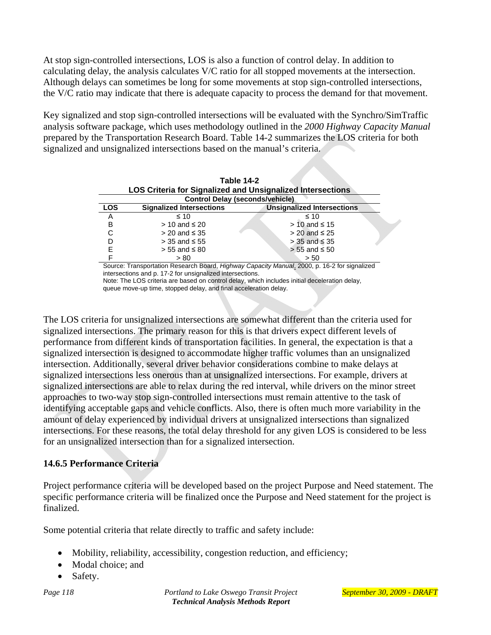At stop sign-controlled intersections, LOS is also a function of control delay. In addition to calculating delay, the analysis calculates V/C ratio for all stopped movements at the intersection. Although delays can sometimes be long for some movements at stop sign-controlled intersections, the V/C ratio may indicate that there is adequate capacity to process the demand for that movement.

Key signalized and stop sign-controlled intersections will be evaluated with the Synchro/SimTraffic analysis software package, which uses methodology outlined in the *2000 Highway Capacity Manual*  prepared by the Transportation Research Board. Table 14-2 summarizes the LOS criteria for both signalized and unsignalized intersections based on the manual's criteria.

| Table 14-2<br><b>LOS Criteria for Signalized and Unsignalized Intersections</b><br><b>Control Delay (seconds/vehicle)</b> |                                 |                                   |  |  |
|---------------------------------------------------------------------------------------------------------------------------|---------------------------------|-----------------------------------|--|--|
| LOS                                                                                                                       | <b>Signalized Intersections</b> | <b>Unsignalized Intersections</b> |  |  |
| Α                                                                                                                         | $\leq 10$                       | $\leq 10$                         |  |  |
| В                                                                                                                         | $> 10$ and $\leq 20$            | $> 10$ and $\leq 15$              |  |  |
| ⌒                                                                                                                         | $> 20$ and $\leq 35$            | $>$ 20 and $\leq$ 25              |  |  |
|                                                                                                                           | $>$ 35 and $\leq$ 55            | $>$ 35 and $\leq$ 35              |  |  |
|                                                                                                                           | $> 55$ and $\leq 80$            | $> 55$ and $\leq 50$              |  |  |
|                                                                                                                           | > 80                            | > 50                              |  |  |

Source: Transportation Research Board, *Highway Capacity Manual*, 2000, p. 16-2 for signalized intersections and p. 17-2 for unsignalized intersections.

Note: The LOS criteria are based on control delay, which includes initial deceleration delay, queue move-up time, stopped delay, and final acceleration delay.

The LOS criteria for unsignalized intersections are somewhat different than the criteria used for signalized intersections. The primary reason for this is that drivers expect different levels of performance from different kinds of transportation facilities. In general, the expectation is that a signalized intersection is designed to accommodate higher traffic volumes than an unsignalized intersection. Additionally, several driver behavior considerations combine to make delays at signalized intersections less onerous than at unsignalized intersections. For example, drivers at signalized intersections are able to relax during the red interval, while drivers on the minor street approaches to two-way stop sign-controlled intersections must remain attentive to the task of identifying acceptable gaps and vehicle conflicts. Also, there is often much more variability in the amount of delay experienced by individual drivers at unsignalized intersections than signalized intersections. For these reasons, the total delay threshold for any given LOS is considered to be less for an unsignalized intersection than for a signalized intersection.

# **14.6.5 Performance Criteria**

Project performance criteria will be developed based on the project Purpose and Need statement. The specific performance criteria will be finalized once the Purpose and Need statement for the project is finalized.

Some potential criteria that relate directly to traffic and safety include:

- Mobility, reliability, accessibility, congestion reduction, and efficiency;
- Modal choice; and
- Safety.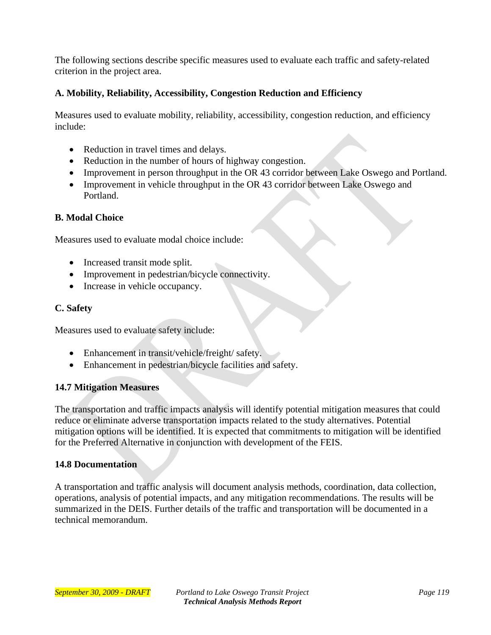The following sections describe specific measures used to evaluate each traffic and safety-related criterion in the project area.

# **A. Mobility, Reliability, Accessibility, Congestion Reduction and Efficiency**

Measures used to evaluate mobility, reliability, accessibility, congestion reduction, and efficiency include:

- Reduction in travel times and delays.
- Reduction in the number of hours of highway congestion.
- Improvement in person throughput in the OR 43 corridor between Lake Oswego and Portland.
- Improvement in vehicle throughput in the OR 43 corridor between Lake Oswego and Portland.

# **B. Modal Choice**

Measures used to evaluate modal choice include:

- Increased transit mode split.
- Improvement in pedestrian/bicycle connectivity.
- Increase in vehicle occupancy.

## **C. Safety**

Measures used to evaluate safety include:

- Enhancement in transit/vehicle/freight/ safety.
- Enhancement in pedestrian/bicycle facilities and safety.

#### **14.7 Mitigation Measures**

The transportation and traffic impacts analysis will identify potential mitigation measures that could reduce or eliminate adverse transportation impacts related to the study alternatives. Potential mitigation options will be identified. It is expected that commitments to mitigation will be identified for the Preferred Alternative in conjunction with development of the FEIS.

#### **14.8 Documentation**

A transportation and traffic analysis will document analysis methods, coordination, data collection, operations, analysis of potential impacts, and any mitigation recommendations. The results will be summarized in the DEIS. Further details of the traffic and transportation will be documented in a technical memorandum.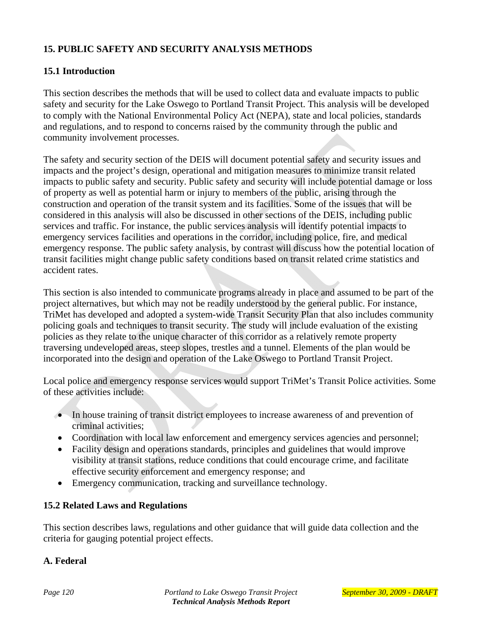# **15. PUBLIC SAFETY AND SECURITY ANALYSIS METHODS**

# **15.1 Introduction**

This section describes the methods that will be used to collect data and evaluate impacts to public safety and security for the Lake Oswego to Portland Transit Project. This analysis will be developed to comply with the National Environmental Policy Act (NEPA), state and local policies, standards and regulations, and to respond to concerns raised by the community through the public and community involvement processes.

The safety and security section of the DEIS will document potential safety and security issues and impacts and the project's design, operational and mitigation measures to minimize transit related impacts to public safety and security. Public safety and security will include potential damage or loss of property as well as potential harm or injury to members of the public, arising through the construction and operation of the transit system and its facilities. Some of the issues that will be considered in this analysis will also be discussed in other sections of the DEIS, including public services and traffic. For instance, the public services analysis will identify potential impacts to emergency services facilities and operations in the corridor, including police, fire, and medical emergency response. The public safety analysis, by contrast will discuss how the potential location of transit facilities might change public safety conditions based on transit related crime statistics and accident rates.

This section is also intended to communicate programs already in place and assumed to be part of the project alternatives, but which may not be readily understood by the general public. For instance, TriMet has developed and adopted a system-wide Transit Security Plan that also includes community policing goals and techniques to transit security. The study will include evaluation of the existing policies as they relate to the unique character of this corridor as a relatively remote property traversing undeveloped areas, steep slopes, trestles and a tunnel. Elements of the plan would be incorporated into the design and operation of the Lake Oswego to Portland Transit Project.

Local police and emergency response services would support TriMet's Transit Police activities. Some of these activities include:

- In house training of transit district employees to increase awareness of and prevention of criminal activities;
- Coordination with local law enforcement and emergency services agencies and personnel;
- Facility design and operations standards, principles and guidelines that would improve visibility at transit stations, reduce conditions that could encourage crime, and facilitate effective security enforcement and emergency response; and
- Emergency communication, tracking and surveillance technology.

# **15.2 Related Laws and Regulations**

This section describes laws, regulations and other guidance that will guide data collection and the criteria for gauging potential project effects.

# **A. Federal**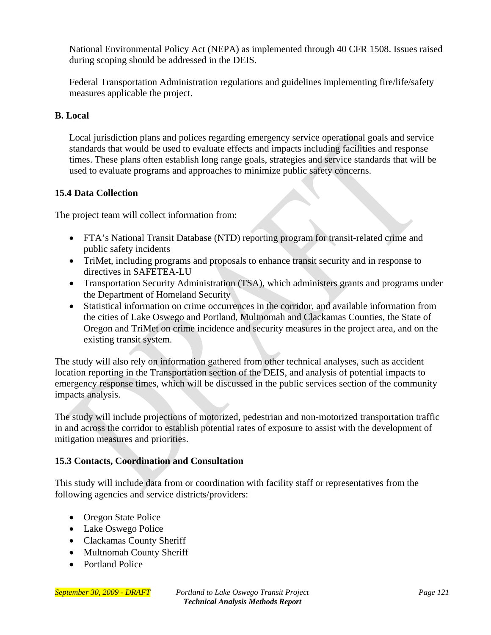National Environmental Policy Act (NEPA) as implemented through 40 CFR 1508. Issues raised during scoping should be addressed in the DEIS.

Federal Transportation Administration regulations and guidelines implementing fire/life/safety measures applicable the project.

# **B. Local**

Local jurisdiction plans and polices regarding emergency service operational goals and service standards that would be used to evaluate effects and impacts including facilities and response times. These plans often establish long range goals, strategies and service standards that will be used to evaluate programs and approaches to minimize public safety concerns.

# **15.4 Data Collection**

The project team will collect information from:

- FTA's National Transit Database (NTD) reporting program for transit-related crime and public safety incidents
- TriMet, including programs and proposals to enhance transit security and in response to directives in SAFETEA-LU
- Transportation Security Administration (TSA), which administers grants and programs under the Department of Homeland Security
- Statistical information on crime occurrences in the corridor, and available information from the cities of Lake Oswego and Portland, Multnomah and Clackamas Counties, the State of Oregon and TriMet on crime incidence and security measures in the project area, and on the existing transit system.

The study will also rely on information gathered from other technical analyses, such as accident location reporting in the Transportation section of the DEIS, and analysis of potential impacts to emergency response times, which will be discussed in the public services section of the community impacts analysis.

The study will include projections of motorized, pedestrian and non-motorized transportation traffic in and across the corridor to establish potential rates of exposure to assist with the development of mitigation measures and priorities.

# **15.3 Contacts, Coordination and Consultation**

This study will include data from or coordination with facility staff or representatives from the following agencies and service districts/providers:

- Oregon State Police
- Lake Oswego Police
- Clackamas County Sheriff
- Multnomah County Sheriff
- Portland Police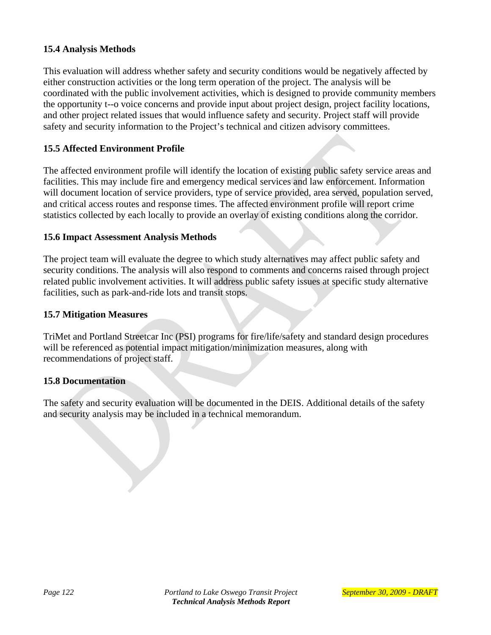# **15.4 Analysis Methods**

This evaluation will address whether safety and security conditions would be negatively affected by either construction activities or the long term operation of the project. The analysis will be coordinated with the public involvement activities, which is designed to provide community members the opportunity t--o voice concerns and provide input about project design, project facility locations, and other project related issues that would influence safety and security. Project staff will provide safety and security information to the Project's technical and citizen advisory committees.

# **15.5 Affected Environment Profile**

The affected environment profile will identify the location of existing public safety service areas and facilities. This may include fire and emergency medical services and law enforcement. Information will document location of service providers, type of service provided, area served, population served, and critical access routes and response times. The affected environment profile will report crime statistics collected by each locally to provide an overlay of existing conditions along the corridor.

## **15.6 Impact Assessment Analysis Methods**

The project team will evaluate the degree to which study alternatives may affect public safety and security conditions. The analysis will also respond to comments and concerns raised through project related public involvement activities. It will address public safety issues at specific study alternative facilities, such as park-and-ride lots and transit stops.

#### **15.7 Mitigation Measures**

TriMet and Portland Streetcar Inc (PSI) programs for fire/life/safety and standard design procedures will be referenced as potential impact mitigation/minimization measures, along with recommendations of project staff.

#### **15.8 Documentation**

The safety and security evaluation will be documented in the DEIS. Additional details of the safety and security analysis may be included in a technical memorandum.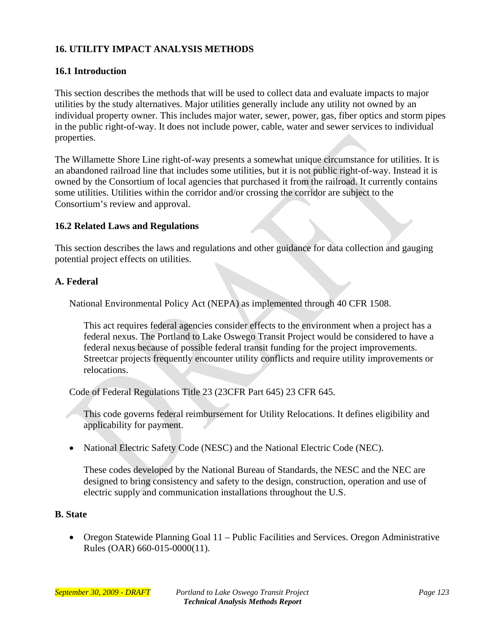# **16. UTILITY IMPACT ANALYSIS METHODS**

# **16.1 Introduction**

This section describes the methods that will be used to collect data and evaluate impacts to major utilities by the study alternatives. Major utilities generally include any utility not owned by an individual property owner. This includes major water, sewer, power, gas, fiber optics and storm pipes in the public right-of-way. It does not include power, cable, water and sewer services to individual properties.

The Willamette Shore Line right-of-way presents a somewhat unique circumstance for utilities. It is an abandoned railroad line that includes some utilities, but it is not public right-of-way. Instead it is owned by the Consortium of local agencies that purchased it from the railroad. It currently contains some utilities. Utilities within the corridor and/or crossing the corridor are subject to the Consortium's review and approval.

# **16.2 Related Laws and Regulations**

This section describes the laws and regulations and other guidance for data collection and gauging potential project effects on utilities.

## **A. Federal**

National Environmental Policy Act (NEPA) as implemented through 40 CFR 1508.

This act requires federal agencies consider effects to the environment when a project has a federal nexus. The Portland to Lake Oswego Transit Project would be considered to have a federal nexus because of possible federal transit funding for the project improvements. Streetcar projects frequently encounter utility conflicts and require utility improvements or relocations.

Code of Federal Regulations Title 23 (23CFR Part 645) 23 CFR 645.

This code governs federal reimbursement for Utility Relocations. It defines eligibility and applicability for payment.

• National Electric Safety Code (NESC) and the National Electric Code (NEC).

These codes developed by the National Bureau of Standards, the NESC and the NEC are designed to bring consistency and safety to the design, construction, operation and use of electric supply and communication installations throughout the U.S.

#### **B. State**

• Oregon Statewide Planning Goal 11 – Public Facilities and Services. Oregon Administrative Rules (OAR) 660-015-0000(11).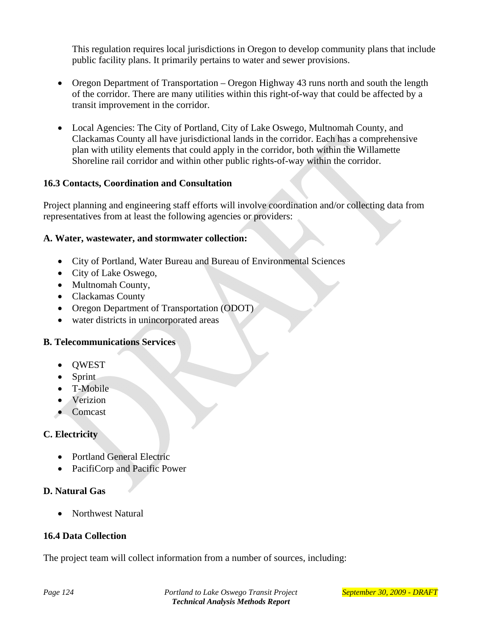This regulation requires local jurisdictions in Oregon to develop community plans that include public facility plans. It primarily pertains to water and sewer provisions.

- Oregon Department of Transportation Oregon Highway 43 runs north and south the length of the corridor. There are many utilities within this right-of-way that could be affected by a transit improvement in the corridor.
- Local Agencies: The City of Portland, City of Lake Oswego, Multnomah County, and Clackamas County all have jurisdictional lands in the corridor. Each has a comprehensive plan with utility elements that could apply in the corridor, both within the Willamette Shoreline rail corridor and within other public rights-of-way within the corridor.

# **16.3 Contacts, Coordination and Consultation**

Project planning and engineering staff efforts will involve coordination and/or collecting data from representatives from at least the following agencies or providers:

# **A. Water, wastewater, and stormwater collection:**

- City of Portland, Water Bureau and Bureau of Environmental Sciences
- City of Lake Oswego,
- Multnomah County,
- Clackamas County
- Oregon Department of Transportation (ODOT)
- water districts in unincorporated areas

# **B. Telecommunications Services**

- QWEST
- Sprint
- T-Mobile
- Verizion
- Comcast

# **C. Electricity**

- Portland General Electric
- PacifiCorp and Pacific Power

# **D. Natural Gas**

• Northwest Natural

# **16.4 Data Collection**

The project team will collect information from a number of sources, including: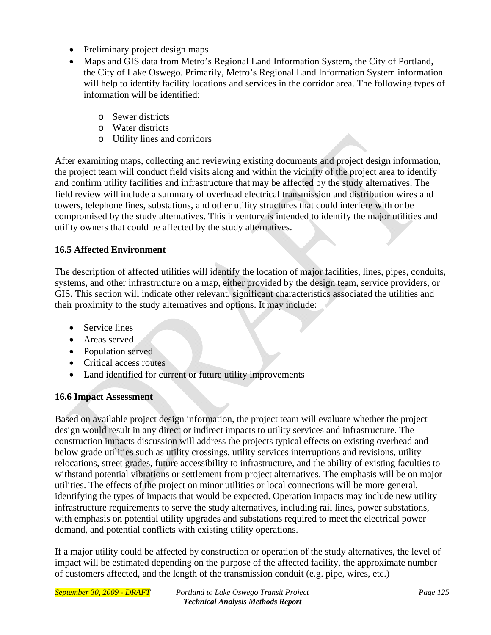- Preliminary project design maps
- Maps and GIS data from Metro's Regional Land Information System, the City of Portland, the City of Lake Oswego. Primarily, Metro's Regional Land Information System information will help to identify facility locations and services in the corridor area. The following types of information will be identified:
	- o Sewer districts
	- o Water districts
	- o Utility lines and corridors

After examining maps, collecting and reviewing existing documents and project design information, the project team will conduct field visits along and within the vicinity of the project area to identify and confirm utility facilities and infrastructure that may be affected by the study alternatives. The field review will include a summary of overhead electrical transmission and distribution wires and towers, telephone lines, substations, and other utility structures that could interfere with or be compromised by the study alternatives. This inventory is intended to identify the major utilities and utility owners that could be affected by the study alternatives.

# **16.5 Affected Environment**

The description of affected utilities will identify the location of major facilities, lines, pipes, conduits, systems, and other infrastructure on a map, either provided by the design team, service providers, or GIS. This section will indicate other relevant, significant characteristics associated the utilities and their proximity to the study alternatives and options. It may include:

- Service lines
- Areas served
- Population served
- Critical access routes
- Land identified for current or future utility improvements

# **16.6 Impact Assessment**

Based on available project design information, the project team will evaluate whether the project design would result in any direct or indirect impacts to utility services and infrastructure. The construction impacts discussion will address the projects typical effects on existing overhead and below grade utilities such as utility crossings, utility services interruptions and revisions, utility relocations, street grades, future accessibility to infrastructure, and the ability of existing faculties to withstand potential vibrations or settlement from project alternatives. The emphasis will be on major utilities. The effects of the project on minor utilities or local connections will be more general, identifying the types of impacts that would be expected. Operation impacts may include new utility infrastructure requirements to serve the study alternatives, including rail lines, power substations, with emphasis on potential utility upgrades and substations required to meet the electrical power demand, and potential conflicts with existing utility operations.

If a major utility could be affected by construction or operation of the study alternatives, the level of impact will be estimated depending on the purpose of the affected facility, the approximate number of customers affected, and the length of the transmission conduit (e.g. pipe, wires, etc.)